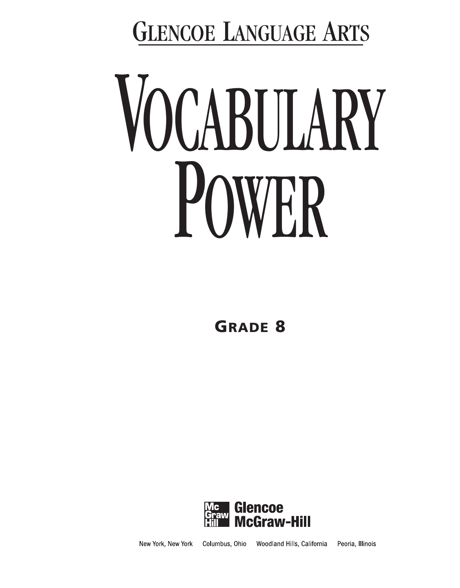GLENCOE LANGUAGE ARTS

# VOCABULARY POWER

**GRADE 8**



New York, New York Columbus, Ohio Woodland Hills, California Peoria, Illinois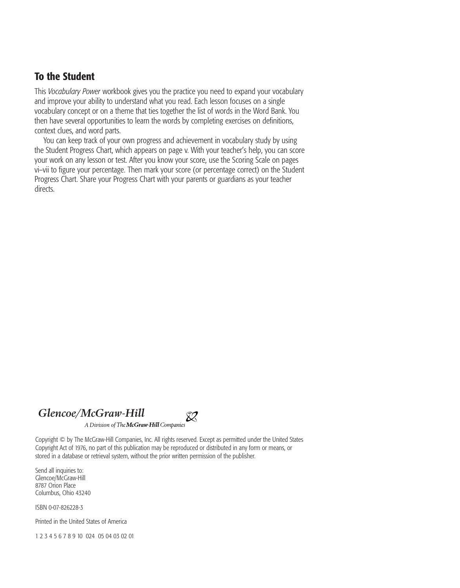#### **To the Student**

This *Vocabulary Power* workbook gives you the practice you need to expand your vocabulary and improve your ability to understand what you read. Each lesson focuses on a single vocabulary concept or on a theme that ties together the list of words in the Word Bank. You then have several opportunities to learn the words by completing exercises on definitions, context clues, and word parts.

You can keep track of your own progress and achievement in vocabulary study by using the Student Progress Chart, which appears on page v. With your teacher's help, you can score your work on any lesson or test. After you know your score, use the Scoring Scale on pages vi–vii to figure your percentage. Then mark your score (or percentage correct) on the Student Progress Chart. Share your Progress Chart with your parents or guardians as your teacher directs.

#### *Glencoe/McGraw-Hill*



A Division of The McGraw Hill Companies

Copyright © by The McGraw-Hill Companies, Inc. All rights reserved. Except as permitted under the United States Copyright Act of 1976, no part of this publication may be reproduced or distributed in any form or means, or stored in a database or retrieval system, without the prior written permission of the publisher.

Send all inquiries to: Glencoe/McGraw-Hill 8787 Orion Place Columbus, Ohio 43240

ISBN 0-07-826228-3

Printed in the United States of America

1 2 3 4 5 6 7 8 9 10 024 05 04 03 02 01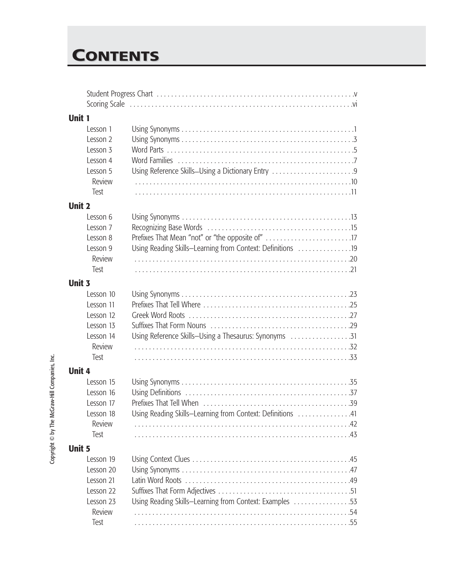# **CONTENTS ONTENTS**

| Unit 1        |                     |                                                            |  |
|---------------|---------------------|------------------------------------------------------------|--|
|               | Lesson 1            |                                                            |  |
|               | Lesson 2            |                                                            |  |
|               | Lesson 3            |                                                            |  |
|               | Lesson 4            |                                                            |  |
|               | Lesson 5            | Using Reference Skills-Using a Dictionary Entry 9          |  |
|               | Review              |                                                            |  |
|               | Test                |                                                            |  |
| <b>Unit 2</b> |                     |                                                            |  |
|               | Lesson 6            |                                                            |  |
|               | Lesson 7            |                                                            |  |
|               | Lesson 8            |                                                            |  |
|               | Lesson 9            | Using Reading Skills-Learning from Context: Definitions 19 |  |
|               | Review              |                                                            |  |
|               | Test                |                                                            |  |
|               |                     |                                                            |  |
| Unit 3        |                     |                                                            |  |
|               | Lesson 10           |                                                            |  |
|               | Lesson 11           |                                                            |  |
|               | Lesson 12           |                                                            |  |
|               | Lesson 13           |                                                            |  |
|               | Lesson 14<br>Review | Using Reference Skills-Using a Thesaurus: Synonyms 31      |  |
|               |                     |                                                            |  |
|               | Test                |                                                            |  |
| Unit 4        |                     |                                                            |  |
|               | Lesson 15           |                                                            |  |
|               | Lesson 16           |                                                            |  |
|               | Lesson 17           |                                                            |  |
|               | Lesson 18           | Using Reading Skills-Learning from Context: Definitions 41 |  |
|               | Review              |                                                            |  |
|               | Test                |                                                            |  |
| <b>Unit 5</b> |                     |                                                            |  |
|               | Lesson 19           |                                                            |  |
|               | Lesson 20           |                                                            |  |
|               | Lesson 21           |                                                            |  |
|               | Lesson 22           |                                                            |  |
|               | Lesson 23           | Using Reading Skills-Learning from Context: Examples 53    |  |
|               | Review              |                                                            |  |
|               | Test                |                                                            |  |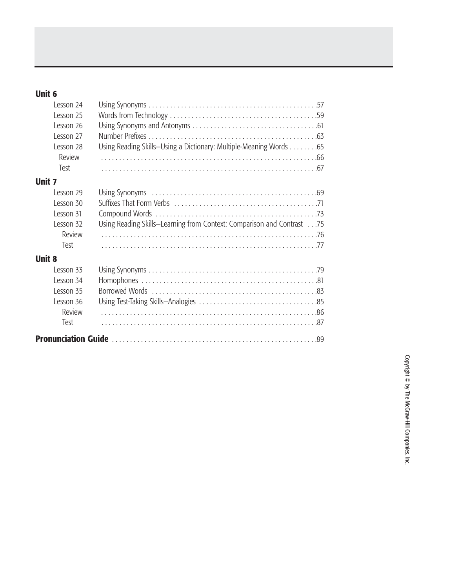#### **Unit 6**

| Lesson 24     |                                                                        |
|---------------|------------------------------------------------------------------------|
| Lesson 25     |                                                                        |
| Lesson 26     |                                                                        |
| Lesson 27     |                                                                        |
| Lesson 28     | Using Reading Skills-Using a Dictionary: Multiple-Meaning Words 65     |
| Review        |                                                                        |
| Test          |                                                                        |
| <b>Unit 7</b> |                                                                        |
| Lesson 29     |                                                                        |
| Lesson 30     |                                                                        |
| Lesson 31     |                                                                        |
| Lesson 32     | Using Reading Skills-Learning from Context: Comparison and Contrast 75 |
| Review        |                                                                        |
| Test          |                                                                        |
| <b>Unit 8</b> |                                                                        |
| Lesson 33     |                                                                        |
| Lesson 34     |                                                                        |
| Lesson 35     |                                                                        |
| Lesson 36     |                                                                        |
| Review        |                                                                        |
| Test          |                                                                        |
|               |                                                                        |
|               |                                                                        |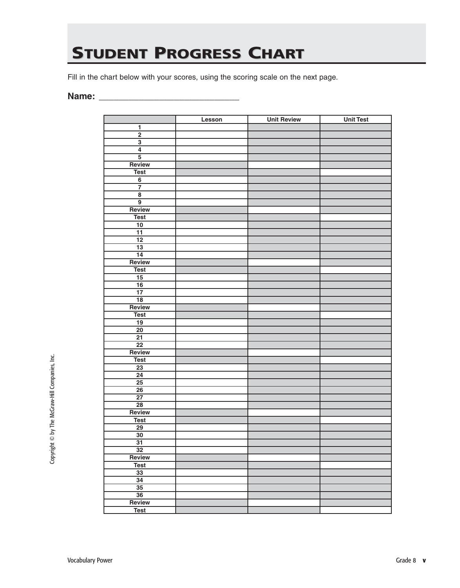# **STUDENT PROGRESS CHART**

Fill in the chart below with your scores, using the scoring scale on the next page.

#### **Name: \_\_\_\_\_\_\_\_\_\_\_\_\_\_\_\_\_\_\_\_\_\_\_\_\_\_\_\_**

|                         | Lesson | <b>Unit Review</b> | <b>Unit Test</b> |
|-------------------------|--------|--------------------|------------------|
| $\mathbf{1}$            |        |                    |                  |
| $\overline{2}$          |        |                    |                  |
| $\overline{\mathbf{3}}$ |        |                    |                  |
| $\overline{4}$          |        |                    |                  |
| $\overline{5}$          |        |                    |                  |
| Review                  |        |                    |                  |
| <b>Test</b>             |        |                    |                  |
| $\overline{6}$          |        |                    |                  |
| $\overline{7}$          |        |                    |                  |
| $\overline{\mathbf{8}}$ |        |                    |                  |
| $\overline{9}$          |        |                    |                  |
| Review                  |        |                    |                  |
| <b>Test</b>             |        |                    |                  |
| $\overline{10}$         |        |                    |                  |
| $\overline{11}$         |        |                    |                  |
| $\overline{12}$         |        |                    |                  |
| $\overline{13}$         |        |                    |                  |
| $\overline{14}$         |        |                    |                  |
| Review                  |        |                    |                  |
| <b>Test</b>             |        |                    |                  |
| 15                      |        |                    |                  |
| $\overline{16}$         |        |                    |                  |
| $\overline{17}$         |        |                    |                  |
| $\overline{18}$         |        |                    |                  |
| Review                  |        |                    |                  |
|                         |        |                    |                  |
| <b>Test</b>             |        |                    |                  |
| 19<br>$\overline{20}$   |        |                    |                  |
| $\overline{21}$         |        |                    |                  |
| $\overline{22}$         |        |                    |                  |
| Review                  |        |                    |                  |
|                         |        |                    |                  |
| <b>Test</b>             |        |                    |                  |
| $\overline{23}$         |        |                    |                  |
| $\overline{24}$         |        |                    |                  |
| $\overline{25}$         |        |                    |                  |
| 26                      |        |                    |                  |
| $\overline{27}$         |        |                    |                  |
| $\overline{28}$         |        |                    |                  |
| Review                  |        |                    |                  |
| <b>Test</b>             |        |                    |                  |
| $\overline{29}$         |        |                    |                  |
| $\overline{30}$         |        |                    |                  |
| $\overline{31}$         |        |                    |                  |
| $\overline{32}$         |        |                    |                  |
| Review                  |        |                    |                  |
| <b>Test</b>             |        |                    |                  |
| $\overline{33}$         |        |                    |                  |
| $\overline{34}$         |        |                    |                  |
| $\overline{35}$         |        |                    |                  |
| $\overline{36}$         |        |                    |                  |
| Review                  |        |                    |                  |
| <b>Test</b>             |        |                    |                  |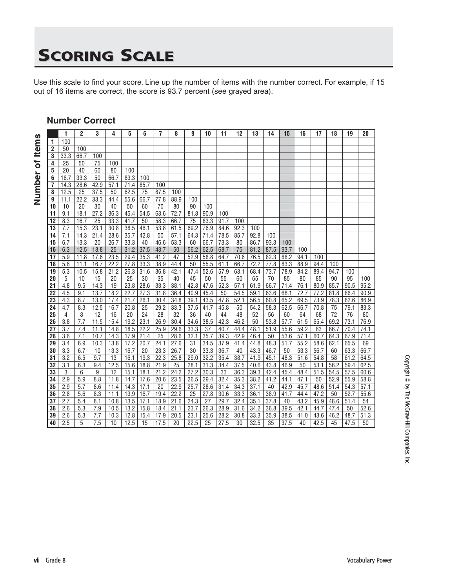# **SCORING SCALE**

Use this scale to find your score. Line up the number of items with the number correct. For example, if 15 out of 16 items are correct, the score is 93.7 percent (see grayed area).

#### **Number Correct**

Number of Items **Number of Items**

|                 | 1                | $\overline{c}$ | 3    | 4    | 5    | 6    | 7    | 8                 | 9    | 10   | 11   | 12   | 13   | 14   | 15   | 16   | 17   | 18   | 19   | 20   |
|-----------------|------------------|----------------|------|------|------|------|------|-------------------|------|------|------|------|------|------|------|------|------|------|------|------|
| 1               | 100              |                |      |      |      |      |      |                   |      |      |      |      |      |      |      |      |      |      |      |      |
| $\overline{2}$  | 50               | 100            |      |      |      |      |      |                   |      |      |      |      |      |      |      |      |      |      |      |      |
| 3               | 33.3             | 66.7           | 100  |      |      |      |      |                   |      |      |      |      |      |      |      |      |      |      |      |      |
| 4               | 25               | 50             | 75   | 100  |      |      |      |                   |      |      |      |      |      |      |      |      |      |      |      |      |
| 5               | 20               | 40             | 60   | 80   | 100  |      |      |                   |      |      |      |      |      |      |      |      |      |      |      |      |
| 6               | 16.7             | 33.3           | 50   | 66.7 | 83.3 | 100  |      |                   |      |      |      |      |      |      |      |      |      |      |      |      |
| 7               | 14.3             | 28.6           | 42.9 | 57.1 | 71.4 | 85.7 | 100  |                   |      |      |      |      |      |      |      |      |      |      |      |      |
| 8               | 12.5             | 25             | 37.5 | 50   | 62.5 | 75   | 87.5 | 100               |      |      |      |      |      |      |      |      |      |      |      |      |
| 9               | 11.1             | 22.2           | 33.3 | 44.4 | 55.6 | 66.7 | 77.8 | 88.9              | 100  |      |      |      |      |      |      |      |      |      |      |      |
| 10              | 10               | 20             | 30   | 40   | 50   | 60   | 70   | 80                | 90   | 100  |      |      |      |      |      |      |      |      |      |      |
| 11              | 9.1              | 18.1           | 27.2 | 36.3 | 45.4 | 54.5 | 63.6 | 72.7              | 81.8 | 90.9 | 100  |      |      |      |      |      |      |      |      |      |
| 12              | 8.3              | 16.7           | 25   | 33.3 | 41.7 | 50   | 58.3 | 66.7              | 75   | 83.3 | 91.7 | 100  |      |      |      |      |      |      |      |      |
| 13              | 7.7              | 15.3           | 23.1 | 30.8 | 38.5 | 46.1 | 53.8 | 61.5              | 69.2 | 76.9 | 84.6 | 92.3 | 100  |      |      |      |      |      |      |      |
| 14              | $\overline{7.1}$ | 14.3           | 21.4 | 28.6 | 35.7 | 42.8 | 50   | 57.1              | 64.3 | 71.4 | 78.5 | 85.7 | 92.8 | 100  |      |      |      |      |      |      |
| 15              | 6.7              | 13.3           | 20   | 26.7 | 33.3 | 40   | 46.6 | 53.3              | 60   | 66.7 | 73.3 | 80   | 86.7 | 93.3 | 100  |      |      |      |      |      |
| 16              | 6.3              | 12.5           | 18.8 | 25   | 31.2 | 37.5 | 43.7 | 50                | 56.2 | 62.5 | 68.7 | 75   | 81.2 | 87.5 | 93.7 | 100  |      |      |      |      |
| 17              | 5.9              | 11.8           | 17.6 | 23.5 | 29.4 | 35.3 | 41.2 | 47                | 52.9 | 58.8 | 64.7 | 70.6 | 76.5 | 82.3 | 88.2 | 94.1 | 100  |      |      |      |
| 18              | 5.6              | 11.1           | 16.7 | 22.2 | 27.8 | 33.3 | 38.9 | 44.4              | 50   | 55.5 | 61.1 | 66.7 | 72.2 | 77.8 | 83.3 | 88.9 | 94.4 | 100  |      |      |
| 19              | 5.3              | 10.5           | 15.8 | 21.2 | 26.3 | 31.6 | 36.8 | 42.1              | 47.4 | 52.6 | 57.9 | 63.1 | 68.4 | 73.7 | 78.9 | 84.2 | 89.4 | 94.7 | 100  |      |
| 20              | 5                | 10             | 15   | 20   | 25   | 30   | 35   | 40                | 45   | 50   | 55   | 60   | 65   | 70   | 85   | 80   | 85   | 90   | 95   | 100  |
| 21              | 4.8              | 9.5            | 14.3 | 19   | 23.8 | 28.6 | 33.3 | 38.1              | 42.8 | 47.6 | 52.3 | 57.1 | 61.9 | 66.7 | 71.4 | 76.1 | 80.9 | 85.7 | 90.5 | 95.2 |
| $\overline{22}$ | 4.5              | 9.1            | 13.7 | 18.2 | 22.7 | 27.3 | 31.8 | 36.4              | 40.9 | 45.4 | 50   | 54.5 | 59.1 | 63.6 | 68.1 | 72.7 | 77.2 | 81.8 | 86.4 | 90.9 |
| 23              | 4.3              | 8.7            | 13.0 | 17.4 | 21.7 | 26.1 | 30.4 | 34.8              | 39.1 | 43.5 | 47.8 | 52.1 | 56.5 | 60.8 | 65.2 | 69.5 | 73.9 | 78.3 | 82.6 | 86.9 |
| 24              | 4.7              | 8.3            | 12.5 | 16.7 | 20.8 | 25   | 29.2 | 33.3              | 37.5 | 41.7 | 45.8 | 50   | 54.2 | 58.3 | 62.5 | 66.7 | 70.8 | 75   | 79.1 | 83.3 |
| 25              | 4                | 8              | 12   | 16   | 20   | 24   | 28   | 32                | 36   | 40   | 44   | 48   | 52   | 56   | 60   | 64   | 68   | 72   | 76   | 80   |
| 26              | 3.8              | 7.7            | 11.5 | 15.4 | 19.2 | 23.1 | 26.9 | 30.4              | 34.6 | 38.5 | 42.3 | 46.2 | 50   | 53.8 | 57.7 | 61.5 | 65.4 | 69.2 | 73.1 | 76.9 |
| 27              | 3.7              | 7.4            | 11.1 | 14.8 | 18.5 | 22.2 | 25.9 | 29.6              | 33.3 | 37   | 40.7 | 44.4 | 48.1 | 51.9 | 55.6 | 59.2 | 63   | 66.7 | 70.4 | 74.1 |
| 28              | 3.6              | 7.1            | 10.7 | 14.3 | 17.9 | 21.4 | 25   | 28.6              | 32.1 | 35.7 | 39.3 | 42.9 | 46.4 | 50   | 53.6 | 57.1 | 60.7 | 64.3 | 67.9 | 71.4 |
| 29              | 3.4              | 6.9            | 10.3 | 13.8 | 17.2 | 20.7 | 24.1 | 27.6              | 31   | 34.5 | 37.9 | 41.4 | 44.8 | 48.3 | 51.7 | 55.2 | 58.6 | 62.1 | 65.5 | 69   |
| 30              | 3.3              | 6.7            | 10   | 13.3 | 16.7 | 20   | 23.3 | 26.7              | 30   | 33.3 | 36.7 | 40   | 43.3 | 46.7 | 50   | 53.3 | 56.7 | 60   | 63.3 | 66.7 |
| 31              | 3.2              | 6.5            | 9.7  | 13   | 16.1 | 19.3 | 22.3 | 25.8              | 29.0 | 32.2 | 35.4 | 38.7 | 41.9 | 45.1 | 48.3 | 51.6 | 54.8 | 58   | 61.2 | 64.5 |
| 32              | 3.1              | 6.3            | 9.4  | 12.5 | 15.6 | 18.8 | 21.9 | 25                | 28.1 | 31.3 | 34.4 | 37.5 | 40.6 | 43.8 | 46.9 | 50   | 53.1 | 56.2 | 59.4 | 62.5 |
| 33              | $\sqrt{3}$       | 6              | 9    | 12   | 15.1 | 18.1 | 21.2 | 24.2              | 27.2 | 30.3 | 33   | 36.3 | 39.3 | 42.4 | 45.4 | 48.4 | 51.5 | 54.5 | 57.5 | 60.6 |
| 34              | 2.9              | 5.9            | 8.8  | 11.8 | 14.7 | 17.6 | 20.6 | 23.5              | 26.5 | 29.4 | 32.4 | 35.3 | 38.2 | 41.2 | 44.1 | 47.1 | 50   | 52.9 | 55.9 | 58.8 |
| 35              | 2.9              | 5.7            | 8.6  | 11.4 | 14.3 | 17.1 | 20   | 22.9              | 25.7 | 28.6 | 31.4 | 34.3 | 37.1 | 40   | 42.9 | 45.7 | 48.6 | 51.4 | 54.3 | 57.1 |
| 36              | 2.8              | 5.6            | 8.3  | 11.1 | 13.9 | 16.7 | 19.4 | $22.\overline{2}$ | 25   | 27.8 | 30.6 | 33.3 | 36.1 | 38.9 | 41.7 | 44.4 | 47.2 | 50   | 52.7 | 55.6 |
| 37              | 2.7              | 5.4            | 8.1  | 10.8 | 13.5 | 17.1 | 18.9 | 21.6              | 24.3 | 27   | 29.7 | 32.4 | 35.1 | 37.8 | 40   | 43.2 | 45.9 | 48.6 | 51.4 | 54   |
| 38              | 2.6              | 5.3            | 7.9  | 10.5 | 13.2 | 15.8 | 18.4 | 21.1              | 23.7 | 26.3 | 28.9 | 31.6 | 34.2 | 36.8 | 39.5 | 42.1 | 44.7 | 47.4 | 50   | 52.6 |
| 39              | 2.6              | 5.3            | 7.7  | 10.3 | 12.8 | 15.4 | 17.9 | 20.5              | 23.1 | 25.6 | 28.2 | 30.8 | 33.3 | 35.9 | 38.5 | 41.0 | 43.6 | 46.2 | 48.7 | 51.3 |
| 40              | 2.5              | $\overline{5}$ | 7.5  | 10   | 12.5 | 15   | 17.5 | 20                | 22.5 | 25   | 27.5 | 30   | 32.5 | 35   | 37.5 | 40   | 42.5 | 45   | 47.5 | 50   |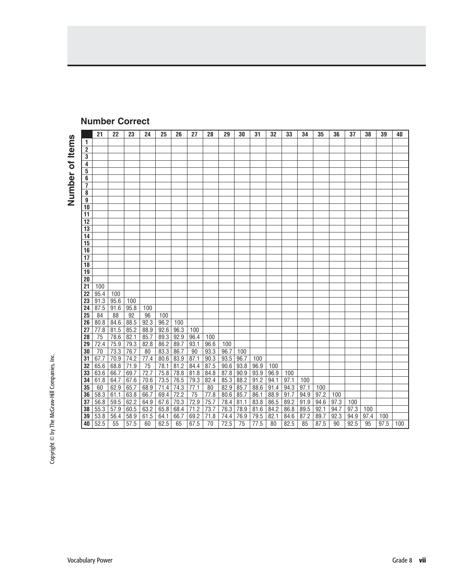|              |                                    | 21           | 22           | 23              | 24           | 25           | 26                  | 27         | 28                  | 29                  | 30           | 31           | 32           | 33           | 34           | 35           | 36          | 37          | 38   | 39   | 40  |
|--------------|------------------------------------|--------------|--------------|-----------------|--------------|--------------|---------------------|------------|---------------------|---------------------|--------------|--------------|--------------|--------------|--------------|--------------|-------------|-------------|------|------|-----|
| <b>Items</b> | 1                                  |              |              |                 |              |              |                     |            |                     |                     |              |              |              |              |              |              |             |             |      |      |     |
|              | 2                                  |              |              |                 |              |              |                     |            |                     |                     |              |              |              |              |              |              |             |             |      |      |     |
|              | 3                                  |              |              |                 |              |              |                     |            |                     |                     |              |              |              |              |              |              |             |             |      |      |     |
| ð            | 4                                  |              |              |                 |              |              |                     |            |                     |                     |              |              |              |              |              |              |             |             |      |      |     |
|              | 5                                  |              |              |                 |              |              |                     |            |                     |                     |              |              |              |              |              |              |             |             |      |      |     |
|              | 6                                  |              |              |                 |              |              |                     |            |                     |                     |              |              |              |              |              |              |             |             |      |      |     |
|              | $\overline{7}$                     |              |              |                 |              |              |                     |            |                     |                     |              |              |              |              |              |              |             |             |      |      |     |
|              | 8                                  |              |              |                 |              |              |                     |            |                     |                     |              |              |              |              |              |              |             |             |      |      |     |
| Number       | $\boldsymbol{\mathsf{g}}$          |              |              |                 |              |              |                     |            |                     |                     |              |              |              |              |              |              |             |             |      |      |     |
|              | 10                                 |              |              |                 |              |              |                     |            |                     |                     |              |              |              |              |              |              |             |             |      |      |     |
|              | 11                                 |              |              |                 |              |              |                     |            |                     |                     |              |              |              |              |              |              |             |             |      |      |     |
|              | 12                                 |              |              |                 |              |              |                     |            |                     |                     |              |              |              |              |              |              |             |             |      |      |     |
|              | $\overline{13}$<br>$\overline{14}$ |              |              |                 |              |              |                     |            |                     |                     |              |              |              |              |              |              |             |             |      |      |     |
|              | $\overline{15}$                    |              |              |                 |              |              |                     |            |                     |                     |              |              |              |              |              |              |             |             |      |      |     |
|              | 16                                 |              |              |                 |              |              |                     |            |                     |                     |              |              |              |              |              |              |             |             |      |      |     |
|              | 17                                 |              |              |                 |              |              |                     |            |                     |                     |              |              |              |              |              |              |             |             |      |      |     |
|              | $\overline{18}$                    |              |              |                 |              |              |                     |            |                     |                     |              |              |              |              |              |              |             |             |      |      |     |
|              | $\overline{19}$                    |              |              |                 |              |              |                     |            |                     |                     |              |              |              |              |              |              |             |             |      |      |     |
|              | $\overline{20}$                    |              |              |                 |              |              |                     |            |                     |                     |              |              |              |              |              |              |             |             |      |      |     |
|              | $\overline{21}$                    | 100          |              |                 |              |              |                     |            |                     |                     |              |              |              |              |              |              |             |             |      |      |     |
|              | 22                                 | 95.4         | 100          |                 |              |              |                     |            |                     |                     |              |              |              |              |              |              |             |             |      |      |     |
|              | $\overline{23}$                    | 91.3         | 95.6         | 100             |              |              |                     |            |                     |                     |              |              |              |              |              |              |             |             |      |      |     |
|              | 24                                 | 87.5         | 91.6         | 95.8            | 100          |              |                     |            |                     |                     |              |              |              |              |              |              |             |             |      |      |     |
|              | $\overline{25}$                    | 84           | 88           | $\overline{92}$ | 96           | 100          |                     |            |                     |                     |              |              |              |              |              |              |             |             |      |      |     |
|              | 26                                 | 80.8         | 84.6         | 88.5            | 92.3         | 96.2         | 100                 |            |                     |                     |              |              |              |              |              |              |             |             |      |      |     |
|              | 27                                 | 77.8         | 81.5         | 85.2            | 88.9         | 92.6         | 96.3                | 100        |                     |                     |              |              |              |              |              |              |             |             |      |      |     |
|              | 28                                 | 75           | 78.6         | 82.1            | 85.7         | 89.3         | 92.9                | 96.4       | 100                 |                     |              |              |              |              |              |              |             |             |      |      |     |
|              | 29                                 | 72.4         | 75.9         | 79.3            | 82.8         | 86.2         | 89.7                | 93.1       | 96.6                | 100                 |              |              |              |              |              |              |             |             |      |      |     |
|              | 30                                 | 70           | 73.3         | 76.7            | 80           | 83.3         | 86.7                | 90         | 93.3                | 96.7                | 100          |              |              |              |              |              |             |             |      |      |     |
|              | 31                                 | 67.7         | 70.9         | 74.2            | 77.4         | 80.6         | 83.9                | 87.1       | $\frac{90.3}{87.5}$ | 93.5                | 96.7         | 100          |              |              |              |              |             |             |      |      |     |
|              | 32                                 | 65.6         | 68.8         | 71.9            | 75           | 78.1         | 81.2                | 84.4       |                     | 90.6                | 93.8         | 96.9         | 100          |              |              |              |             |             |      |      |     |
|              | $\overline{33}$                    | 63.6         | 66.7         | 69.7            | 72.7         | 75.8         | $\frac{78.8}{76.5}$ | 81.8       | 84.8                | 87.8                | 90.9         | 93.9         | 96.9         | 100          |              |              |             |             |      |      |     |
|              | 34                                 | 61.8         | 64.7         | 67.6            | 70.6         | 73.5         |                     | 79.3       | 82.4                | 85.3                | 88.2         | 91.2         | 94.1         | 97.1         | 100          |              |             |             |      |      |     |
|              | $\overline{35}$                    | 60           | 62.9         | 65.7            | 68.9         | 71.4         | 74.3                | 77.1       | $80\,$              | 82.9                | 85.7         | 88.6         | 91.4         | 94.3         | 97.1         | 100          |             |             |      |      |     |
|              | 36<br>37                           | 58.3<br>56.8 | 61.1<br>59.5 | 63.8<br>62.2    | 66.7<br>64.9 | 69.4<br>67.6 | 72.2<br>70.3        | 75<br>72.9 | 77.8                | 80.6                | 85.7         | 86.1<br>83.8 | 88.9<br>86.5 | 91.7<br>89.2 | 94.9<br>91.9 | 97.2<br>94.6 | 100<br>97.3 |             |      |      |     |
|              | 38                                 | 55.3         | 57.9         | 60.5            | 63.2         | 65.8         | 68.4                | 71.2       | 75.7<br>73.7        | $\frac{78.4}{76.3}$ | 81.1<br>78.9 | 81.6         | 84.2         | 86.8         | 89.5         | 92.1         | 94.7        | 100<br>97.3 | 100  |      |     |
|              | 39                                 | 53.8         | 56.4         | 58.9            | 61.5         | 64.1         | 66.7                | 69.2       | 71.8                | 74.4                | 76.9         | 79.5         | 82.1         | 84.6         | 87.2         | 89.7         | 92.3        | 94.9        | 97.4 | 100  |     |
|              | 40                                 | 52.5         | 55           | 57.5            | 60           | 62.5         | 65                  | 67.5       | 70                  | 72.5                | 75           | 77.5         | 80           | 82.5         | 85           | 87.5         | 90          | 92.5        | 95   | 97.5 | 100 |
|              |                                    |              |              |                 |              |              |                     |            |                     |                     |              |              |              |              |              |              |             |             |      |      |     |

#### **Number Correct**

Copyright © by The McGraw-Hill Companies, Inc. Copyright © by The McGraw-Hill Companies, Inc.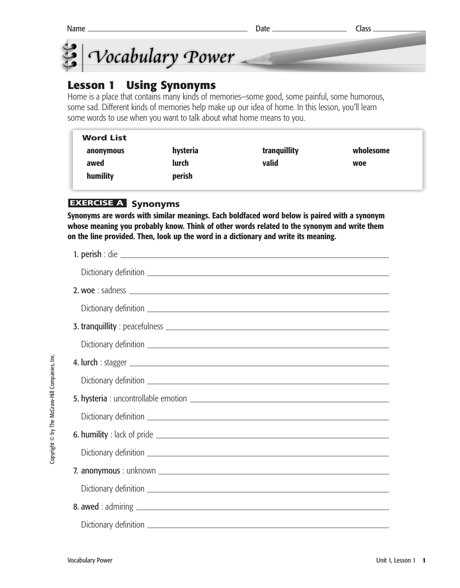



## **Lesson 1 Using Synonyms**

Home is a place that contains many kinds of memories—some good, some painful, some humorous, some sad. Different kinds of memories help make up our idea of home. In this lesson, you'll learn some words to use when you want to talk about what home means to you.

| <b>Word List</b> |              |              |           |
|------------------|--------------|--------------|-----------|
| anonymous        | hysteria     | tranquillity | wholesome |
| awed             | <b>lurch</b> | valid        | woe       |
| humility         | perish       |              |           |

#### **EXERCISE A Synonyms**

**Synonyms are words with similar meanings. Each boldfaced word below is paired with a synonym whose meaning you probably know. Think of other words related to the synonym and write them on the line provided. Then, look up the word in a dictionary and write its meaning.**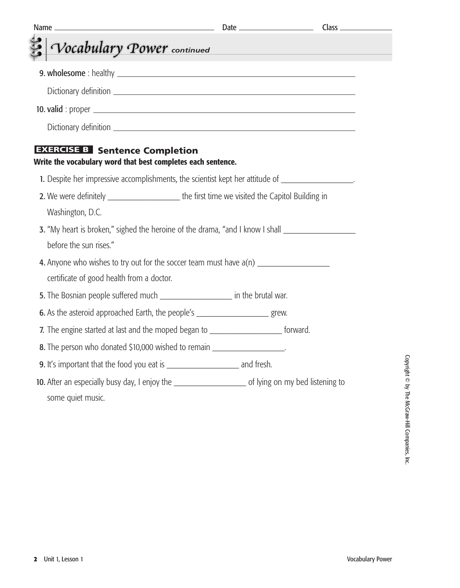| Name.                                                                                                    |                                         | $Class$ <sub>____</sub> |
|----------------------------------------------------------------------------------------------------------|-----------------------------------------|-------------------------|
| Vocabulary Power continued                                                                               | <u> 1990 - Johann Barbara, martxa a</u> |                         |
|                                                                                                          |                                         |                         |
|                                                                                                          |                                         |                         |
|                                                                                                          |                                         |                         |
|                                                                                                          |                                         |                         |
| <b>EXERCISE B</b> Sentence Completion<br>Write the vocabulary word that best completes each sentence.    |                                         |                         |
| 1. Despite her impressive accomplishments, the scientist kept her attitude of ___________________.       |                                         |                         |
| 2. We were definitely _________________________the first time we visited the Capitol Building in         |                                         |                         |
| Washington, D.C.                                                                                         |                                         |                         |
| 3. "My heart is broken," sighed the heroine of the drama, "and I know I shall<br>before the sun rises."  |                                         |                         |
| 4. Anyone who wishes to try out for the soccer team must have $a(n)$                                     |                                         |                         |
| certificate of good health from a doctor.                                                                |                                         |                         |
| 5. The Bosnian people suffered much _______________________ in the brutal war.                           |                                         |                         |
| 6. As the asteroid approached Earth, the people's _______________________________ grew.                  |                                         |                         |
| 7. The engine started at last and the moped began to ________________________ forward.                   |                                         |                         |
| 8. The person who donated \$10,000 wished to remain ___________________.                                 |                                         |                         |
|                                                                                                          |                                         |                         |
| 10. After an especially busy day, I enjoy the __________________________ of lying on my bed listening to |                                         |                         |
| some quiet music.                                                                                        |                                         |                         |
|                                                                                                          |                                         |                         |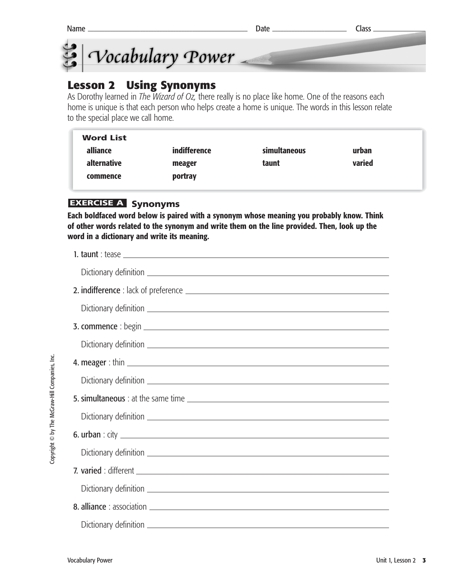



#### **Lesson 2 Using Synonyms**

As Dorothy learned in *The Wizard of Oz,* there really is no place like home. One of the reasons each home is unique is that each person who helps create a home is unique. The words in this lesson relate to the special place we call home.

| <b>Word List</b>   |              |              |        |  |
|--------------------|--------------|--------------|--------|--|
| alliance           | indifference | simultaneous | urban  |  |
| <b>alternative</b> | meager       | taunt        | varied |  |
| commence           | portray      |              |        |  |
|                    |              |              |        |  |

#### **EXERCISE A Synonyms**

**Each boldfaced word below is paired with a synonym whose meaning you probably know. Think of other words related to the synonym and write them on the line provided. Then, look up the word in a dictionary and write its meaning.**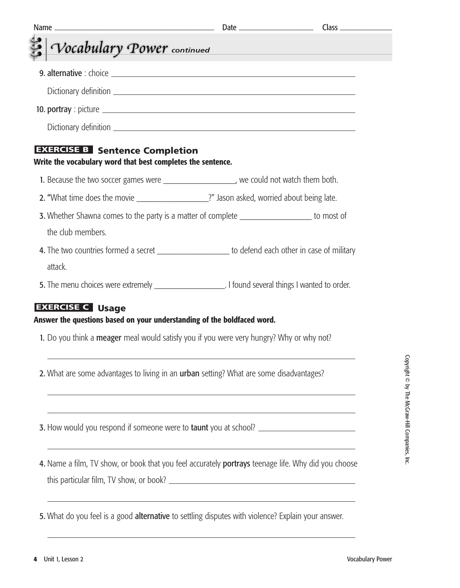| <u> 1989 - Johann Barnett, mars eta barnet</u>                                                                                                  |
|-------------------------------------------------------------------------------------------------------------------------------------------------|
|                                                                                                                                                 |
|                                                                                                                                                 |
|                                                                                                                                                 |
|                                                                                                                                                 |
|                                                                                                                                                 |
|                                                                                                                                                 |
| 1. Because the two soccer games were _____________________, we could not watch them both.                                                       |
| 2. "What time does the movie _____________________?" Jason asked, worried about being late.                                                     |
| 3. Whether Shawna comes to the party is a matter of complete ___________________ to most of                                                     |
|                                                                                                                                                 |
| 4. The two countries formed a secret _____________________ to defend each other in case of military                                             |
|                                                                                                                                                 |
| 1. Do you think a <b>meager</b> meal would satisfy you if you were very hungry? Why or why not?                                                 |
| 2. What are some advantages to living in an urban setting? What are some disadvantages?                                                         |
| <u> 1989 - Johann Stoff, amerikansk politiker (* 1908)</u><br>3. How would you respond if someone were to taunt you at school? ________________ |
| 4. Name a film, TV show, or book that you feel accurately portrays teenage life. Why did you choose                                             |
| <u> 1989 - Andrea Santa Andrea Andrea Andrea Andrea Andrea Andrea Andrea Andrea Andrea Andrea Andrea Andrea Andr</u>                            |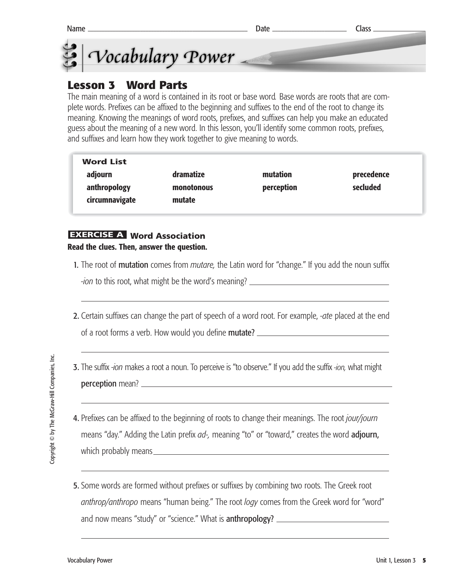



# **Lesson 3 Word Parts**

The main meaning of a word is contained in its root or base word*.* Base words are roots that are complete words. Prefixes can be affixed to the beginning and suffixes to the end of the root to change its meaning. Knowing the meanings of word roots, prefixes, and suffixes can help you make an educated guess about the meaning of a new word. In this lesson, you'll identify some common roots, prefixes, and suffixes and learn how they work together to give meaning to words.

| <b>Word List</b> |            |            |            |
|------------------|------------|------------|------------|
| adjourn          | dramatize  | mutation   | precedence |
| anthropology     | monotonous | perception | secluded   |
| circumnavigate   | mutate     |            |            |

#### **EXERCISE A Word Association Read the clues. Then, answer the question.**

- 1. The root of mutation comes from *mutare,* the Latin word for "change." If you add the noun suffix *-ion* to this root, what might be the word's meaning?
- 2. Certain suffixes can change the part of speech of a word root. For example, *-ate* placed at the end of a root forms a verb. How would you define mutate?

- 3. The suffix -*ion* makes a root a noun. To perceive is "to observe." If you add the suffix *-ion,* what might perception mean?
- 4. Prefixes can be affixed to the beginning of roots to change their meanings. The root *jour/journ* means "day." Adding the Latin prefix *ad-,* meaning "to" or "toward," creates the word adjourn, which probably means **with a structure of the structure of the structure of the structure of the structure of the structure of the structure of the structure of the structure of the structure of the structure of the struct**
- 5. Some words are formed without prefixes or suffixes by combining two roots. The Greek root *anthrop/anthropo* means "human being." The root *logy* comes from the Greek word for "word" and now means "study" or "science." What is anthropology?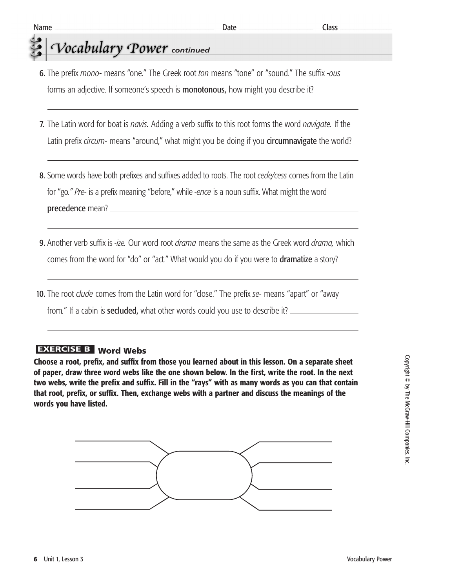# *<u>Cocabulary Power</u>* continued

- 6. The prefix *mono-* means "one." The Greek root *ton* means "tone" or "sound*.*" The suffix *-ous* forms an adjective. If someone's speech is **monotonous,** how might you describe it?
- 7. The Latin word for boat is *navis.* Adding a verb suffix to this root forms the word *navigate.* If the Latin prefix *circum-* means "around," what might you be doing if you circumnavigate the world?
- 8. Some words have both prefixes and suffixes added to roots. The root *cede/cess* comes from the Latin for "go*." Pre-* is a prefix meaning "before," while *-ence* is a noun suffix. What might the word precedence mean?
- 9. Another verb suffix is *-ize.* Our word root *drama* means the same as the Greek word *drama,* which comes from the word for "do" or "act*.*" What would you do if you were to dramatize a story?
- 10. The root *clude* comes from the Latin word for "close." The prefix *se-* means "apart" or "away from*.*" If a cabin is secluded, what other words could you use to describe it?

#### **EXERCISE B** Word Webs

**Choose a root, prefix, and suffix from those you learned about in this lesson. On a separate sheet of paper, draw three word webs like the one shown below. In the first, write the root. In the next two webs, write the prefix and suffix. Fill in the "rays" with as many words as you can that contain that root, prefix, or suffix. Then, exchange webs with a partner and discuss the meanings of the words you have listed.** 

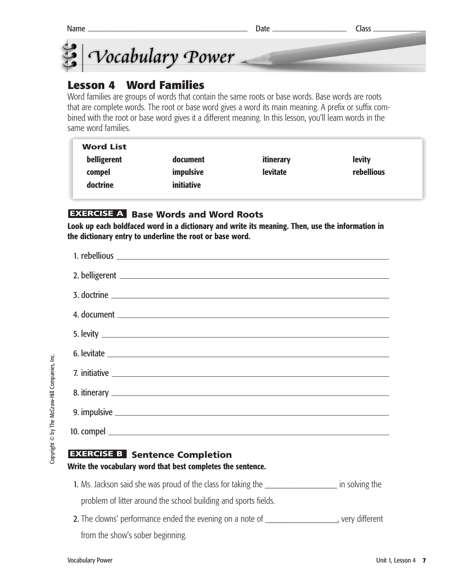



#### **Lesson 4 Word Families**

Word families are groups of words that contain the same roots or base words. Base words are roots that are complete words. The root or base word gives a word its main meaning. A prefix or suffix combined with the root or base word gives it a different meaning. In this lesson, you'll learn words in the same word families.

| <b>Word List</b> |            |                 |               |
|------------------|------------|-----------------|---------------|
| belligerent      | document   | itinerary       | <b>levity</b> |
| compel           | impulsive  | <b>levitate</b> | rebellious    |
| doctrine         | initiative |                 |               |
|                  |            |                 |               |

#### **EXERCISE A** Base Words and Word Roots

**Look up each boldfaced word in a dictionary and write its meaning. Then, use the information in the dictionary entry to underline the root or base word.**

| 5. levity |
|-----------|
|           |
|           |
|           |
|           |
|           |
|           |

#### **EXERCISE B** Sentence Completion **Write the vocabulary word that best completes the sentence.**

1. Ms. Jackson said she was proud of the class for taking the **Languary in solving the 1.** Ms. Jackson said she was proud of the class for taking the

problem of litter around the school building and sports fields.

2. The clowns' performance ended the evening on a note of \_\_\_\_\_\_\_\_\_\_\_\_\_\_\_\_\_, very different from the show's sober beginning.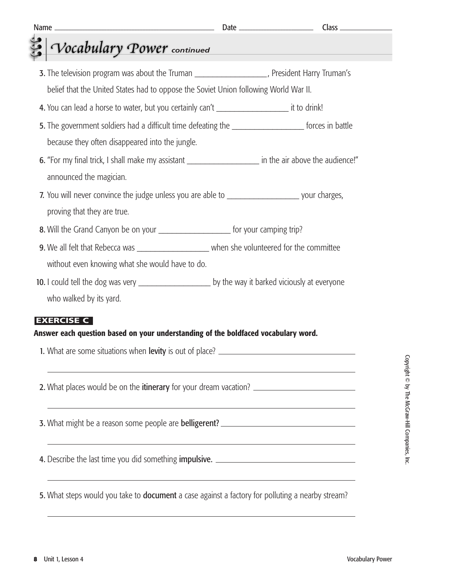# *Vocabulary Power* continued

3. The television program was about the Truman \_\_\_\_\_\_\_\_\_\_\_\_\_\_\_\_\_\_\_\_, President Harry Truman's belief that the United States had to oppose the Soviet Union following World War II. 4. You can lead a horse to water, but you certainly can't example to the set of the set of the set of the set o 5. The government soldiers had a difficult time defeating the same than the state forces in battle because they often disappeared into the jungle. 6. "For my final trick, I shall make my assistant \_\_\_\_\_\_\_\_\_\_\_\_\_\_\_\_\_\_\_\_\_\_\_\_ in the air above the audience!" announced the magician. 7. You will never convince the judge unless you are able to **Theorem 2016** your charges, proving that they are true. 8. Will the Grand Canyon be on your example for your camping trip? **9.** We all felt that Rebecca was **with all in the very sell on the volunteered for the committee** without even knowing what she would have to do. 10. I could tell the dog was very \_\_\_\_\_\_\_\_\_\_\_\_\_\_\_\_\_\_\_\_\_\_\_\_ by the way it barked viciously at everyone who walked by its yard. **Answer each question based on your understanding of the boldfaced vocabulary word. EXERCISE C**

1. What are some situations when levity is out of place? \_\_\_\_\_\_\_\_\_\_\_\_\_\_\_\_\_\_\_\_\_\_\_\_

2. What places would be on the **itinerary** for your dream vacation?

**3.** What might be a reason some people are **belligerent?** \_\_\_\_\_\_\_\_\_\_\_\_\_\_\_\_\_\_\_\_\_\_\_\_\_\_\_\_\_

4. Describe the last time you did something **impulsive.** \_\_\_\_\_\_\_\_\_\_\_\_\_\_\_\_\_\_\_\_\_\_\_\_\_\_\_\_\_\_

5. What steps would you take to **document** a case against a factory for polluting a nearby stream?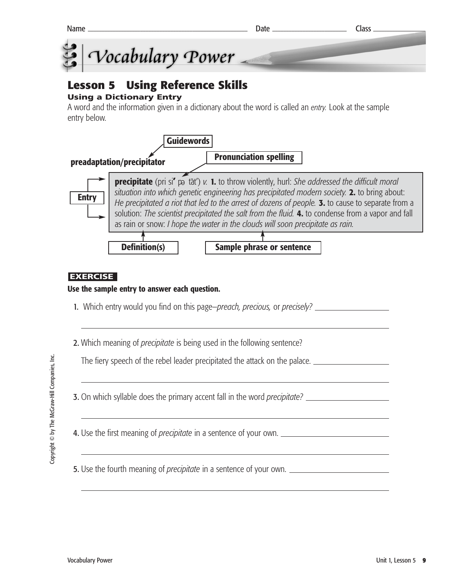



# **Lesson 5 Using Reference Skills**

#### **Using a Dictionary Entry**

A word and the information given in a dictionary about the word is called an *entry.* Look at the sample entry below.



#### **EXERCISE**

#### **Use the sample entry to answer each question.**

- 1. Which entry would you find on this page—*preach, precious,* or *precisely?*
- 2. Which meaning of *precipitate* is being used in the following sentence?

The fiery speech of the rebel leader precipitated the attack on the palace.

3. On which syllable does the primary accent fall in the word *precipitate?*

4. Use the first meaning of *precipitate* in a sentence of your own.

5. Use the fourth meaning of *precipitate* in a sentence of your own.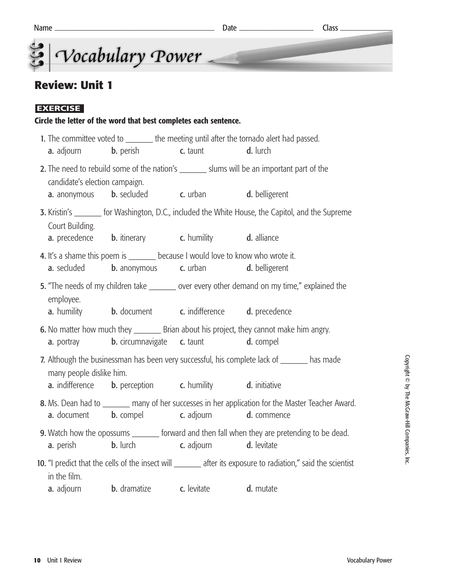# **Review: Unit 1**

#### **EXERCISE**

#### **Circle the letter of the word that best completes each sentence.**

|                                                                                                                                |                                                                                                                                                                  |  | 1. The committee voted to ________ the meeting until after the tornado alert had passed.                         |  |
|--------------------------------------------------------------------------------------------------------------------------------|------------------------------------------------------------------------------------------------------------------------------------------------------------------|--|------------------------------------------------------------------------------------------------------------------|--|
|                                                                                                                                | <b>a.</b> adjourn <b>b.</b> perish <b>c.</b> taunt                                                                                                               |  | d. lurch                                                                                                         |  |
| candidate's election campaign.                                                                                                 |                                                                                                                                                                  |  | 2. The need to rebuild some of the nation's ________ slums will be an important part of the                      |  |
|                                                                                                                                | <b>a.</b> anonymous <b>b.</b> secluded <b>c.</b> urban <b>d.</b> belligerent                                                                                     |  |                                                                                                                  |  |
| Court Building.                                                                                                                |                                                                                                                                                                  |  | 3. Kristin's ________ for Washington, D.C., included the White House, the Capitol, and the Supreme               |  |
|                                                                                                                                | <b>a.</b> precedence <b>b.</b> itinerary <b>c.</b> humility <b>d.</b> alliance                                                                                   |  |                                                                                                                  |  |
|                                                                                                                                | 4. It's a shame this poem is ________ because I would love to know who wrote it.<br><b>a.</b> secluded <b>b.</b> anonymous <b>c.</b> urban <b>d.</b> belligerent |  |                                                                                                                  |  |
| employee.                                                                                                                      |                                                                                                                                                                  |  | 5. "The needs of my children take _______ over every other demand on my time," explained the                     |  |
|                                                                                                                                | <b>a.</b> humility <b>b.</b> document <b>c.</b> indifference <b>d.</b> precedence                                                                                |  |                                                                                                                  |  |
|                                                                                                                                | a. portray b. circumnavigate c. taunt d. compel                                                                                                                  |  | 6. No matter how much they __________ Brian about his project, they cannot make him angry.                       |  |
| 7. Although the businessman has been very successful, his complete lack of _______ has made<br>many people dislike him.        |                                                                                                                                                                  |  |                                                                                                                  |  |
|                                                                                                                                | <b>a.</b> indifference <b>b.</b> perception <b>c.</b> humility <b>d.</b> initiative                                                                              |  |                                                                                                                  |  |
|                                                                                                                                | <b>a.</b> document <b>b.</b> compel <b>c.</b> adjourn                                                                                                            |  | 8. Ms. Dean had to _______ many of her successes in her application for the Master Teacher Award.<br>d. commence |  |
|                                                                                                                                | <b>a.</b> perish <b>b.</b> lurch <b>c.</b> adjourn <b>d.</b> levitate                                                                                            |  | 9. Watch how the opossums _______ forward and then fall when they are pretending to be dead.                     |  |
| 10. "I predict that the cells of the insect will ________ after its exposure to radiation," said the scientist<br>in the film. |                                                                                                                                                                  |  |                                                                                                                  |  |
|                                                                                                                                | <b>a.</b> adjourn <b>b.</b> dramatize <b>c.</b> levitate                                                                                                         |  | d. mutate                                                                                                        |  |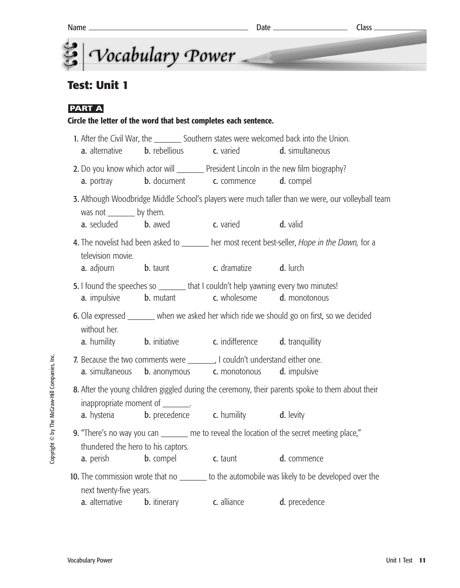

# **Test: Unit 1**

#### **PART A**

## **Circle the letter of the word that best completes each sentence.**  1. After the Civil War, the Southern states were welcomed back into the Union. **a.** alternative **b.** rebellious **c.** varied **d.** simultaneous 2. Do you know which actor will \_\_\_\_\_\_\_\_ President Lincoln in the new film biography? **a.** portray **b.** document **c.** commence **d.** compel 3. Although Woodbridge Middle School's players were much taller than we were, our volleyball team was not \_\_\_\_\_\_\_\_\_ by them. a. secluded b. awed c. varied d. valid 4. The novelist had been asked to **where most recent best-seller**, *Hope in the Dawn*, for a television movie. **a.** adiourn **b.** taunt **c.** dramatize **d.** lurch 5. I found the speeches so \_\_\_\_\_\_\_ that I couldn't help yawning every two minutes! a. impulsive b. mutant c. wholesome d. monotonous 6. Ola expressed \_\_\_\_\_\_ when we asked her which ride we should go on first, so we decided without her **a.** humility **b.** initiative **c.** indifference **d.** tranquillity 7. Because the two comments were ... I couldn't understand either one. **a.** simultaneous **b.** anonymous **c.** monotonous **d.** impulsive 8. After the young children giggled during the ceremony, their parents spoke to them about their inappropriate moment of **a.** hysteria **b.** precedence **c.** humility **d.** levity **9.** "There's no way you can \_\_\_\_\_\_\_ me to reveal the location of the secret meeting place," thundered the hero to his captors. **a.** perish **b.** compel **c.** taunt **d.** commence 10. The commission wrote that no \_\_\_\_\_\_\_ to the automobile was likely to be developed over the next twenty-five years. a. alternative b. itinerary c. alliance d. precedence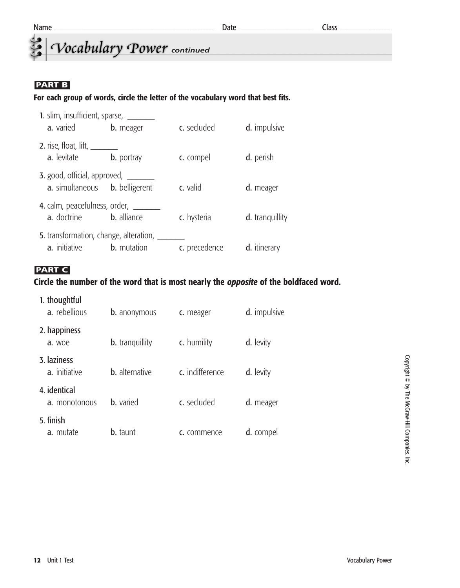*<u>Cocabulary</u>* Power continued

#### **PART B**

#### **For each group of words, circle the letter of the vocabulary word that best fits.**

| 1. slim, insufficient, sparse, __                         |                       |               |                        |  |
|-----------------------------------------------------------|-----------------------|---------------|------------------------|--|
| a. varied                                                 | <b>b.</b> meager      | c. secluded   | d. impulsive           |  |
| 2. rise, float, $\lim_{n \to \infty}$<br>a. levitate      | <b>b.</b> portray     | c. compel     | d. perish              |  |
| <b>3.</b> good, official, approved, __<br>a. simultaneous | <b>b.</b> belligerent | c. valid      | d. meager              |  |
| 4. calm, peacefulness, order, __<br>a. doctrine           | <b>b.</b> alliance    | c. hysteria   | <b>d.</b> tranguillity |  |
| 5. transformation, change, alteration,<br>a. initiative   | <b>b.</b> mutation    | c. precedence | d. itinerary           |  |

#### **PART C**

#### **Circle the number of the word that is most nearly the** *opposite* **of the boldfaced word.**

| 1. thoughtful<br>a. rebellious | <b>b.</b> anonymous    | c. meager       | d. impulsive |
|--------------------------------|------------------------|-----------------|--------------|
| 2. happiness<br>a. woe         | <b>b.</b> tranguillity | c. humility     | d. levity    |
| 3. laziness<br>a. initiative   | <b>b.</b> alternative  | c. indifference | d. levity    |
| 4. identical<br>a. monotonous  | <b>b.</b> varied       | c. secluded     | d. meager    |
| 5. finish<br>a. mutate         | <b>b.</b> taunt        | c. commence     | d. compel    |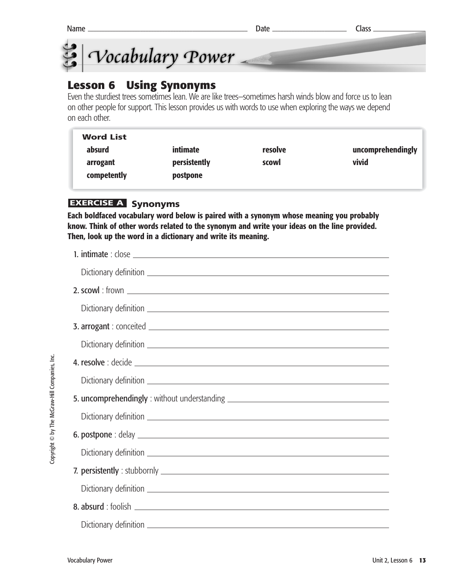



#### **Lesson 6 Using Synonyms**

Even the sturdiest trees sometimes lean. We are like trees–sometimes harsh winds blow and force us to lean on other people for support. This lesson provides us with words to use when exploring the ways we depend on each other.

| <b>Word List</b> |              |         |                   |
|------------------|--------------|---------|-------------------|
| absurd           | intimate     | resolve | uncomprehendingly |
| arrogant         | persistently | scowl   | vivid             |
| competently      | postpone     |         |                   |

#### **EXERCISE A Synonyms**

**Each boldfaced vocabulary word below is paired with a synonym whose meaning you probably know. Think of other words related to the synonym and write your ideas on the line provided. Then, look up the word in a dictionary and write its meaning.**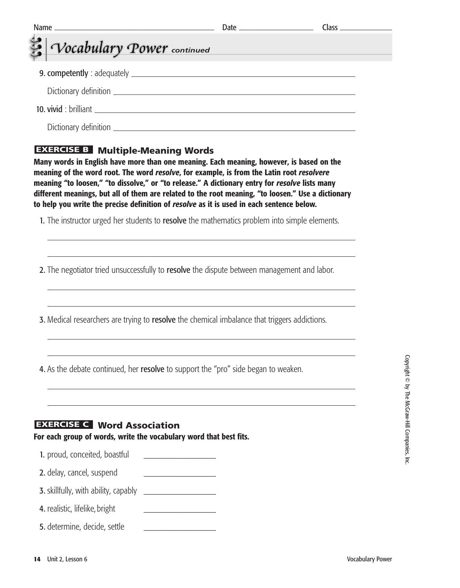| <b>Name</b>                                                                                              |                                                                                                                                                                                                                                                                                                                                                                                                                                                                                            | Class <sub>-</sub> |
|----------------------------------------------------------------------------------------------------------|--------------------------------------------------------------------------------------------------------------------------------------------------------------------------------------------------------------------------------------------------------------------------------------------------------------------------------------------------------------------------------------------------------------------------------------------------------------------------------------------|--------------------|
| Vocabulary Power continued                                                                               |                                                                                                                                                                                                                                                                                                                                                                                                                                                                                            |                    |
|                                                                                                          |                                                                                                                                                                                                                                                                                                                                                                                                                                                                                            |                    |
|                                                                                                          |                                                                                                                                                                                                                                                                                                                                                                                                                                                                                            |                    |
|                                                                                                          |                                                                                                                                                                                                                                                                                                                                                                                                                                                                                            |                    |
|                                                                                                          |                                                                                                                                                                                                                                                                                                                                                                                                                                                                                            |                    |
| <b>EXERCISE B</b> Multiple-Meaning Words                                                                 | Many words in English have more than one meaning. Each meaning, however, is based on the<br>meaning of the word root. The word resolve, for example, is from the Latin root resolvere<br>meaning "to loosen," "to dissolve," or "to release." A dictionary entry for resolve lists many<br>different meanings, but all of them are related to the root meaning, "to loosen." Use a dictionary<br>to help you write the precise definition of resolve as it is used in each sentence below. |                    |
|                                                                                                          | 1. The instructor urged her students to resolve the mathematics problem into simple elements.                                                                                                                                                                                                                                                                                                                                                                                              |                    |
|                                                                                                          | 2. The negotiator tried unsuccessfully to resolve the dispute between management and labor.                                                                                                                                                                                                                                                                                                                                                                                                |                    |
|                                                                                                          | 3. Medical researchers are trying to resolve the chemical imbalance that triggers addictions.                                                                                                                                                                                                                                                                                                                                                                                              |                    |
|                                                                                                          | 4. As the debate continued, her resolve to support the "pro" side began to weaken.                                                                                                                                                                                                                                                                                                                                                                                                         |                    |
| <b>EXERCISE C</b> Word Association<br>For each group of words, write the vocabulary word that best fits. |                                                                                                                                                                                                                                                                                                                                                                                                                                                                                            |                    |
|                                                                                                          | <u> Alexandria de la conte</u>                                                                                                                                                                                                                                                                                                                                                                                                                                                             |                    |
| 1. proud, conceited, boastful                                                                            |                                                                                                                                                                                                                                                                                                                                                                                                                                                                                            |                    |
| 2. delay, cancel, suspend                                                                                |                                                                                                                                                                                                                                                                                                                                                                                                                                                                                            |                    |
| <b>3.</b> skillfully, with ability, capably                                                              |                                                                                                                                                                                                                                                                                                                                                                                                                                                                                            |                    |
| 4. realistic, lifelike, bright                                                                           | <u> 1990 - Johann Barbara, martxa al</u>                                                                                                                                                                                                                                                                                                                                                                                                                                                   |                    |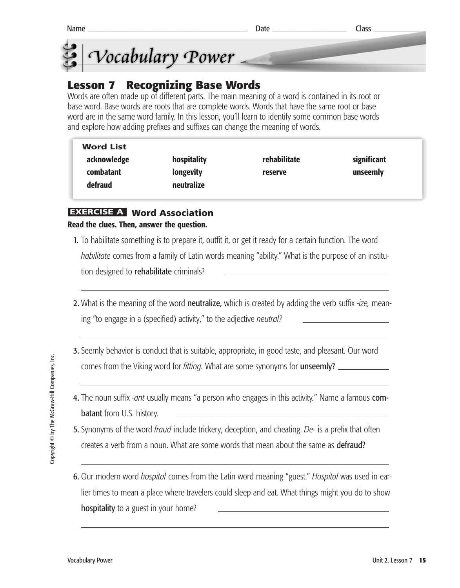



## **Lesson 7 Recognizing Base Words**

Words are often made up of different parts. The main meaning of a word is contained in its root or base word. Base words are roots that are complete words. Words that have the same root or base word are in the same word family. In this lesson, you'll learn to identify some common base words and explore how adding prefixes and suffixes can change the meaning of words.

| <b>Word List</b> |                  |              |             |
|------------------|------------------|--------------|-------------|
| acknowledge      | hospitality      | rehabilitate | significant |
| combatant        | <b>longevity</b> | reserve      | unseemly    |
| defraud          | neutralize       |              |             |

#### **Word Association EXERCISE A Read the clues. Then, answer the question.**

- 1. To habilitate something is to prepare it, outfit it, or get it ready for a certain function. The word *habilitate* comes from a family of Latin words meaning "ability." What is the purpose of an institution designed to **rehabilitate** criminals?
- 2. What is the meaning of the word neutralize, which is created by adding the verb suffix -*ize,* meaning "to engage in a (specified) activity," to the adjective *neutral?*
- 3. Seemly behavior is conduct that is suitable, appropriate, in good taste, and pleasant. Our word comes from the Viking word for *fitting.* What are some synonyms for unseemly?
- 4. The noun suffix *-ant* usually means "a person who engages in this activity*.*" Name a famous combatant from U.S. history.
- 5. Synonyms of the word *fraud* include trickery, deception, and cheating. *De-* is a prefix that often creates a verb from a noun. What are some words that mean about the same as defraud?
- 6. Our modern word *hospital* comes from the Latin word meaning "guest." *Hospital* was used in earlier times to mean a place where travelers could sleep and eat. What things might you do to show hospitality to a guest in your home?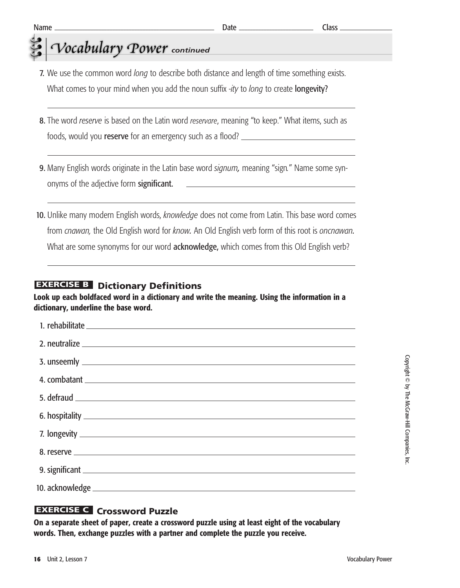# *Vocabulary Power* continued

- 7. We use the common word *long* to describe both distance and length of time something exists. What comes to your mind when you add the noun suffix -*ity* to *long* to create longevity?
- 8. The word *reserve* is based on the Latin word *reservare*, meaning "to keep." What items, such as foods, would you reserve for an emergency such as a flood?
- 9. Many English words originate in the Latin base word *signum,* meaning "sign*.*" Name some synonyms of the adjective form significant.
- 10. Unlike many modern English words, *knowledge* does not come from Latin. This base word comes from *cnawan,* the Old English word for *know.* An Old English verb form of this root is *oncnawan.* What are some synonyms for our word **acknowledge**, which comes from this Old English verb?

#### **EXERCISE B** Dictionary Definitions

**Look up each boldfaced word in a dictionary and write the meaning. Using the information in a dictionary, underline the base word.** 

#### **Crossword Puzzle EXERCISE C**

**On a separate sheet of paper, create a crossword puzzle using at least eight of the vocabulary words. Then, exchange puzzles with a partner and complete the puzzle you receive.**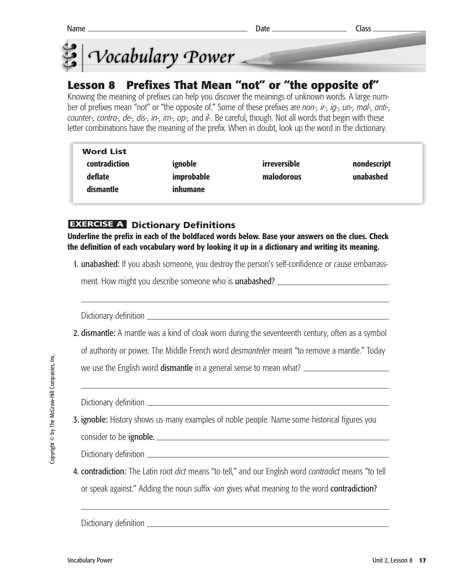



### **Lesson 8 Prefixes That Mean "not" or "the opposite of"**

Knowing the meaning of prefixes can help you discover the meanings of unknown words. A large number of prefixes mean "not" or "the opposite of." Some of these prefixes are *non-, ir-, ig-, un-, mal-, anti-, counter-, contra-, de-, dis-, in-, im-, op-,* and *il-.* Be careful, though. Not all words that begin with these letter combinations have the meaning of the prefix. When in doubt, look up the word in the dictionary.

| <b>Word List</b>     |            |              |             |
|----------------------|------------|--------------|-------------|
| <b>contradiction</b> | ignoble    | irreversible | nondescript |
| deflate              | improbable | malodorous   | unabashed   |
| dismantle            | inhumane   |              |             |
|                      |            |              |             |

#### **EXERCISE A Dictionary Definitions**

**Underline the prefix in each of the boldfaced words below. Base your answers on the clues. Check the definition of each vocabulary word by looking it up in a dictionary and writing its meaning.**

1. unabashed: If you abash someone, you destroy the person's self-confidence or cause embarrass-

ment. How might you describe someone who is **unabashed?** \_\_\_\_\_\_\_\_\_\_\_\_\_\_\_\_\_\_\_\_\_\_\_\_\_

Dictionary definition

2. dismantle: A mantle was a kind of cloak worn during the seventeenth century, often as a symbol

of authority or power. The Middle French word *desmanteler* meant "to remove a mantle." Today

we use the English word **dismantle** in a general sense to mean what?

Dictionary definition

**3. ignoble:** History shows us many examples of noble people. Name some historical figures you

consider to be **ignoble.** 

Dictionary definition

4. contradiction: The Latin root *dict* means "to tell," and our English word *contradict* means "to tell or speak against." Adding the noun suffix *-ion* gives what meaning to the word contradiction?

Dictionary definition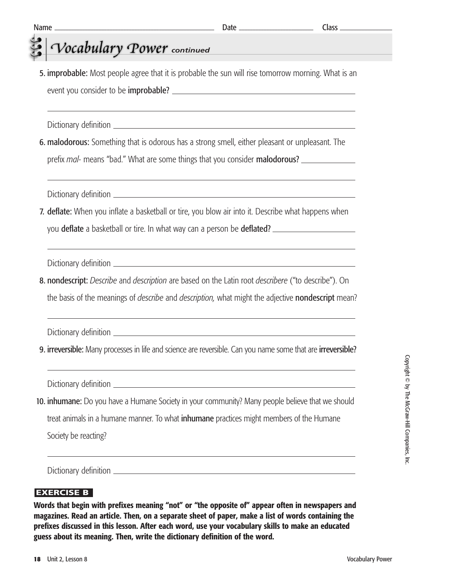# *Vocabulary Power* continued

5. **improbable:** Most people agree that it is probable the sun will rise tomorrow morning. What is an event you consider to be improbable?

Dictionary definition \_

6. malodorous: Something that is odorous has a strong smell, either pleasant or unpleasant. The prefix *mal-* means "bad." What are some things that you consider malodorous?

Dictionary definition

7. deflate: When you inflate a basketball or tire, you blow air into it. Describe what happens when you deflate a basketball or tire. In what way can a person be deflated?

Dictionary definition

8. nondescript: *Describe* and *description* are based on the Latin root *describere* ("to describe"). On the basis of the meanings of *describe* and *description,* what might the adjective nondescript mean?

Dictionary definition

9. irreversible: Many processes in life and science are reversible. Can you name some that are irreversible?

Dictionary definition

10. inhumane: Do you have a Humane Society in your community? Many people believe that we should treat animals in a humane manner. To what inhumane practices might members of the Humane Society be reacting?

Dictionary definition

#### **EXERCISE B**

**Words that begin with prefixes meaning "not" or "the opposite of" appear often in newspapers and magazines. Read an article. Then, on a separate sheet of paper, make a list of words containing the prefixes discussed in this lesson. After each word, use your vocabulary skills to make an educated guess about its meaning. Then, write the dictionary definition of the word.**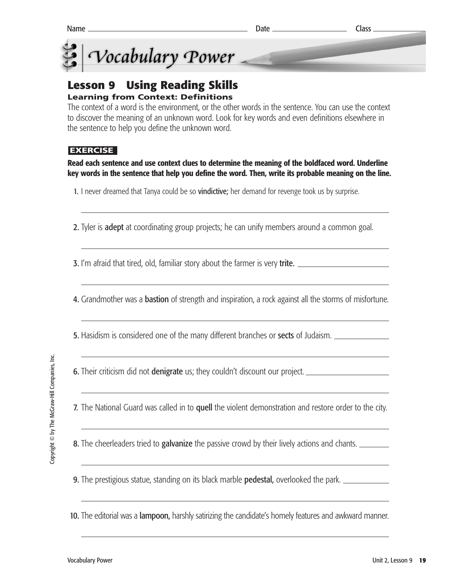

# **Lesson 9 Using Reading Skills**

#### **Learning from Context: Definitions**

The context of a word is the environment, or the other words in the sentence. You can use the context to discover the meaning of an unknown word. Look for key words and even definitions elsewhere in the sentence to help you define the unknown word.

#### **EXERCISE**

#### **Read each sentence and use context clues to determine the meaning of the boldfaced word. Underline key words in the sentence that help you define the word. Then, write its probable meaning on the line.**

- 1. I never dreamed that Tanya could be so **vindictive**; her demand for revenge took us by surprise.
- 2. Tyler is **adept** at coordinating group projects; he can unify members around a common goal.

**3.** I'm afraid that tired, old, familiar story about the farmer is very **trite.** \_\_\_\_\_\_\_\_\_\_\_\_\_\_\_\_\_\_\_\_\_\_\_\_\_\_\_\_\_\_\_\_

4. Grandmother was a **bastion** of strength and inspiration, a rock against all the storms of misfortune.

**5.** Hasidism is considered one of the many different branches or **sects** of Judaism.

6. Their criticism did not **denigrate** us; they couldn't discount our project.

7. The National Guard was called in to quell the violent demonstration and restore order to the city.

**8.** The cheerleaders tried to **galvanize** the passive crowd by their lively actions and chants.

**9.** The prestigious statue, standing on its black marble **pedestal**, overlooked the park.

10. The editorial was a lampoon, harshly satirizing the candidate's homely features and awkward manner.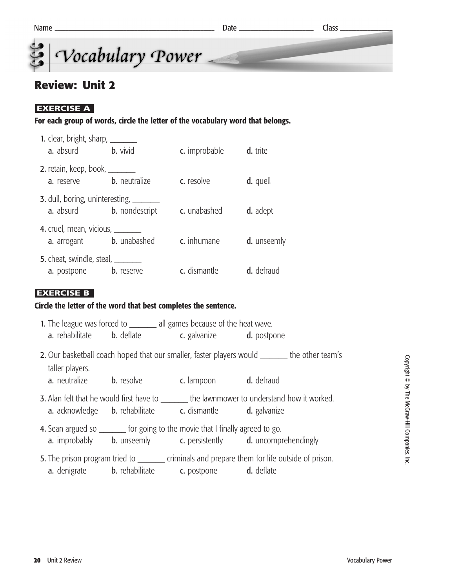

#### **Review: Unit 2**

#### **EXERCISE A**

**For each group of words, circle the letter of the vocabulary word that belongs.**

| 1. clear, bright, sharp, ________<br>a. absurd                                    | <b>b.</b> vivid                                                   | c. improbable | d. trite          |
|-----------------------------------------------------------------------------------|-------------------------------------------------------------------|---------------|-------------------|
| 2. retain, keep, book, ________<br>a. reserve                                     | <b>b.</b> neutralize                                              | c. resolve    | d. quell          |
| <b>a.</b> absurd                                                                  | 3. dull, boring, uninteresting, ________<br><b>b.</b> nondescript | c. unabashed  | d. adept          |
| 4. cruel, mean, vicious, ________                                                 | <b>a.</b> arrogant <b>b.</b> unabashed                            | c. inhumane   | d. unseemly       |
| <b>5.</b> cheat, swindle, steal, ________<br><b>a.</b> postpone <b>b.</b> reserve |                                                                   | c. dismantle  | <b>d.</b> defraud |

#### **EXERCISE B**

#### **Circle the letter of the word that best completes the sentence.**

|                                                                                |                                        | 1. The league was forced to _________ all games because of the heat wave.<br><b>a.</b> rehabilitate <b>b.</b> deflate <b>c.</b> galvanize <b>d.</b> postpone |                                                                                                     |  |
|--------------------------------------------------------------------------------|----------------------------------------|--------------------------------------------------------------------------------------------------------------------------------------------------------------|-----------------------------------------------------------------------------------------------------|--|
|                                                                                |                                        |                                                                                                                                                              |                                                                                                     |  |
| taller players.                                                                |                                        |                                                                                                                                                              | 2. Our basketball coach hoped that our smaller, faster players would ________ the other team's      |  |
|                                                                                | <b>a.</b> neutralize <b>b.</b> resolve | <b>c.</b> lampoon <b>d.</b> defraud                                                                                                                          |                                                                                                     |  |
|                                                                                |                                        | <b>a.</b> acknowledge <b>b.</b> rehabilitate <b>c.</b> dismantle <b>d.</b> galvanize                                                                         | <b>3.</b> Alan felt that he would first have to ________ the lawnmower to understand how it worked. |  |
| 4. Sean argued so ________ for going to the movie that I finally agreed to go. |                                        |                                                                                                                                                              | <b>a.</b> improbably <b>b.</b> unseemly <b>c.</b> persistently <b>d.</b> uncomprehendingly          |  |
|                                                                                |                                        | <b>a.</b> denigrate <b>b.</b> rehabilitate <b>c.</b> postpone <b>d.</b> deflate                                                                              | 5. The prison program tried to ________ criminals and prepare them for life outside of prison.      |  |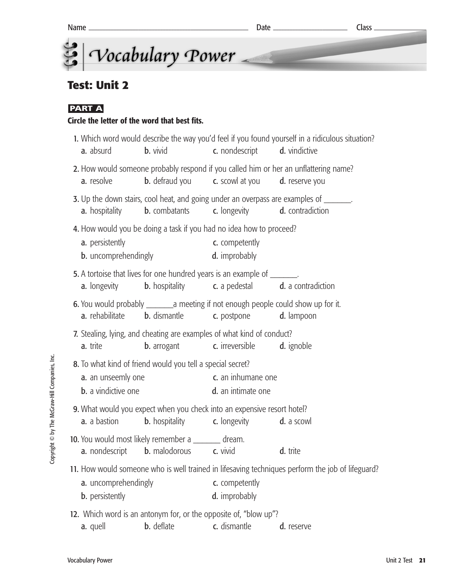# **Test: Unit 2**

#### **PART A**

#### **Circle the letter of the word that best fits.**

| a. absurd                                                  | <b>b.</b> vivid                                                                                             | c. nondescript                                                       | 1. Which word would describe the way you'd feel if you found yourself in a ridiculous situation?<br><b>d.</b> vindictive |
|------------------------------------------------------------|-------------------------------------------------------------------------------------------------------------|----------------------------------------------------------------------|--------------------------------------------------------------------------------------------------------------------------|
| a. resolve                                                 | <b>b.</b> defraud you <b>c.</b> scowl at you                                                                |                                                                      | 2. How would someone probably respond if you called him or her an unflattering name?<br>d. reserve you                   |
| <b>a.</b> hospitality                                      | <b>b.</b> combatants                                                                                        | c. longevity                                                         | 3. Up the down stairs, cool heat, and going under an overpass are examples of _______.<br>d. contradiction               |
| a. persistently<br><b>b.</b> uncomprehendingly             | 4. How would you be doing a task if you had no idea how to proceed?                                         | c. competently<br>d. improbably                                      |                                                                                                                          |
| <b>a.</b> longevity                                        | 5. A tortoise that lives for one hundred years is an example of ________.                                   | <b>b.</b> hospitality <b>c.</b> a pedestal <b>d.</b> a contradiction |                                                                                                                          |
| a. rehabilitate                                            | 6. You would probably _________ a meeting if not enough people could show up for it.<br><b>b.</b> dismantle | c. postpone                                                          | d. lampoon                                                                                                               |
|                                                            | 7. Stealing, lying, and cheating are examples of what kind of conduct?                                      |                                                                      |                                                                                                                          |
| a. trite                                                   | <b>b.</b> arrogant                                                                                          | c. irreversible                                                      | d. ignoble                                                                                                               |
| 8. To what kind of friend would you tell a special secret? |                                                                                                             |                                                                      |                                                                                                                          |
| a. an unseemly one                                         |                                                                                                             | c. an inhumane one                                                   |                                                                                                                          |
| <b>b.</b> a vindictive one                                 |                                                                                                             | d. an intimate one                                                   |                                                                                                                          |
|                                                            | 9. What would you expect when you check into an expensive resort hotel?                                     |                                                                      |                                                                                                                          |
| a. a bastion                                               | <b>b.</b> hospitality                                                                                       | c. longevity                                                         | d. a scowl                                                                                                               |
|                                                            | 10. You would most likely remember a _______ dream.                                                         |                                                                      |                                                                                                                          |
| a. nondescript                                             | <b>b.</b> malodorous c. vivid                                                                               |                                                                      | d. trite                                                                                                                 |
|                                                            |                                                                                                             |                                                                      | 11. How would someone who is well trained in lifesaving techniques perform the job of lifeguard?                         |
| a. uncomprehendingly                                       |                                                                                                             | c. competently                                                       |                                                                                                                          |
| <b>b.</b> persistently                                     |                                                                                                             | d. improbably                                                        |                                                                                                                          |
|                                                            | 12. Which word is an antonym for, or the opposite of, "blow up"?                                            |                                                                      |                                                                                                                          |
| a. quell                                                   | b. deflate                                                                                                  | c. dismantle                                                         | d. reserve                                                                                                               |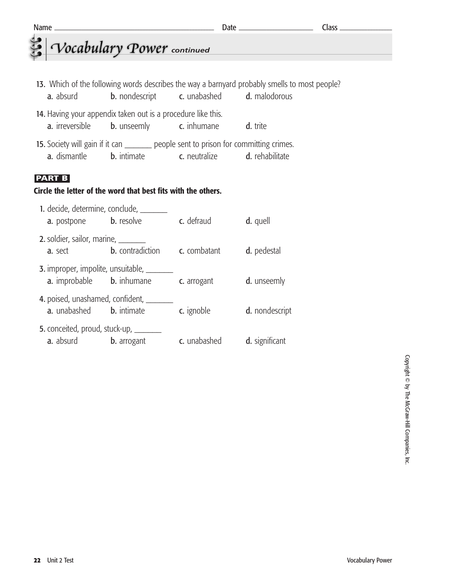| Name                                                                                                           | the control of the control of the control of the control of the control of the control of |                                                                |                                                                                               | $Class$ <sub>____</sub> |  |  |
|----------------------------------------------------------------------------------------------------------------|-------------------------------------------------------------------------------------------|----------------------------------------------------------------|-----------------------------------------------------------------------------------------------|-------------------------|--|--|
|                                                                                                                | Vocabulary Power continued                                                                |                                                                |                                                                                               |                         |  |  |
|                                                                                                                |                                                                                           |                                                                |                                                                                               |                         |  |  |
|                                                                                                                |                                                                                           |                                                                | 13. Which of the following words describes the way a barnyard probably smells to most people? |                         |  |  |
| <b>a.</b> absurd                                                                                               |                                                                                           | <b>b.</b> nondescript <b>c.</b> unabashed <b>d.</b> malodorous |                                                                                               |                         |  |  |
| 14. Having your appendix taken out is a procedure like this.                                                   |                                                                                           |                                                                |                                                                                               |                         |  |  |
| a. irreversible                                                                                                | <b>b.</b> unseemly <b>c.</b> inhumane                                                     |                                                                | d. trite                                                                                      |                         |  |  |
|                                                                                                                | 15. Society will gain if it can _________ people sent to prison for committing crimes.    |                                                                |                                                                                               |                         |  |  |
|                                                                                                                | <b>a.</b> dismantle <b>b.</b> intimate <b>c.</b> neutralize <b>d.</b> rehabilitate        |                                                                |                                                                                               |                         |  |  |
| <b>PART B</b>                                                                                                  |                                                                                           |                                                                |                                                                                               |                         |  |  |
| Circle the letter of the word that best fits with the others.                                                  |                                                                                           |                                                                |                                                                                               |                         |  |  |
|                                                                                                                | 1. decide, determine, conclude, _______                                                   |                                                                |                                                                                               |                         |  |  |
|                                                                                                                | <b>a.</b> postpone <b>b.</b> resolve                                                      | c. defraud                                                     | d. quell                                                                                      |                         |  |  |
| 2. soldier, sailor, marine, _______                                                                            |                                                                                           |                                                                |                                                                                               |                         |  |  |
| <b>a.</b> sect                                                                                                 | <b>b.</b> contradiction <b>c.</b> combatant                                               |                                                                | d. pedestal                                                                                   |                         |  |  |
|                                                                                                                | <b>3.</b> improper, impolite, unsuitable, ________                                        |                                                                |                                                                                               |                         |  |  |
|                                                                                                                | <b>a.</b> improbable <b>b.</b> inhumane <b>c.</b> arrogant <b>d.</b> unseemly             |                                                                |                                                                                               |                         |  |  |
| A resistant de la construcción de la contrata de la contrata de la contrata de la contrata de la contrata de l |                                                                                           |                                                                |                                                                                               |                         |  |  |

4. poised, unashamed, confident, a. unabashed b. intimate c. ignoble d. nondescript 5. conceited, proud, stuck-up, \_\_\_\_\_ a. absurd b. arrogant c. unabashed d. significant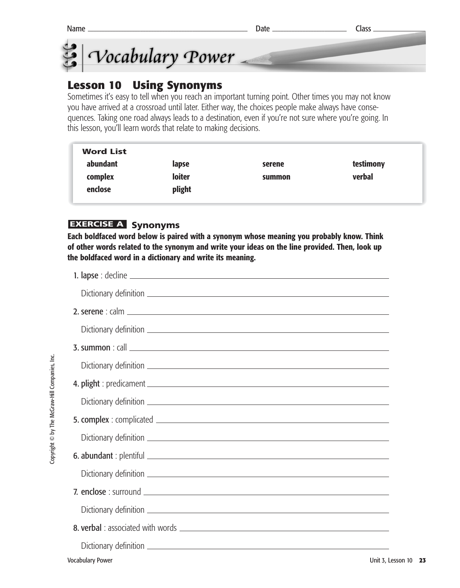



#### **Lesson 10 Using Synonyms**

Sometimes it's easy to tell when you reach an important turning point. Other times you may not know you have arrived at a crossroad until later. Either way, the choices people make always have consequences. Taking one road always leads to a destination, even if you're not sure where you're going. In this lesson, you'll learn words that relate to making decisions.

| <b>Word List</b> |        |        |           |
|------------------|--------|--------|-----------|
| abundant         | lapse  | serene | testimony |
| complex          | loiter | summon | verbal    |
| enclose          | plight |        |           |
|                  |        |        |           |

#### **EXERCISE A** Synonyms

**Each boldfaced word below is paired with a synonym whose meaning you probably know. Think of other words related to the synonym and write your ideas on the line provided. Then, look up the boldfaced word in a dictionary and write its meaning.**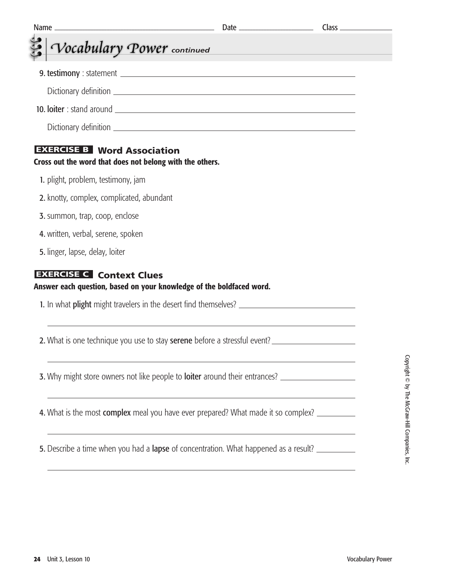| Name_<br><u> 1989 - Johann John Stone, markin film yn y brening yn y brening yn y brening yn y brening y brening yn y bre</u> |                                                                                                                        |  |
|-------------------------------------------------------------------------------------------------------------------------------|------------------------------------------------------------------------------------------------------------------------|--|
| Vocabulary Power continued                                                                                                    |                                                                                                                        |  |
|                                                                                                                               |                                                                                                                        |  |
|                                                                                                                               |                                                                                                                        |  |
|                                                                                                                               |                                                                                                                        |  |
|                                                                                                                               |                                                                                                                        |  |
| <b>EXERCISE B</b> Word Association<br>Cross out the word that does not belong with the others.                                |                                                                                                                        |  |
| 1. plight, problem, testimony, jam                                                                                            |                                                                                                                        |  |
| 2. knotty, complex, complicated, abundant                                                                                     |                                                                                                                        |  |
| <b>3.</b> summon, trap, coop, enclose                                                                                         |                                                                                                                        |  |
| 4. written, verbal, serene, spoken                                                                                            |                                                                                                                        |  |
| 5. linger, lapse, delay, loiter                                                                                               |                                                                                                                        |  |
| <b>EXERCISE C</b> Context Clues<br>Answer each question, based on your knowledge of the boldfaced word.                       |                                                                                                                        |  |
|                                                                                                                               |                                                                                                                        |  |
| 2. What is one technique you use to stay serene before a stressful event?                                                     |                                                                                                                        |  |
|                                                                                                                               |                                                                                                                        |  |
| 4. What is the most complex meal you have ever prepared? What made it so complex?                                             | <u> 1989 - Johann Barn, mars ann an t-Amhain ann an t-Amhain ann an t-Amhain ann an t-Amhain an t-Amhain ann an t-</u> |  |
| 5. Describe a time when you had a lapse of concentration. What happened as a result?                                          | <u> 1989 - Johann Stoff, amerikansk politiker (d. 1989)</u>                                                            |  |
|                                                                                                                               | <u> 1989 - Johann Stoff, amerikansk politiker (d. 1989)</u>                                                            |  |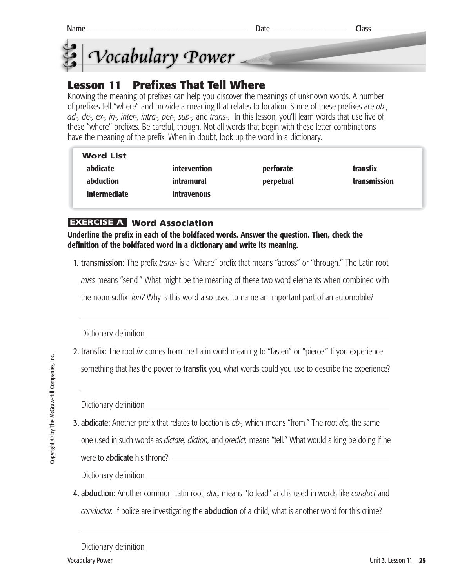



# **Lesson 11 Prefixes That Tell Where**

Knowing the meaning of prefixes can help you discover the meanings of unknown words. A number of prefixes tell "where" and provide a meaning that relates to location*.* Some of these prefixes are *ab-, ad-, de-, ex-, in-, inter-, intra-, per-, sub-,* and *trans-.* In this lesson, you'll learn words that use five of these "where" prefixes. Be careful, though. Not all words that begin with these letter combinations have the meaning of the prefix. When in doubt, look up the word in a dictionary.

| <b>Word List</b> |              |           |              |
|------------------|--------------|-----------|--------------|
| abdicate         | intervention | perforate | transfix     |
| abduction        | intramural   | perpetual | transmission |
| intermediate     | intravenous  |           |              |

#### **Word Association EXERCISE A**

**Underline the prefix in each of the boldfaced words. Answer the question. Then, check the definition of the boldfaced word in a dictionary and write its meaning.**

1. transmission: The prefix *trans-* is a "where" prefix that means "across" or "through." The Latin root

*miss* means "send*.*" What might be the meaning of these two word elements when combined with

the noun suffix *-ion?* Why is this word also used to name an important part of an automobile?

Dictionary definition

2. transfix: The root *fix* comes from the Latin word meaning to "fasten" or "pierce." If you experience

something that has the power to **transfix** you, what words could you use to describe the experience?

Dictionary definition

3. abdicate: Another prefix that relates to location is *ab-,* which means "from*.*" The root *dic,* the same one used in such words as *dictate, diction,* and *predict,* means "tell*.*" What would a king be doing if he

were to **abdicate** his throne? **Example 2** and the set of the set of the set of the set of the set of the set of the set of the set of the set of the set of the set of the set of the set of the set of the set of the set of

Dictionary definition

4. abduction: Another common Latin root, *duc,* means "to lead" and is used in words like *conduct* and *conductor.* If police are investigating the abduction of a child, what is another word for this crime?

Dictionary definition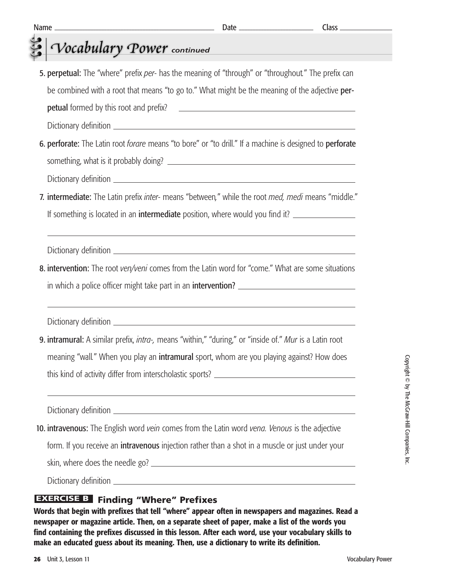| <b>petual</b> formed by this root and prefix?                                                                                                                                                                                                                           |
|-------------------------------------------------------------------------------------------------------------------------------------------------------------------------------------------------------------------------------------------------------------------------|
|                                                                                                                                                                                                                                                                         |
| 6. perforate: The Latin root forare means "to bore" or "to drill." If a machine is designed to perforate                                                                                                                                                                |
|                                                                                                                                                                                                                                                                         |
| 7. intermediate: The Latin prefix inter- means "between," while the root med, medi means "middle."<br>If something is located in an intermediate position, where would you find it?<br>,我们也不能在这里的时候,我们也不能在这里的时候,我们也不能会在这里的时候,我们也不能会在这里的时候,我们也不能会在这里的时候,我们也不能会在这里的时候,我们也 |
|                                                                                                                                                                                                                                                                         |
| 8. intervention: The root ven/veni comes from the Latin word for "come." What are some situations                                                                                                                                                                       |
|                                                                                                                                                                                                                                                                         |
|                                                                                                                                                                                                                                                                         |
| 9. intramural: A similar prefix, <i>intra-</i> , means "within," "during," or "inside of." Mur is a Latin root                                                                                                                                                          |
| meaning "wall." When you play an intramural sport, whom are you playing against? How does                                                                                                                                                                               |
|                                                                                                                                                                                                                                                                         |
|                                                                                                                                                                                                                                                                         |
| 10. intravenous: The English word vein comes from the Latin word vena. Venous is the adjective                                                                                                                                                                          |
| form. If you receive an intravenous injection rather than a shot in a muscle or just under your                                                                                                                                                                         |
| skin, where does the needle go?                                                                                                                                                                                                                                         |
|                                                                                                                                                                                                                                                                         |

5. perpetual: The "where" prefix *per-* has the meaning of "through" or "throughout*.*" The prefix can

Name Date Class

be combined with a root that means "to go to." What might be the meaning of the adjective per-

*<u>P Vocabulary Power continued</u>* 

**Words that begin with prefixes that tell "where" appear often in newspapers and magazines. Read a newspaper or magazine article. Then, on a separate sheet of paper, make a list of the words you find containing the prefixes discussed in this lesson. After each word, use your vocabulary skills to make an educated guess about its meaning. Then, use a dictionary to write its definition.**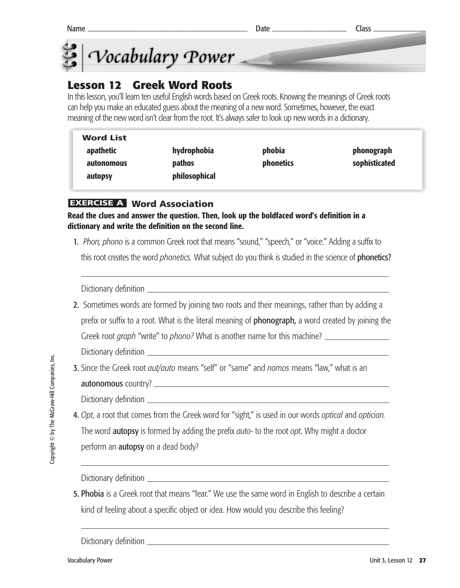



# **Lesson 12 Greek Word Roots**

In this lesson, you'll learn ten useful English words based on Greek roots. Knowing the meanings of Greek roots can help you make an educated guess about the meaning of a new word. Sometimes, however, the exact meaning of the new word isn't clear from the root. It's always safer to look up new words in a dictionary.

| <b>Word List</b>                         |               |
|------------------------------------------|---------------|
| hydrophobia<br>phobia<br>apathetic       | phonograph    |
| <b>phonetics</b><br>pathos<br>autonomous | sophisticated |
| philosophical<br>autopsy                 |               |

#### **Word Association EXERCISE A**

**Read the clues and answer the question. Then, look up the boldfaced word's definition in a dictionary and write the definition on the second line.** 

1. *Phon, phono* is a common Greek root that means "sound," "speech," or "voice." Adding a suffix to this root creates the word *phonetics.* What subject do you think is studied in the science of phonetics?

Dictionary definition

2. Sometimes words are formed by joining two roots and their meanings, rather than by adding a prefix or suffix to a root. What is the literal meaning of **phonograph**, a word created by joining the Greek root *graph* "write" to *phono?* What is another name for this machine?

Dictionary definition

3. Since the Greek root *aut/auto* means "self" or "same" and *nomos* means "law," what is an autonomous country?

Dictionary definition

4. *Opt*, a root that comes from the Greek word for "sight," is used in our words *optical* and *optician.* The word autopsy is formed by adding the prefix *auto-* to the root *opt*. Why might a doctor perform an **autopsy** on a dead body?

Dictionary definition

5. Phobia is a Greek root that means "fear." We use the same word in English to describe a certain kind of feeling about a specific object or idea. How would you describe this feeling?

Dictionary definition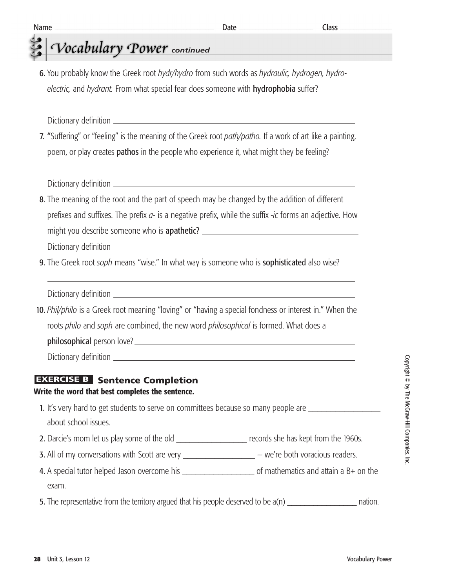# *Vocabulary Power* continued

6. You probably know the Greek root *hydr/hydro* from such words as *hydraulic, hydrogen, hydroelectric,* and *hydrant.* From what special fear does someone with hydrophobia suffer?

Dictionary definition

7. "Suffering" or "feeling" is the meaning of the Greek root *path/patho.* If a work of art like a painting, poem, or play creates **pathos** in the people who experience it, what might they be feeling?

Dictionary definition

8. The meaning of the root and the part of speech may be changed by the addition of different prefixes and suffixes. The prefix *a-* is a negative prefix, while the suffix *-ic* forms an adjective. How might you describe someone who is **apathetic?** \_\_\_\_\_\_\_\_\_\_\_\_\_\_\_\_\_\_\_\_\_\_\_\_\_\_\_\_\_\_\_\_\_\_\_ Dictionary definition

9. The Greek root *soph* means "wise." In what way is someone who is sophisticated also wise?

Dictionary definition

10. *Phil/philo* is a Greek root meaning "loving" or "having a special fondness or interest in." When the roots *philo* and *soph* are combined, the new word *philosophical* is formed. What does a philosophical person love? Dictionary definition

#### **EXERCISE B** Sentence Completion

#### **Write the word that best completes the sentence.**

1. It's very hard to get students to serve on committees because so many people are about school issues.

- 2. Darcie's mom let us play some of the old records she has kept from the 1960s.
- 3. All of my conversations with Scott are very \_\_\_\_\_\_\_\_\_\_\_\_\_\_\_\_\_\_\_\_ we're both voracious readers.
- 4. A special tutor helped Jason overcome his \_\_\_\_\_\_\_\_\_\_\_\_\_\_\_\_ of mathematics and attain a B+ on the exam.

5. The representative from the territory argued that his people deserved to be  $a(n)$  and the nation.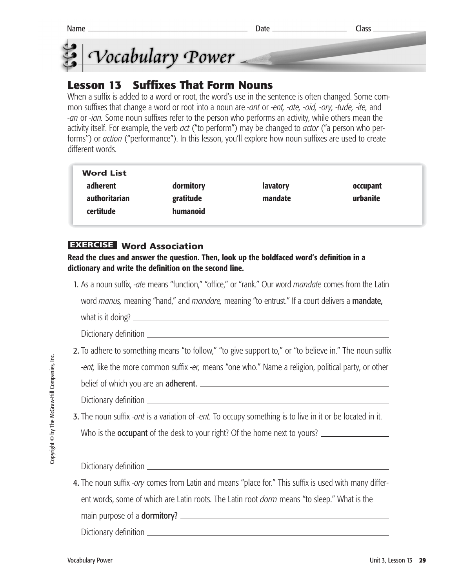



## **Lesson 13 Suffixes That Form Nouns**

When a suffix is added to a word or root, the word's use in the sentence is often changed. Some common suffixes that change a word or root into a noun are *-ant* or *-ent, -ate, -oid, -ory, -tude, -ite,* and *-an* or *-ian.* Some noun suffixes refer to the person who performs an activity, while others mean the activity itself. For example, the verb *act* ("to perform") may be changed to *actor* ("a person who performs'') or *action* ("performance"). In this lesson, you'll explore how noun suffixes are used to create different words.

| <b>Word List</b> |           |                 |          |
|------------------|-----------|-----------------|----------|
| adherent         | dormitory | <b>lavatory</b> | occupant |
| authoritarian    | gratitude | mandate         | urbanite |
| certitude        | humanoid  |                 |          |
|                  |           |                 |          |

## **Word Association EXERCISE**

**Read the clues and answer the question. Then, look up the boldfaced word's definition in a dictionary and write the definition on the second line.** 

1. As a noun suffix, *-ate* means "function," "office," or "rank." Our word *mandate* comes from the Latin

word *manus,* meaning "hand," and *mandare,* meaning "to entrust." If a court delivers a mandate,

what is it doing?

Dictionary definition

2. To adhere to something means "to follow," "to give support to," or "to believe in." The noun suffix

-*ent,* like the more common suffix *-er,* means "one who*.*" Name a religion, political party, or other

belief of which you are an adherent.

Dictionary definition

3. The noun suffix *-ant* is a variation of *-ent.* To occupy something is to live in it or be located in it. Who is the **occupant** of the desk to your right? Of the home next to yours?

Dictionary definition <u>equal</u>

4. The noun suffix *-ory* comes from Latin and means "place for." This suffix is used with many different words, some of which are Latin roots. The Latin root *dorm* means "to sleep." What is the

main purpose of a dormitory?

Dictionary definition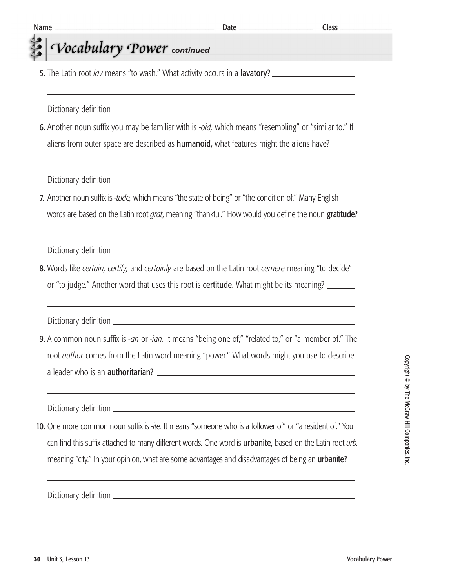## *Vocabulary Power* continued 5. The Latin root *lav* means "to wash." What activity occurs in a lavatory? Dictionary definition 6. Another noun suffix you may be familiar with is *-oid,* which means "resembling" or "similar to." If aliens from outer space are described as **humanoid**, what features might the aliens have? Dictionary definition 7. Another noun suffix is *-tude,* which means "the state of being" or "the condition of." Many English words are based on the Latin root *grat*, meaning "thankful." How would you define the noun gratitude? Dictionary definition 8. Words like *certain, certify,* and *certainly* are based on the Latin root *cernere* meaning "to decide" or "to judge." Another word that uses this root is **certitude.** What might be its meaning? Dictionary definition 9. A common noun suffix is *-an* or *-ian.* It means "being one of," "related to," or "a member of." The root *author* comes from the Latin word meaning "power." What words might you use to describe a leader who is an authoritarian? Dictionary definition 10. One more common noun suffix is *-ite.* It means "someone who is a follower of" or "a resident of." You Name Class

can find this suffix attached to many different words. One word is urbanite, based on the Latin root *urb,* meaning "city." In your opinion, what are some advantages and disadvantages of being an **urbanite?** 

Dictionary definition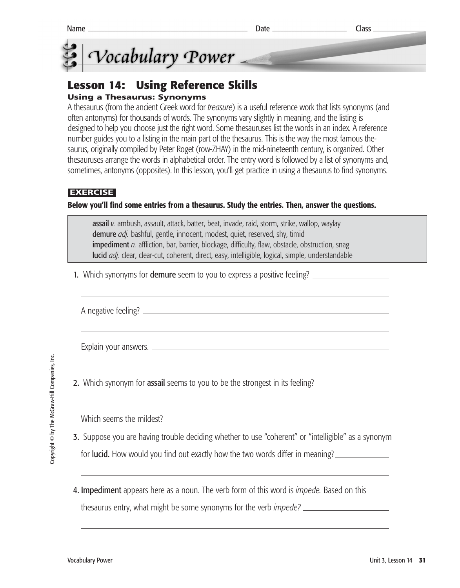

## **Lesson 14: Using Reference Skills**

## **Using a Thesaurus: Synonyms**

A thesaurus (from the ancient Greek word for *treasure*) is a useful reference work that lists synonyms (and often antonyms) for thousands of words. The synonyms vary slightly in meaning, and the listing is designed to help you choose just the right word. Some thesauruses list the words in an index. A reference number guides you to a listing in the main part of the thesaurus. This is the way the most famous thesaurus, originally compiled by Peter Roget (row-ZHAY) in the mid-nineteenth century, is organized. Other thesauruses arrange the words in alphabetical order. The entry word is followed by a list of synonyms and, sometimes, antonyms (opposites). In this lesson, you'll get practice in using a thesaurus to find synonyms.

## **EXERCISE**

#### **Below you'll find some entries from a thesaurus. Study the entries. Then, answer the questions.**

assail *v.* ambush, assault, attack, batter, beat, invade, raid, storm, strike, wallop, waylay demure *adj.* bashful, gentle, innocent, modest, quiet, reserved, shy, timid impediment *n.* affliction, bar, barrier, blockage, difficulty, flaw, obstacle, obstruction, snag lucid *adj.* clear, clear-cut, coherent, direct, easy, intelligible, logical, simple, understandable

1. Which synonyms for **demure** seem to you to express a positive feeling?

A negative feeling?

Explain your answers.

2. Which synonym for assail seems to you to be the strongest in its feeling?

Which seems the mildest?

- 3. Suppose you are having trouble deciding whether to use "coherent" or "intelligible" as a synonym for **lucid.** How would you find out exactly how the two words differ in meaning?
- 4. Impediment appears here as a noun. The verb form of this word is *impede.* Based on this thesaurus entry, what might be some synonyms for the verb *impede?*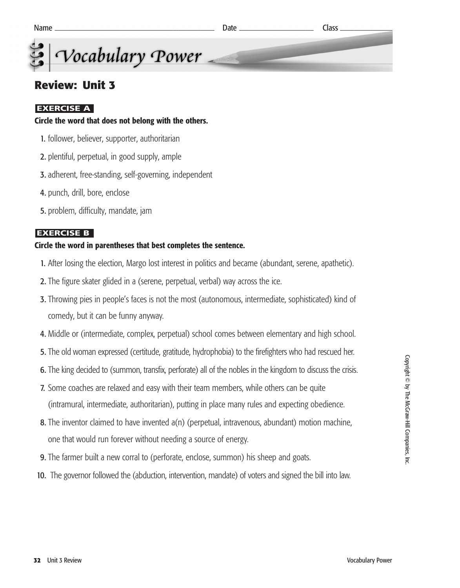## **Review: Unit 3**

## **EXERCISE A**

### **Circle the word that does not belong with the others.**

- 1. follower, believer, supporter, authoritarian
- 2. plentiful, perpetual, in good supply, ample
- 3. adherent, free-standing, self-governing, independent
- 4. punch, drill, bore, enclose
- 5. problem, difficulty, mandate, jam

### **EXERCISE B**

### **Circle the word in parentheses that best completes the sentence.**

- 1. After losing the election, Margo lost interest in politics and became (abundant, serene, apathetic).
- 2. The figure skater glided in a (serene, perpetual, verbal) way across the ice.
- 3. Throwing pies in people's faces is not the most (autonomous, intermediate, sophisticated) kind of comedy, but it can be funny anyway.
- 4. Middle or (intermediate, complex, perpetual) school comes between elementary and high school.
- 5. The old woman expressed (certitude, gratitude, hydrophobia) to the firefighters who had rescued her.
- 6. The king decided to (summon, transfix, perforate) all of the nobles in the kingdom to discuss the crisis.
- 7. Some coaches are relaxed and easy with their team members, while others can be quite (intramural, intermediate, authoritarian), putting in place many rules and expecting obedience.
- 8. The inventor claimed to have invented a(n) (perpetual, intravenous, abundant) motion machine, one that would run forever without needing a source of energy.
- 9. The farmer built a new corral to (perforate, enclose, summon) his sheep and goats.
- 10. The governor followed the (abduction, intervention, mandate) of voters and signed the bill into law.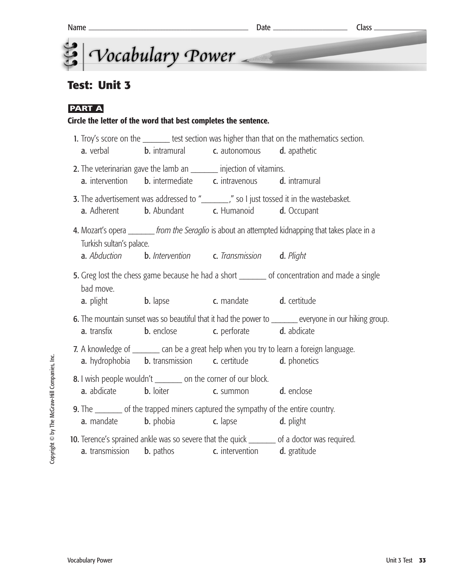## **Test: Unit 3**

## **PART A**

## **Circle the letter of the word that best completes the sentence.**

|                          | <b>a.</b> verbal <b>b.</b> intramural <b>c.</b> autonomous <b>d.</b> apathetic                                                                                   | 1. Troy's score on the ________ test section was higher than that on the mathematics section.         |
|--------------------------|------------------------------------------------------------------------------------------------------------------------------------------------------------------|-------------------------------------------------------------------------------------------------------|
|                          | 2. The veterinarian gave the lamb an ________ injection of vitamins.<br><b>a.</b> intervention <b>b.</b> intermediate <b>c.</b> intravenous <b>d.</b> intramural |                                                                                                       |
|                          | <b>a.</b> Adherent <b>b.</b> Abundant <b>c.</b> Humanoid <b>d.</b> Occupant                                                                                      | 3. The advertisement was addressed to "_________," so I just tossed it in the wastebasket.            |
| Turkish sultan's palace. | <b>a.</b> Abduction <b>b.</b> Intervention <b>c.</b> Transmission <b>d.</b> Plight                                                                               | 4. Mozart's opera _______ from the Seraglio is about an attempted kidnapping that takes place in a    |
| bad move.                | <b>a.</b> plight <b>b.</b> lapse <b>c.</b> mandate <b>d.</b> certitude                                                                                           | 5. Greg lost the chess game because he had a short ________ of concentration and made a single        |
| <b>a.</b> transfix       | <b>b.</b> enclose <b>c.</b> perforate <b>d.</b> abdicate                                                                                                         | 6. The mountain sunset was so beautiful that it had the power to ______ everyone in our hiking group. |
|                          | <b>a.</b> hydrophobia <b>b.</b> transmission <b>c.</b> certitude <b>d.</b> phonetics                                                                             | 7. A knowledge of ________ can be a great help when you try to learn a foreign language.              |
|                          | 8. I wish people wouldn't ________ on the corner of our block.<br><b>a.</b> abdicate <b>b.</b> loiter <b>c.</b> summon <b>d.</b> enclose                         |                                                                                                       |
|                          | 9. The ________ of the trapped miners captured the sympathy of the entire country.<br><b>a.</b> mandate <b>b.</b> phobia <b>c.</b> lapse <b>d.</b> plight        |                                                                                                       |
| <b>a.</b> transmission   | <b>b.</b> pathos <b>c.</b> intervention <b>d.</b> gratitude                                                                                                      | 10. Terence's sprained ankle was so severe that the quick _______ of a doctor was required.           |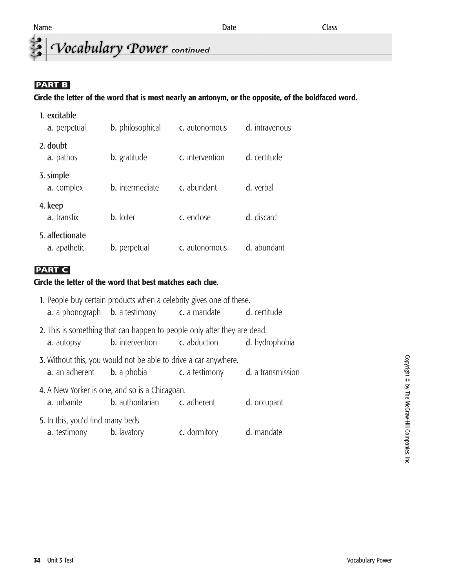## *<u>Cocabulary</u> Power* continued

## **PART B**

#### **Circle the letter of the word that is most nearly an antonym, or the opposite, of the boldfaced word.**

| 1. excitable<br>a. perpetual    | <b>b.</b> philosophical | c. autonomous   | d. intravenous |
|---------------------------------|-------------------------|-----------------|----------------|
| 2. doubt<br>a. pathos           | <b>b.</b> gratitude     | c. intervention | d. certitude   |
| 3. simple<br>a. complex         | <b>b.</b> intermediate  | c. abundant     | d. verbal      |
| 4. keep<br>a. transfix          | <b>b.</b> loiter        | c. enclose      | d. discard     |
| 5. affectionate<br>a. apathetic | <b>b.</b> perpetual     | c. autonomous   | d. abundant    |

## **PART C**

#### **Circle the letter of the word that best matches each clue.**

|                                                                             | 1. People buy certain products when a celebrity gives one of these.                                                                                               |                                                                  |             |
|-----------------------------------------------------------------------------|-------------------------------------------------------------------------------------------------------------------------------------------------------------------|------------------------------------------------------------------|-------------|
|                                                                             | <b>a.</b> a phonograph <b>b.</b> a testimony <b>c.</b> a mandate <b>d.</b> certitude                                                                              |                                                                  |             |
| <b>a.</b> autopsy                                                           | 2. This is something that can happen to people only after they are dead.                                                                                          | <b>b.</b> intervention <b>c.</b> abduction <b>d.</b> hydrophobia |             |
|                                                                             | <b>3.</b> Without this, you would not be able to drive a car anywhere.<br><b>a.</b> an adherent <b>b.</b> a phobia <b>c.</b> a testimony <b>d.</b> a transmission |                                                                  |             |
|                                                                             | 4. A New Yorker is one, and so is a Chicagoan.<br><b>a.</b> urbanite <b>b.</b> authoritarian <b>c.</b> adherent                                                   |                                                                  | d. occupant |
| 5. In this, you'd find many beds.<br><b>a.</b> testimony <b>b.</b> lavatory |                                                                                                                                                                   | c. dormitory                                                     | d. mandate  |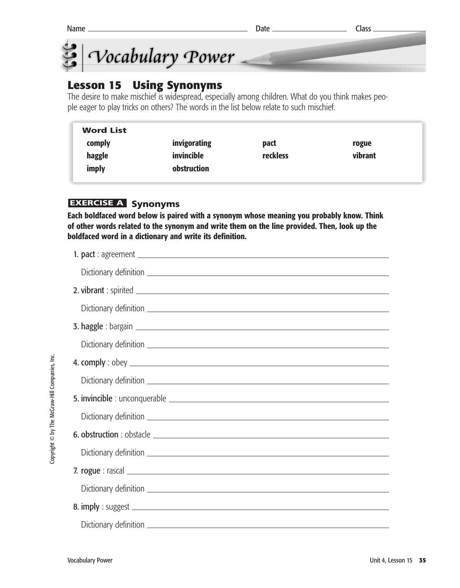| Name | Jate | Class |
|------|------|-------|
|------|------|-------|



## **Lesson 15 Using Synonyms**

The desire to make mischief is widespread, especially among children. What do you think makes people eager to play tricks on others? The words in the list below relate to such mischief.

| <b>Word List</b> |              |                 |         |  |
|------------------|--------------|-----------------|---------|--|
| comply           | invigorating | pact            | rogue   |  |
| haggle           | invincible   | <b>reckless</b> | vibrant |  |
| imply            | obstruction  |                 |         |  |

## **EXERCISE A Synonyms**

**Each boldfaced word below is paired with a synonym whose meaning you probably know. Think of other words related to the synonym and write them on the line provided. Then, look up the boldfaced word in a dictionary and write its definition.**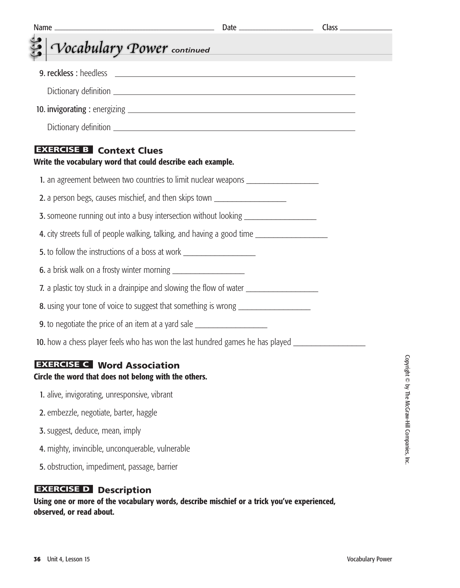| <b>Name</b><br><u> 1989 - Johann Barn, mars ann an t-Amhain an t-Amhain an t-Amhain an t-Amhain an t-Amhain an t-Amhain an t-Amh</u> | $Class$ <sub>_____</sub> |
|--------------------------------------------------------------------------------------------------------------------------------------|--------------------------|
| Vocabulary Power continued                                                                                                           |                          |
|                                                                                                                                      |                          |
|                                                                                                                                      |                          |
|                                                                                                                                      |                          |
|                                                                                                                                      |                          |
| <b>EXERCISE B</b> Context Clues<br>Write the vocabulary word that could describe each example.                                       |                          |
| 1. an agreement between two countries to limit nuclear weapons _________________                                                     |                          |
| 2. a person begs, causes mischief, and then skips town _________________________                                                     |                          |
| 3. someone running out into a busy intersection without looking ________________                                                     |                          |
| 4. city streets full of people walking, talking, and having a good time                                                              |                          |
| 5. to follow the instructions of a boss at work ________________________________                                                     |                          |
|                                                                                                                                      |                          |
| 7. a plastic toy stuck in a drainpipe and slowing the flow of water _____________                                                    |                          |
| 8. using your tone of voice to suggest that something is wrong _________________                                                     |                          |
| <b>9.</b> to negotiate the price of an item at a yard sale ___________________________                                               |                          |
| 10. how a chess player feels who has won the last hundred games he has played ______________________                                 |                          |
| <b>EXERCISE C</b> Word Association<br>Circle the word that does not belong with the others.                                          |                          |
| 1. alive, invigorating, unresponsive, vibrant                                                                                        |                          |
| 2. embezzle, negotiate, barter, haggle                                                                                               |                          |
| 3. suggest, deduce, mean, imply                                                                                                      |                          |
| 4. mighty, invincible, unconquerable, vulnerable                                                                                     |                          |
| 5. obstruction, impediment, passage, barrier                                                                                         |                          |

#### **EXERCISE D** Description

**Using one or more of the vocabulary words, describe mischief or a trick you've experienced, observed, or read about.**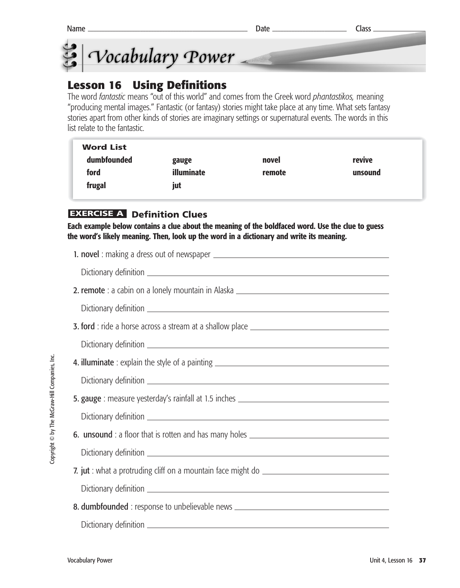



## **Lesson 16 Using Definitions**

The word *fantastic* means "out of this world" and comes from the Greek word *phantastikos,* meaning "producing mental images." Fantastic (or fantasy) stories might take place at any time. What sets fantasy stories apart from other kinds of stories are imaginary settings or supernatural events. The words in this list relate to the fantastic.

| <b>Word List</b> |            |        |         |
|------------------|------------|--------|---------|
| dumbfounded      | gauge      | novel  | revive  |
| ford             | illuminate | remote | unsound |
| frugal           | jut        |        |         |

## **EXERCISE A Definition Clues**

**Each example below contains a clue about the meaning of the boldfaced word. Use the clue to guess the word's likely meaning. Then, look up the word in a dictionary and write its meaning.**

| 2. remote : a cabin on a lonely mountain in Alaska _____________________________  |
|-----------------------------------------------------------------------------------|
|                                                                                   |
|                                                                                   |
|                                                                                   |
|                                                                                   |
|                                                                                   |
| 5. gauge : measure yesterday's rainfall at 1.5 inches __________________________  |
|                                                                                   |
| 6. unsound : a floor that is rotten and has many holes __________________________ |
|                                                                                   |
|                                                                                   |
|                                                                                   |
| 8. dumbfounded : response to unbelievable news _________________________________  |
|                                                                                   |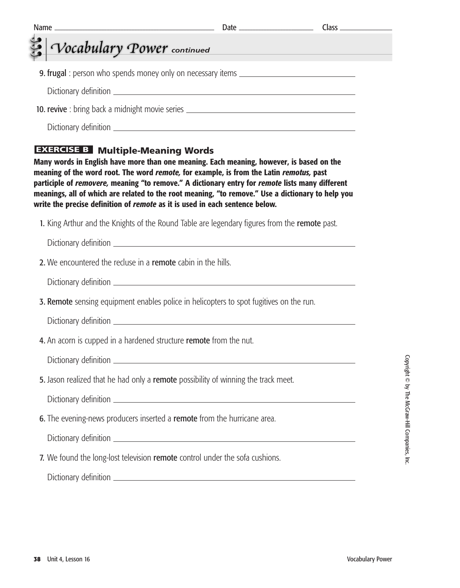| Vocabulary Power continued                                                                                               | <u> 1989 - Johann Stein, marwolaethau a bh</u>                                                                                                                                                                                                                                                                                                                                              |  |
|--------------------------------------------------------------------------------------------------------------------------|---------------------------------------------------------------------------------------------------------------------------------------------------------------------------------------------------------------------------------------------------------------------------------------------------------------------------------------------------------------------------------------------|--|
|                                                                                                                          | <b>9. frugal</b> : person who spends money only on necessary items _____________________                                                                                                                                                                                                                                                                                                    |  |
|                                                                                                                          |                                                                                                                                                                                                                                                                                                                                                                                             |  |
|                                                                                                                          | 10. revive: bring back a midnight movie series _________________________________                                                                                                                                                                                                                                                                                                            |  |
|                                                                                                                          |                                                                                                                                                                                                                                                                                                                                                                                             |  |
| <b>EXERCISE B</b> Multiple-Meaning Words<br>write the precise definition of remote as it is used in each sentence below. | Many words in English have more than one meaning. Each meaning, however, is based on the<br>meaning of the word root. The word remote, for example, is from the Latin remotus, past<br>participle of removere, meaning "to remove." A dictionary entry for remote lists many different<br>meanings, all of which are related to the root meaning, "to remove." Use a dictionary to help you |  |
|                                                                                                                          | 1. King Arthur and the Knights of the Round Table are legendary figures from the remote past.                                                                                                                                                                                                                                                                                               |  |
|                                                                                                                          |                                                                                                                                                                                                                                                                                                                                                                                             |  |
| 2. We encountered the recluse in a remote cabin in the hills.                                                            |                                                                                                                                                                                                                                                                                                                                                                                             |  |
|                                                                                                                          |                                                                                                                                                                                                                                                                                                                                                                                             |  |
|                                                                                                                          | 3. Remote sensing equipment enables police in helicopters to spot fugitives on the run.                                                                                                                                                                                                                                                                                                     |  |
|                                                                                                                          |                                                                                                                                                                                                                                                                                                                                                                                             |  |
| 4. An acorn is cupped in a hardened structure <b>remote</b> from the nut.                                                |                                                                                                                                                                                                                                                                                                                                                                                             |  |
|                                                                                                                          |                                                                                                                                                                                                                                                                                                                                                                                             |  |
|                                                                                                                          | 5. Jason realized that he had only a remote possibility of winning the track meet.                                                                                                                                                                                                                                                                                                          |  |
|                                                                                                                          |                                                                                                                                                                                                                                                                                                                                                                                             |  |
|                                                                                                                          |                                                                                                                                                                                                                                                                                                                                                                                             |  |
| 6. The evening-news producers inserted a remote from the hurricane area.                                                 |                                                                                                                                                                                                                                                                                                                                                                                             |  |
|                                                                                                                          |                                                                                                                                                                                                                                                                                                                                                                                             |  |
|                                                                                                                          | 7. We found the long-lost television remote control under the sofa cushions.                                                                                                                                                                                                                                                                                                                |  |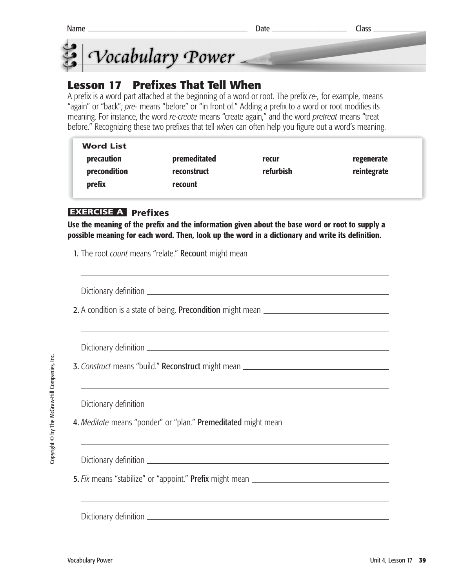



## **Lesson 17 Prefixes That Tell When**

A prefix is a word part attached at the beginning of a word or root. The prefix *re-,* for example, means "again" or "back"; *pre-* means "before" or "in front of." Adding a prefix to a word or root modifies its meaning. For instance, the word *re-create* means "create again," and the word *pretreat* means "treat before." Recognizing these two prefixes that tell *when* can often help you figure out a word's meaning.

| <b>Word List</b> |              |           |             |
|------------------|--------------|-----------|-------------|
| precaution       | premeditated | recur     | regenerate  |
| precondition     | reconstruct  | refurbish | reintegrate |
| prefix           | recount      |           |             |

## **Prefixes EXERCISE A**

**Use the meaning of the prefix and the information given about the base word or root to supply a possible meaning for each word. Then, look up the word in a dictionary and write its definition.**

| 1. The root count means "relate." Recount might mean ____________________________ |
|-----------------------------------------------------------------------------------|
|                                                                                   |
|                                                                                   |
|                                                                                   |
|                                                                                   |
|                                                                                   |
|                                                                                   |
| 3. Construct means "build." Reconstruct might mean _____________________________  |
|                                                                                   |
|                                                                                   |
| 4. Meditate means "ponder" or "plan." Premeditated might mean ___________________ |
|                                                                                   |
|                                                                                   |
| 5. Fix means "stabilize" or "appoint." Prefix might mean ________________________ |
|                                                                                   |
| ,我们也不会有什么。""我们的人,我们也不会有什么?""我们的人,我们也不会有什么?""我们的人,我们也不会有什么?""我们的人,我们也不会有什么?""我们的人  |
|                                                                                   |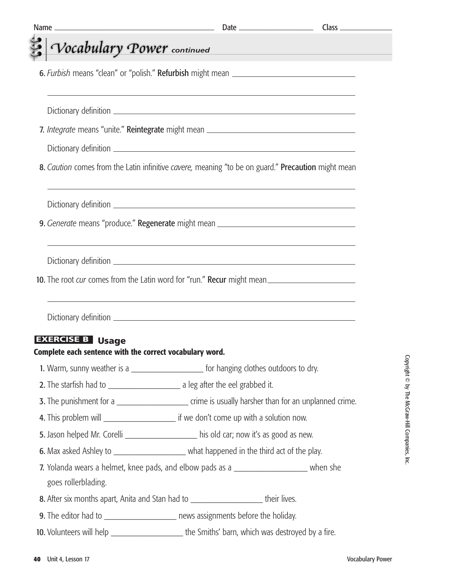| Vocabulary Power continued                               |                                                                                                    |  |
|----------------------------------------------------------|----------------------------------------------------------------------------------------------------|--|
|                                                          | 6. Furbish means "clean" or "polish." Refurbish might mean ______________________                  |  |
|                                                          |                                                                                                    |  |
|                                                          | 7. Integrate means "unite." Reintegrate might mean _____________________________                   |  |
|                                                          |                                                                                                    |  |
|                                                          | 8. Caution comes from the Latin infinitive cavere, meaning "to be on guard." Precaution might mean |  |
|                                                          |                                                                                                    |  |
|                                                          | 9. Generate means "produce." Regenerate might mean _____________________________                   |  |
|                                                          |                                                                                                    |  |
|                                                          |                                                                                                    |  |
|                                                          | 10. The root cur comes from the Latin word for "run." Recur might mean                             |  |
|                                                          |                                                                                                    |  |
|                                                          |                                                                                                    |  |
|                                                          | ,我们也不会有什么。""我们的人,我们也不会有什么?""我们的人,我们也不会有什么?""我们的人,我们的人,我们也不会有什么?""我们的人,我们的人,我们的人,我                  |  |
|                                                          |                                                                                                    |  |
| <b>EXERCISE B Usage</b>                                  |                                                                                                    |  |
| Complete each sentence with the correct vocabulary word. |                                                                                                    |  |
|                                                          | 1. Warm, sunny weather is a _________________________ for hanging clothes outdoors to dry.         |  |
|                                                          |                                                                                                    |  |
|                                                          |                                                                                                    |  |
|                                                          | 5. Jason helped Mr. Corelli ____________________ his old car; now it's as good as new.             |  |
|                                                          | 6. Max asked Ashley to _________________________ what happened in the third act of the play.       |  |
| goes rollerblading.                                      | 7. Yolanda wears a helmet, knee pads, and elbow pads as a ______________________ when she          |  |
|                                                          | 8. After six months apart, Anita and Stan had to ______________________their lives.                |  |
|                                                          | 9. The editor had to _________________________ news assignments before the holiday.                |  |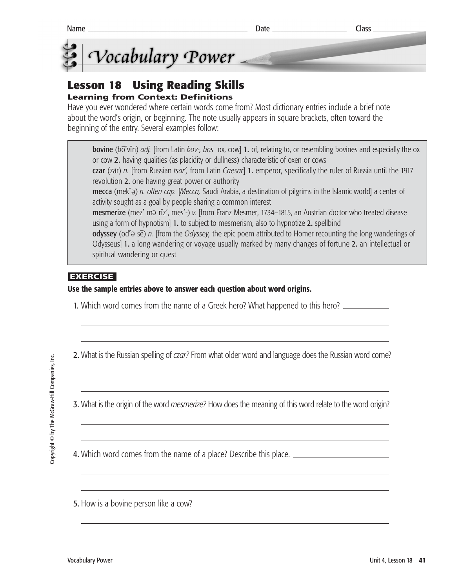

## **Lesson 18 Using Reading Skills**

## **Learning from Context: Definitions**

Have you ever wondered where certain words come from? Most dictionary entries include a brief note about the word's origin, or beginning. The note usually appears in square brackets, often toward the beginning of the entry. Several examples follow:

bovine (bo<sup>-</sup>vin) *adj.* [from Latin *bov-, bos* ox, cow] 1. of, relating to, or resembling bovines and especially the ox or cow 2. having qualities (as placidity or dullness) characteristic of oxen or cows czar (zär) *n.* [from Russian *tsar',* from Latin *Caesar*] 1. emperor, specifically the ruler of Russia until the 1917 revolution 2. one having great power or authority

**mecca** (mek'ə) *n. often cap. [Mecca,* Saudi Arabia, a destination of pilgrims in the Islamic world] a center of activity sought as a goal by people sharing a common interest

mesmerize (mez' ma riz', mes'-) v. [from Franz Mesmer, 1734–1815, an Austrian doctor who treated disease using a form of hypnotism] 1. to subject to mesmerism, also to hypnotize 2. spellbind

odyssey (od<sup>\*</sup>a se) *n.* [from the *Odyssey,* the epic poem attributed to Homer recounting the long wanderings of Odysseus] 1. a long wandering or voyage usually marked by many changes of fortune 2. an intellectual or spiritual wandering or quest

## **EXERCISE**

#### **Use the sample entries above to answer each question about word origins.**

- 1. Which word comes from the name of a Greek hero? What happened to this hero?
- 2. What is the Russian spelling of *czar?* From what older word and language does the Russian word come?

3. What is the origin of the word *mesmerize?* How does the meaning of this word relate to the word origin?

4. Which word comes from the name of a place? Describe this place.

5. How is a bovine person like a cow?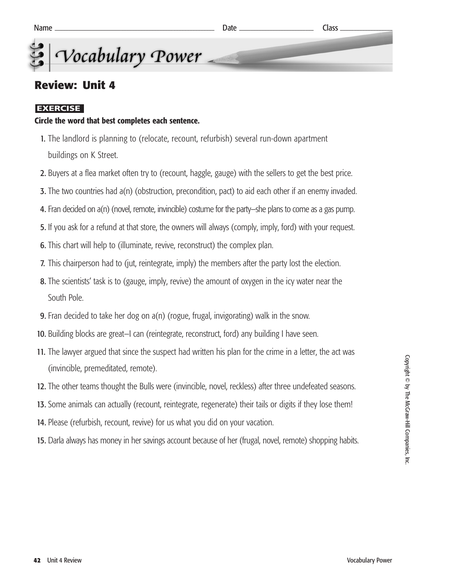## **Review: Unit 4**

## **EXERCISE**

## **Circle the word that best completes each sentence.**

- 1. The landlord is planning to (relocate, recount, refurbish) several run-down apartment buildings on K Street.
- 2. Buyers at a flea market often try to (recount, haggle, gauge) with the sellers to get the best price.
- 3. The two countries had a(n) (obstruction, precondition, pact) to aid each other if an enemy invaded.
- 4. Fran decided on a(n) (novel, remote, invincible) costume for the party—she plans to come as a gas pump.
- 5. If you ask for a refund at that store, the owners will always (comply, imply, ford) with your request.
- 6. This chart will help to (illuminate, revive, reconstruct) the complex plan.
- 7. This chairperson had to (jut, reintegrate, imply) the members after the party lost the election.
- 8. The scientists' task is to (gauge, imply, revive) the amount of oxygen in the icy water near the South Pole.
- 9. Fran decided to take her dog on a(n) (rogue, frugal, invigorating) walk in the snow.
- 10. Building blocks are great—I can (reintegrate, reconstruct, ford) any building I have seen.
- 11. The lawyer argued that since the suspect had written his plan for the crime in a letter, the act was (invincible, premeditated, remote).
- 12. The other teams thought the Bulls were (invincible, novel, reckless) after three undefeated seasons.
- 13. Some animals can actually (recount, reintegrate, regenerate) their tails or digits if they lose them!
- 14. Please (refurbish, recount, revive) for us what you did on your vacation.
- 15. Darla always has money in her savings account because of her (frugal, novel, remote) shopping habits.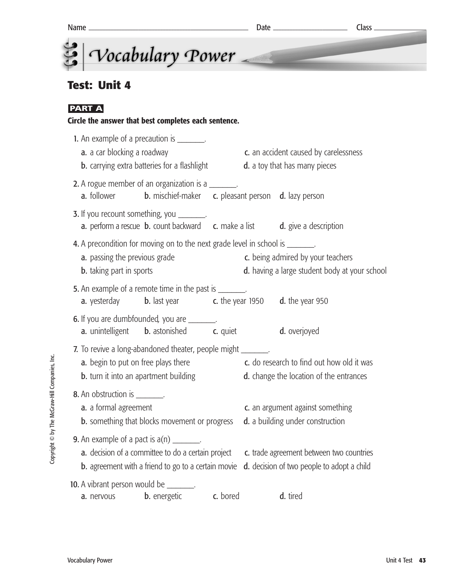

## **Test: Unit 4**

## **PART A**

#### **Circle the answer that best completes each sentence.**

| 1. An example of a precaution is ________.<br>a. a car blocking a roadway<br><b>b.</b> carrying extra batteries for a flashlight                                      |  | c. an accident caused by carelessness<br>d. a toy that has many pieces                 |
|-----------------------------------------------------------------------------------------------------------------------------------------------------------------------|--|----------------------------------------------------------------------------------------|
| 2. A rogue member of an organization is a _______.<br><b>b.</b> mischief-maker <b>c.</b> pleasant person <b>d.</b> lazy person<br><b>a.</b> follower                  |  |                                                                                        |
| <b>3.</b> If you recount something, you _______.<br><b>a.</b> perform a rescue <b>b.</b> count backward <b>c.</b> make a list                                         |  | d. give a description                                                                  |
| 4. A precondition for moving on to the next grade level in school is _______.<br>a. passing the previous grade<br><b>b.</b> taking part in sports                     |  | c. being admired by your teachers<br>d. having a large student body at your school     |
| 5. An example of a remote time in the past is _______.<br><b>a.</b> yesterday <b>b.</b> last year <b>c.</b> the year 1950 <b>d.</b> the year 950                      |  |                                                                                        |
| 6. If you are dumbfounded, you are ________.<br><b>a.</b> unintelligent <b>b.</b> astonished <b>c.</b> quiet                                                          |  | d. overjoyed                                                                           |
| 7. To revive a long-abandoned theater, people might _______.<br>a. begin to put on free plays there<br><b>b.</b> turn it into an apartment building                   |  | c. do research to find out how old it was<br>d. change the location of the entrances   |
| 8. An obstruction is ________.<br>a. a formal agreement<br><b>b.</b> something that blocks movement or progress                                                       |  | c. an argument against something<br>d. a building under construction                   |
| <b>9.</b> An example of a pact is $a(n)$ _______.<br>a. decision of a committee to do a certain project<br><b>b.</b> agreement with a friend to go to a certain movie |  | c. trade agreement between two countries<br>d. decision of two people to adopt a child |
| 10. A vibrant person would be _______.<br><b>b.</b> energetic <b>c.</b> bored<br>a. nervous                                                                           |  | d. tired                                                                               |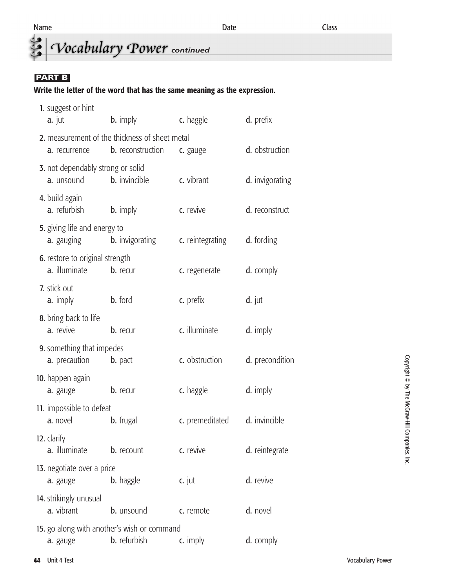# *<u>Continued</u> Cocabulary Power* continued

### **PART B**

#### **Write the letter of the word that has the same meaning as the expression.**

| 1. suggest or hint<br>a. jut                      | <b>b.</b> imply                                                            | c. haggle        | d. prefix       |
|---------------------------------------------------|----------------------------------------------------------------------------|------------------|-----------------|
| a. recurrence                                     | 2. measurement of the thickness of sheet metal<br><b>b.</b> reconstruction | c. gauge         | d. obstruction  |
| 3. not dependably strong or solid<br>a. unsound   | <b>b.</b> invincible                                                       | c. vibrant       | d. invigorating |
| 4. build again<br>a. refurbish                    | <b>b.</b> imply                                                            | c. revive        | d. reconstruct  |
| 5. giving life and energy to<br><b>a.</b> gauging | <b>b.</b> invigorating                                                     | c. reintegrating | d. fording      |
| 6. restore to original strength<br>a. illuminate  | b. recur                                                                   | c. regenerate    | d. comply       |
| 7. stick out<br>a. imply                          | <b>b.</b> ford                                                             | c. prefix        | $d.$ jut        |
| 8. bring back to life<br>a. revive                | b. recur                                                                   | c. illuminate    | d. imply        |
| 9. something that impedes<br>a. precaution        | <b>b.</b> pact                                                             | c. obstruction   | d. precondition |
| 10. happen again<br>a. gauge                      | <b>b.</b> recur                                                            | c. haggle        | d. imply        |
| 11. impossible to defeat<br>a. novel              | <b>b.</b> frugal                                                           | c. premeditated  | d. invincible   |
| 12. clarify<br>a. illuminate                      | <b>b.</b> recount                                                          | c. revive        | d. reintegrate  |
| 13. negotiate over a price<br>a. gauge            | <b>b.</b> haggle                                                           | $c.$ jut         | d. revive       |
| 14. strikingly unusual<br>a. vibrant              | b. unsound                                                                 | c. remote        | d. novel        |
| a. gauge                                          | 15. go along with another's wish or command<br><b>b.</b> refurbish         | c. imply         | d. comply       |
|                                                   |                                                                            |                  |                 |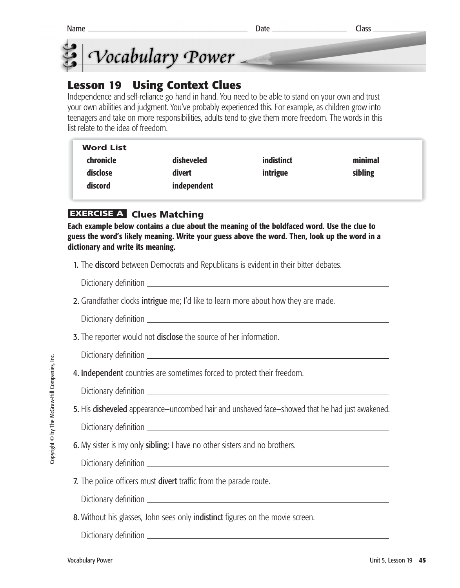



## **Lesson 19 Using Context Clues**

Independence and self-reliance go hand in hand. You need to be able to stand on your own and trust your own abilities and judgment. You've probably experienced this. For example, as children grow into teenagers and take on more responsibilities, adults tend to give them more freedom. The words in this list relate to the idea of freedom.

| <b>Word List</b> |             |            |         |
|------------------|-------------|------------|---------|
| chronicle        | disheveled  | indistinct | minimal |
| disclose         | divert      | intrigue   | sibling |
| discord          | independent |            |         |
|                  |             |            |         |

## **EXERCISE A Clues Matching**

**Each example below contains a clue about the meaning of the boldfaced word. Use the clue to guess the word's likely meaning. Write your guess above the word. Then, look up the word in a dictionary and write its meaning.** 

1. The **discord** between Democrats and Republicans is evident in their bitter debates.

Dictionary definition

2. Grandfather clocks intrigue me; I'd like to learn more about how they are made.

Dictionary definition

- **3.** The reporter would not **disclose** the source of her information.
	- Dictionary definition
- 4. Independent countries are sometimes forced to protect their freedom.

Dictionary definition

5. His disheveled appearance—uncombed hair and unshaved face—showed that he had just awakened.

Dictionary definition

**6.** My sister is my only **sibling;** I have no other sisters and no brothers.

Dictionary definition

7. The police officers must divert traffic from the parade route.

Dictionary definition

8. Without his glasses, John sees only **indistinct** figures on the movie screen.

Dictionary definition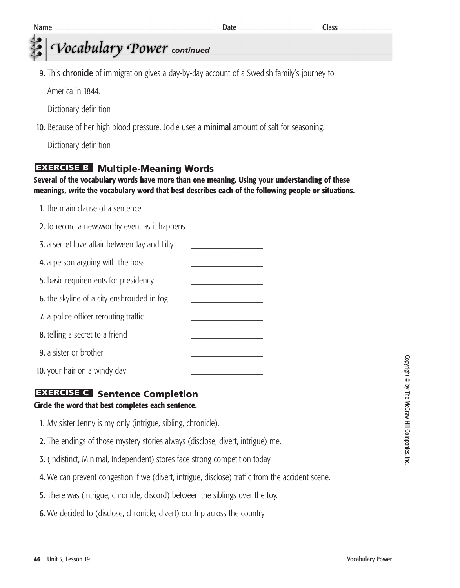| <b>Name</b>                                                                                  | Class |
|----------------------------------------------------------------------------------------------|-------|
| Vocabulary Power continued                                                                   |       |
|                                                                                              |       |
| 9. This chronicle of immigration gives a day-by-day account of a Swedish family's journey to |       |
| America in 1844.                                                                             |       |
|                                                                                              |       |
| 10. Because of her high blood pressure, Jodie uses a minimal amount of salt for seasoning.   |       |
|                                                                                              |       |

Dictionary definition

## **EXERCISE B** Multiple-Meaning Words

#### **Several of the vocabulary words have more than one meaning. Using your understanding of these meanings, write the vocabulary word that best describes each of the following people or situations.**

| 1. the main clause of a sentence                     |  |
|------------------------------------------------------|--|
| 2. to record a newsworthy event as it happens        |  |
| <b>3.</b> a secret love affair between Jay and Lilly |  |
| 4. a person arguing with the boss                    |  |
| 5. basic requirements for presidency                 |  |
| <b>6.</b> the skyline of a city enshrouded in fog    |  |
| 7. a police officer rerouting traffic                |  |
| 8. telling a secret to a friend                      |  |
| <b>9.</b> a sister or brother                        |  |
| 10. your hair on a windy day                         |  |

## **EXERCISE C** Sentence Completion

## **Circle the word that best completes each sentence.**

- 1. My sister Jenny is my only (intrigue, sibling, chronicle).
- 2. The endings of those mystery stories always (disclose, divert, intrigue) me.
- 3. (Indistinct, Minimal, Independent) stores face strong competition today.
- 4. We can prevent congestion if we (divert, intrigue, disclose) traffic from the accident scene.
- 5. There was (intrigue, chronicle, discord) between the siblings over the toy.
- 6. We decided to (disclose, chronicle, divert) our trip across the country.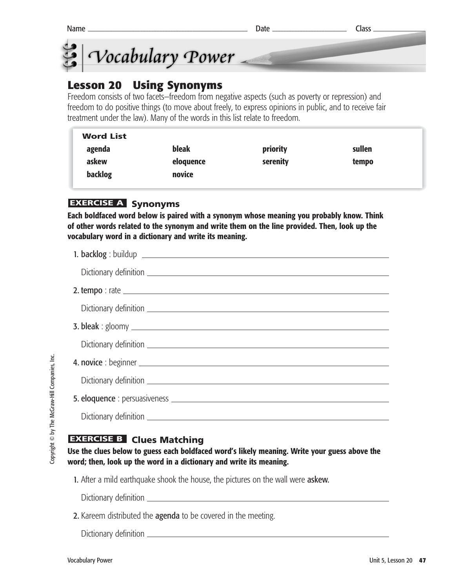



## **Lesson 20 Using Synonyms**

Freedom consists of two facets—freedom from negative aspects (such as poverty or repression) and freedom to do positive things (to move about freely, to express opinions in public, and to receive fair treatment under the law). Many of the words in this list relate to freedom.

| <b>Word List</b> |              |          |        |  |
|------------------|--------------|----------|--------|--|
| agenda           | <b>bleak</b> | priority | sullen |  |
| askew            | eloquence    | serenity | tempo  |  |
| backlog          | novice       |          |        |  |
|                  |              |          |        |  |

## **EXERCISE A Synonyms**

**Each boldfaced word below is paired with a synonym whose meaning you probably know. Think of other words related to the synonym and write them on the line provided. Then, look up the vocabulary word in a dictionary and write its meaning.** 

## **EXERCISE B** Clues Matching

**Use the clues below to guess each boldfaced word's likely meaning. Write your guess above the word; then, look up the word in a dictionary and write its meaning.** 

1. After a mild earthquake shook the house, the pictures on the wall were askew.

Dictionary definition \_

2. Kareem distributed the agenda to be covered in the meeting.

Dictionary definition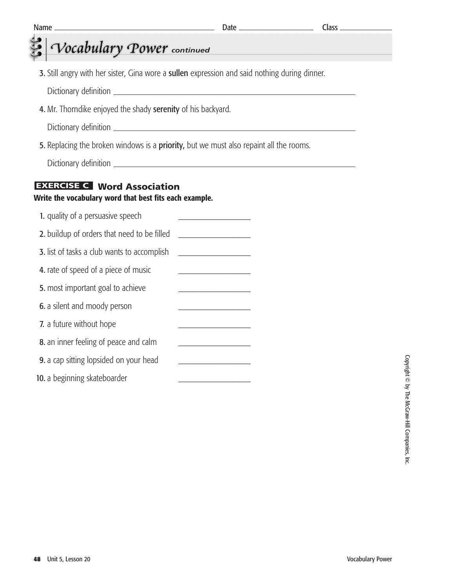|                                                                                                | $Class$ <sub><math>-</math></sub> |
|------------------------------------------------------------------------------------------------|-----------------------------------|
|                                                                                                |                                   |
| 3. Still angry with her sister, Gina wore a sullen expression and said nothing during dinner.  |                                   |
| 4. Mr. Thorndike enjoyed the shady serenity of his backyard.                                   |                                   |
| 5. Replacing the broken windows is a <b>priority</b> , but we must also repaint all the rooms. |                                   |
| <b>EXERCISE C</b> Word Association<br>Write the vocabulary word that best fits each example.   |                                   |
|                                                                                                |                                   |
|                                                                                                |                                   |
| <u> 1989 - Johann Barbara, martxa al</u>                                                       |                                   |
| the control of the control of the control of                                                   |                                   |
| the control of the control of the control of the                                               |                                   |
|                                                                                                |                                   |
|                                                                                                |                                   |
|                                                                                                |                                   |
|                                                                                                |                                   |
|                                                                                                |                                   |
|                                                                                                |                                   |
|                                                                                                |                                   |
|                                                                                                | Vocabulary Power continued        |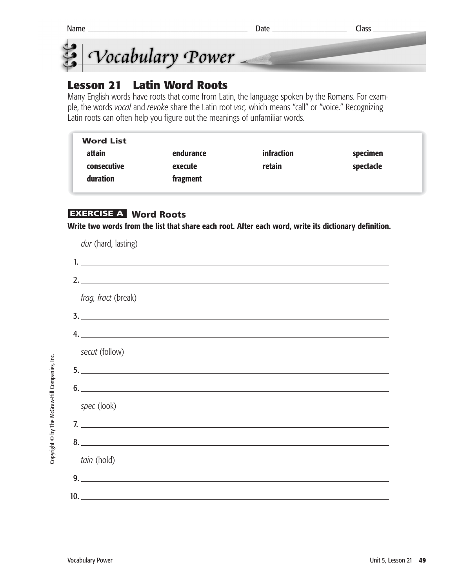



## **Lesson 21 Latin Word Roots**

Many English words have roots that come from Latin, the language spoken by the Romans. For example, the words *vocal* and *revoke* share the Latin root *voc,* which means "call" or "voice." Recognizing Latin roots can often help you figure out the meanings of unfamiliar words.

| <b>Word List</b> |           |                   |           |  |
|------------------|-----------|-------------------|-----------|--|
| attain           | endurance | <i>infraction</i> | specimen  |  |
| consecutive      | execute   | retain            | spectacle |  |
| duration         | fragment  |                   |           |  |

## **Word Roots EXERCISE A**

**Write two words from the list that share each root. After each word, write its dictionary definition.**

*dur* (hard, lasting)

| 2.                  |
|---------------------|
| frag, fract (break) |
|                     |
| 4.                  |
| secut (follow)      |
|                     |
| 6.                  |
| spec (look)         |
| 7.                  |
|                     |
| tain (hold)         |
| 9.                  |
| 10.                 |

Copyright © by The McGraw-Hill Companies, Inc. Copyright © by The McGraw-Hill Companies, Inc.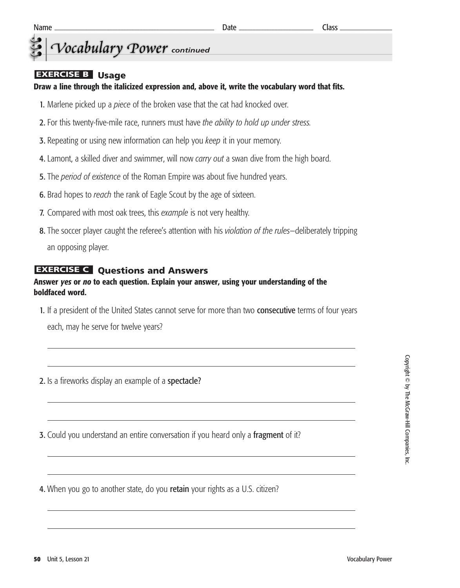## *Vocabulary Power* continued

#### **EXERCISE B** Usage

**Draw a line through the italicized expression and, above it, write the vocabulary word that fits.**

- 1. Marlene picked up a *piece* of the broken vase that the cat had knocked over.
- 2. For this twenty-five-mile race, runners must have *the ability to hold up under stress.*
- 3. Repeating or using new information can help you *keep* it in your memory.
- 4. Lamont, a skilled diver and swimmer, will now *carry out* a swan dive from the high board.
- 5. The *period of existence* of the Roman Empire was about five hundred years.
- 6. Brad hopes to *reach* the rank of Eagle Scout by the age of sixteen.
- 7. Compared with most oak trees, this *example* is not very healthy.
- 8. The soccer player caught the referee's attention with his *violation of the rules*—deliberately tripping an opposing player.

#### **EXERCISE C** Questions and Answers

#### **Answer** *yes* **or** *no* **to each question. Explain your answer, using your understanding of the boldfaced word.**

- 1. If a president of the United States cannot serve for more than two **consecutive** terms of four years each, may he serve for twelve years?
- 2. Is a fireworks display an example of a spectacle?
- **3.** Could you understand an entire conversation if you heard only a fragment of it?

4. When you go to another state, do you retain your rights as a U.S. citizen?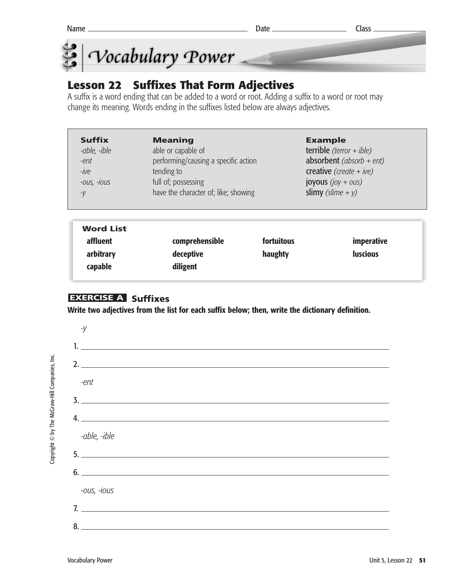



## **Lesson 22 Suffixes That Form Adjectives**

A suffix is a word ending that can be added to a word or root. Adding a suffix to a word or root may change its meaning. Words ending in the suffixes listed below are always adjectives.

| <b>Suffix</b> | <b>Meaning</b>                       | <b>Example</b>             |
|---------------|--------------------------------------|----------------------------|
| -able, -ible  | able or capable of                   | terrible $(terror + ible)$ |
| -ent          | performing/causing a specific action | absorbent (absorb + ent)   |
| $-ive$        | tending to                           | creative (create + ive)    |
| $-OUS, -10US$ | full of; possessing                  | joyous $(ioy + ous)$       |
| $-V$          | have the character of; like; showing | slimy (slime + $y$ )       |

| <b>Word List</b> |                |            |                 |
|------------------|----------------|------------|-----------------|
| affluent         | comprehensible | fortuitous | imperative      |
| arbitrary        | deceptive      | haughty    | <b>luscious</b> |
| capable          | diligent       |            |                 |
|                  |                |            |                 |

## **EXERCISE A Suffixes**

**Write two adjectives from the list for each suffix below; then, write the dictionary definition.**



Copyright © by The McGraw-Hill Companies, Inc. Copyright © by The McGraw-Hill Companies, Inc.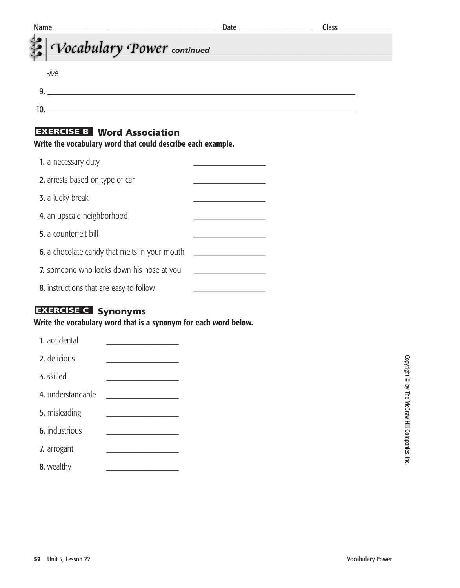| Name_<br>the control of the control of the control of the control of the control of the control of |  |
|----------------------------------------------------------------------------------------------------|--|
| Vocabulary Power continued                                                                         |  |
| -ive                                                                                               |  |
| 9.                                                                                                 |  |
|                                                                                                    |  |
| <b>EXERCISE B</b> Word Association                                                                 |  |
| Write the vocabulary word that could describe each example.                                        |  |
| 1. a necessary duty                                                                                |  |
| 2. arrests based on type of car                                                                    |  |
| 3. a lucky break                                                                                   |  |
| 4. an upscale neighborhood                                                                         |  |
| 5. a counterfeit bill                                                                              |  |
|                                                                                                    |  |

| 2. arrests based on type of car                      |  |
|------------------------------------------------------|--|
| 3. a lucky break                                     |  |
| 4. an upscale neighborhood                           |  |
| <b>5.</b> a counterfeit bill                         |  |
| <b>6.</b> a chocolate candy that melts in your mouth |  |
| 7. someone who looks down his nose at you            |  |
| 8. instructions that are easy to follow              |  |

## **EXERCISE C** Synonyms

**Write the vocabulary word that is a synonym for each word below.**

| 1. accidental     |  |
|-------------------|--|
| 2. delicious      |  |
| 3. skilled        |  |
| 4. understandable |  |
| 5. misleading     |  |
| 6. industrious    |  |
| 7. arrogant       |  |
| 8. wealthy        |  |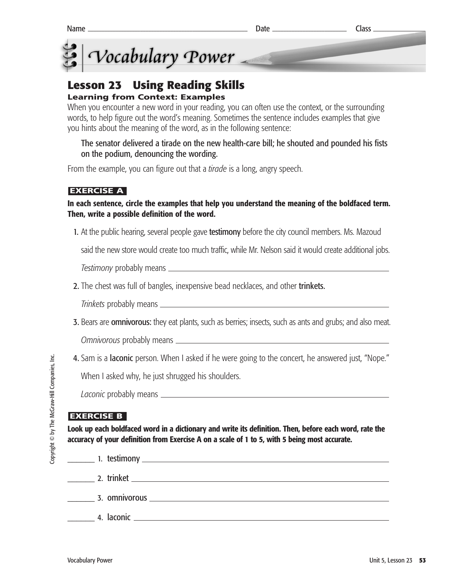

## Vocabulary Power **CONTRACTOR**

## **Lesson 23 Using Reading Skills**

## **Learning from Context: Examples**

When you encounter a new word in your reading, you can often use the context, or the surrounding words, to help figure out the word's meaning. Sometimes the sentence includes examples that give you hints about the meaning of the word, as in the following sentence:

The senator delivered a tirade on the new health-care bill; he shouted and pounded his fists on the podium, denouncing the wording.

From the example, you can figure out that a *tirade* is a long, angry speech.

### **EXERCISE A**

#### **In each sentence, circle the examples that help you understand the meaning of the boldfaced term. Then, write a possible definition of the word.**

1. At the public hearing, several people gave **testimony** before the city council members. Ms. Mazoud

said the new store would create too much traffic, while Mr. Nelson said it would create additional jobs.

*Testimony* probably means

2. The chest was full of bangles, inexpensive bead necklaces, and other trinkets.

*Trinkets* probably means

**3.** Bears are **omnivorous:** they eat plants, such as berries; insects, such as ants and grubs; and also meat.

*Omnivorous* probably means

4. Sam is a laconic person. When I asked if he were going to the concert, he answered just, "Nope."

When I asked why, he just shrugged his shoulders.

*Laconic* probably means

## **EXERCISE B**

**Look up each boldfaced word in a dictionary and write its definition. Then, before each word, rate the accuracy of your definition from Exercise A on a scale of 1 to 5, with 5 being most accurate.**

**a** 1. testimony **a 2. testimony a** 2. testimony **a** 2. testimony **a** 2. testimony **a** 2. testimony **a** 2. testimony **a** 2. testimony **a** 2. testimony **a** 2. testimony **a** 2. The set of the set of the set of the set of t \_\_\_\_\_\_ 2. trinket \_\_\_\_\_\_ 3. omnivorous \_\_\_\_\_\_ 4. laconic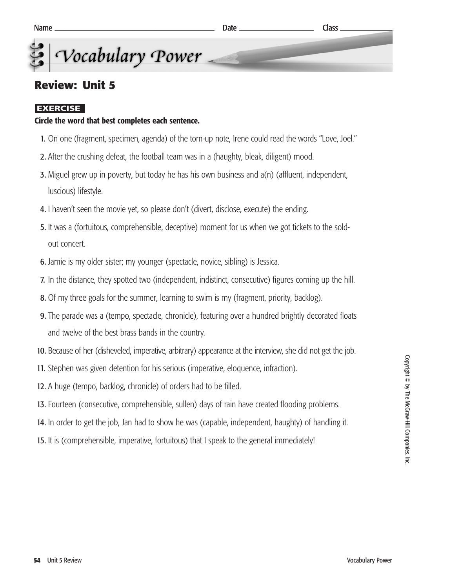Vocabulary Power

## **Review: Unit 5**

#### **EXERCISE**

#### **Circle the word that best completes each sentence.**

- 1. On one (fragment, specimen, agenda) of the torn-up note, Irene could read the words "Love, Joel."
- 2. After the crushing defeat, the football team was in a (haughty, bleak, diligent) mood.
- **3.** Miguel grew up in poverty, but today he has his own business and  $a(n)$  (affluent, independent, luscious) lifestyle.
- 4. I haven't seen the movie yet, so please don't (divert, disclose, execute) the ending.
- 5. It was a (fortuitous, comprehensible, deceptive) moment for us when we got tickets to the soldout concert.
- 6. Jamie is my older sister; my younger (spectacle, novice, sibling) is Jessica.
- 7. In the distance, they spotted two (independent, indistinct, consecutive) figures coming up the hill.
- 8. Of my three goals for the summer, learning to swim is my (fragment, priority, backlog).
- 9. The parade was a (tempo, spectacle, chronicle), featuring over a hundred brightly decorated floats and twelve of the best brass bands in the country.
- 10. Because of her (disheveled, imperative, arbitrary) appearance at the interview, she did not get the job.
- 11. Stephen was given detention for his serious (imperative, eloquence, infraction).
- 12. A huge (tempo, backlog, chronicle) of orders had to be filled.
- 13. Fourteen (consecutive, comprehensible, sullen) days of rain have created flooding problems.
- 14. In order to get the job, Jan had to show he was (capable, independent, haughty) of handling it.
- 15. It is (comprehensible, imperative, fortuitous) that I speak to the general immediately!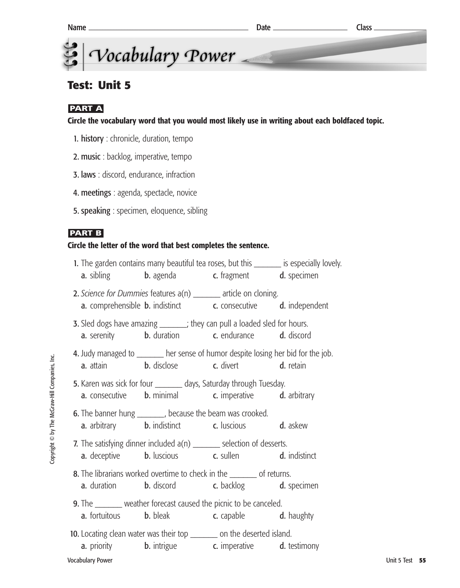## **Test: Unit 5**

## **PART A**

**Circle the vocabulary word that you would most likely use in writing about each boldfaced topic.**

- 1. history : chronicle, duration, tempo
- 2. music : backlog, imperative, tempo
- 3. laws : discord, endurance, infraction
- 4. meetings : agenda, spectacle, novice
- 5. speaking : specimen, eloquence, sibling

### **PART B**

#### **Circle the letter of the word that best completes the sentence.**

|                                                                          | 1. The garden contains many beautiful tea roses, but this _______ is especially lovely.                                                                      |  |                |  |
|--------------------------------------------------------------------------|--------------------------------------------------------------------------------------------------------------------------------------------------------------|--|----------------|--|
|                                                                          | <b>a.</b> sibling <b>b.</b> agenda <b>c.</b> fragment <b>d.</b> specimen                                                                                     |  |                |  |
|                                                                          | 2. Science for Dummies features a(n) ______ article on cloning.<br><b>a.</b> comprehensible <b>b.</b> indistinct <b>c.</b> consecutive <b>d.</b> independent |  |                |  |
|                                                                          | 3. Sled dogs have amazing _______; they can pull a loaded sled for hours.<br><b>a.</b> serenity <b>b.</b> duration <b>c.</b> endurance <b>d.</b> discord     |  |                |  |
|                                                                          | 4. Judy managed to _______ her sense of humor despite losing her bid for the job.<br><b>a.</b> attain <b>b.</b> disclose <b>c.</b> divert <b>d.</b> retain   |  |                |  |
|                                                                          | 5. Karen was sick for four _________ days, Saturday through Tuesday.<br><b>a.</b> consecutive <b>b.</b> minimal <b>c.</b> imperative <b>d.</b> arbitrary     |  |                |  |
|                                                                          | <b>6.</b> The banner hung _________, because the beam was crooked.<br><b>a.</b> arbitrary <b>b.</b> indistinct <b>c.</b> luscious <b>d.</b> askew            |  |                |  |
|                                                                          | 7. The satisfying dinner included a(n) _______ selection of desserts.<br><b>a.</b> deceptive <b>b.</b> luscious <b>c.</b> sullen <b>d.</b> indistinct        |  |                |  |
|                                                                          | 8. The librarians worked overtime to check in the ________ of returns.<br><b>a.</b> duration <b>b.</b> discord <b>c.</b> backlog <b>d.</b> specimen          |  |                |  |
|                                                                          | <b>9.</b> The ________ weather forecast caused the picnic to be canceled.<br><b>a.</b> fortuitous <b>b.</b> bleak <b>c.</b> capable <b>d.</b> haughty        |  |                |  |
| 10. Locating clean water was their top _________ on the deserted island. | <b>a.</b> priority <b>b.</b> intrigue <b>c.</b> imperative <b>d.</b> testimony                                                                               |  |                |  |
| <b>Vocabulary Power</b>                                                  |                                                                                                                                                              |  | Unit 5 Test 55 |  |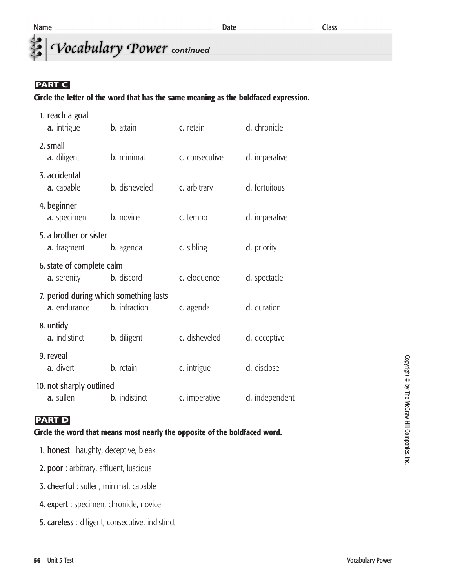## *<u>Cocabulary</u>* Power continued

## **PART C**

#### **Circle the letter of the word that has the same meaning as the boldfaced expression.**

| 1. reach a goal<br>a. intrigue                         | <b>b.</b> attain     | c. retain      | d. chronicle   |
|--------------------------------------------------------|----------------------|----------------|----------------|
| 2. small<br>a. diligent                                | <b>b.</b> minimal    | c. consecutive | d. imperative  |
| 3. accidental<br>a. capable                            | <b>b.</b> disheveled | c. arbitrary   | d. fortuitous  |
| 4. beginner<br>a. specimen                             | <b>b.</b> novice     | c. tempo       | d. imperative  |
| 5. a brother or sister<br>a. fragment                  | <b>b.</b> agenda     | c. sibling     | d. priority    |
| 6. state of complete calm<br>a. serenity               | <b>b.</b> discord    | c. eloquence   | d. spectacle   |
| 7. period during which something lasts<br>a. endurance | <b>b.</b> infraction | c. agenda      | d. duration    |
| 8. untidy<br>a. indistinct                             | <b>b.</b> diligent   | c. disheveled  | d. deceptive   |
| 9. reveal<br>a. divert                                 | <b>b.</b> retain     | c. intrigue    | d. disclose    |
| 10. not sharply outlined<br>a. sullen                  | <b>b.</b> indistinct | c. imperative  | d. independent |

## **PART D**

#### **Circle the word that means most nearly the opposite of the boldfaced word.**

| 1. honest: haughty, deceptive, bleak |  |
|--------------------------------------|--|
|--------------------------------------|--|

- 2. poor : arbitrary, affluent, luscious
- 3. cheerful : sullen, minimal, capable
- 4. expert : specimen, chronicle, novice
- 5. careless : diligent, consecutive, indistinct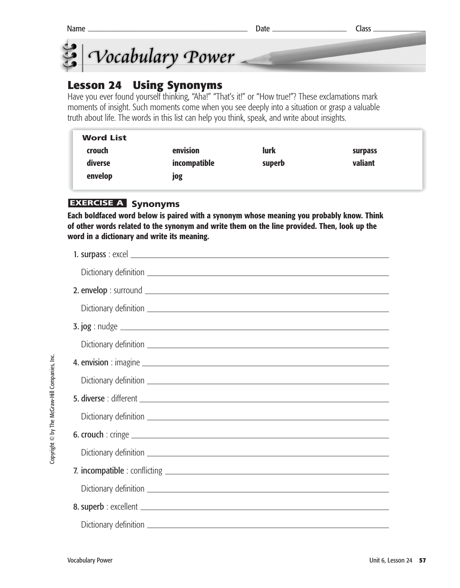



## **Lesson 24 Using Synonyms**

Have you ever found yourself thinking, "Aha!" "That's it!" or "How true!"? These exclamations mark moments of insight. Such moments come when you see deeply into a situation or grasp a valuable truth about life. The words in this list can help you think, speak, and write about insights.

| <b>Word List</b> |              |             |                |  |
|------------------|--------------|-------------|----------------|--|
| crouch           | envision     | <b>lurk</b> | <b>surpass</b> |  |
| diverse          | incompatible | superb      | valiant        |  |
| envelop          | jog          |             |                |  |

## **EXERCISE A Synonyms**

**Each boldfaced word below is paired with a synonym whose meaning you probably know. Think of other words related to the synonym and write them on the line provided. Then, look up the word in a dictionary and write its meaning.** 

Copyright © by The McGraw-Hill Companies, Inc. Copyright © by The McGraw-Hill Companies, Inc.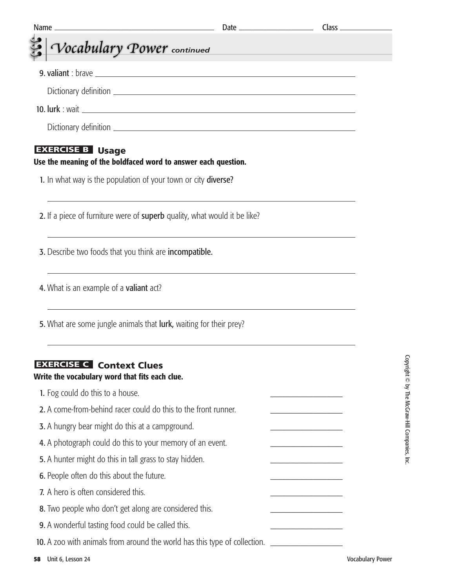| Name. |                                                                                                      |  |
|-------|------------------------------------------------------------------------------------------------------|--|
|       | Vocabulary Power continued                                                                           |  |
|       |                                                                                                      |  |
|       |                                                                                                      |  |
|       |                                                                                                      |  |
|       |                                                                                                      |  |
|       | <b>EXERCISE B</b> Usage<br>Use the meaning of the boldfaced word to answer each question.            |  |
|       | 1. In what way is the population of your town or city diverse?                                       |  |
|       | 2. If a piece of furniture were of superb quality, what would it be like?                            |  |
|       | 3. Describe two foods that you think are incompatible.                                               |  |
|       | 4. What is an example of a valiant act?                                                              |  |
|       | 5. What are some jungle animals that <b>lurk</b> , waiting for their prey?                           |  |
|       | <b>EXERCISE C</b> Context Clues<br>Write the vocabulary word that fits each clue.                    |  |
|       | 1. Fog could do this to a house.                                                                     |  |
|       | 2. A come-from-behind racer could do this to the front runner.                                       |  |
|       | 3. A hungry bear might do this at a campground.                                                      |  |
|       | 4. A photograph could do this to your memory of an event.                                            |  |
|       | 5. A hunter might do this in tall grass to stay hidden.                                              |  |
|       | 6. People often do this about the future.                                                            |  |
|       | 7. A hero is often considered this.                                                                  |  |
|       | 8. Two people who don't get along are considered this.                                               |  |
|       | 9. A wonderful tasting food could be called this.                                                    |  |
|       | 10. A zoo with animals from around the world has this type of collection. __________________________ |  |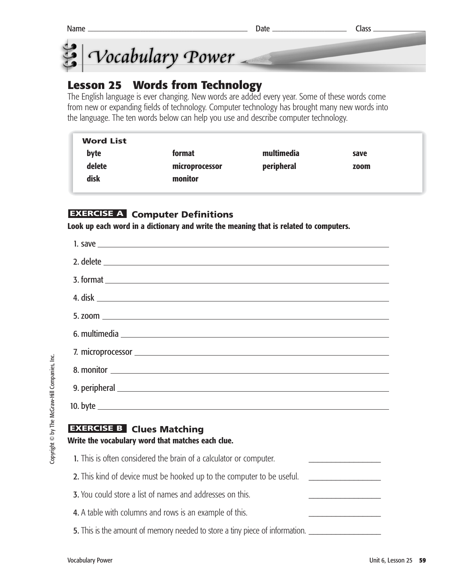

## **Lesson 25 Words from Technology**

The English language is ever changing. New words are added every year. Some of these words come from new or expanding fields of technology. Computer technology has brought many new words into the language. The ten words below can help you use and describe computer technology.

| <b>Word List</b> |                |            |      |
|------------------|----------------|------------|------|
| byte             | format         | multimedia | save |
| delete           | microprocessor | peripheral | zoom |
| disk             | monitor        |            |      |

## **EXERCISE A** Computer Definitions

**Look up each word in a dictionary and write the meaning that is related to computers.**

| 7. microprocessor entrance and the contract of the contract of the contract of the contract of the contract of |
|----------------------------------------------------------------------------------------------------------------|
|                                                                                                                |
|                                                                                                                |
|                                                                                                                |
| <b>EXERCISE B Clues Matching</b><br>Write the vocabulary word that matches each clue.                          |
| 1. This is often considered the brain of a calculator or computer.                                             |

- 2. This kind of device must be hooked up to the computer to be useful.
- 3. You could store a list of names and addresses on this.
- 4. A table with columns and rows is an example of this.
- **5.** This is the amount of memory needed to store a tiny piece of information.

I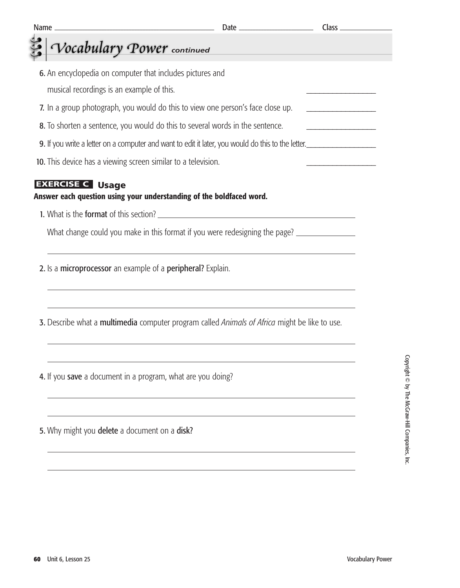| <b>Name</b><br><u> 1989 - Johann Barn, mars ann an t-Amhain an t-Amhain an t-Amhain an t-Amhain an t-Amhain an t-Amhain an t-A</u> |                                                                                  |                                            |
|------------------------------------------------------------------------------------------------------------------------------------|----------------------------------------------------------------------------------|--------------------------------------------|
| Vocabulary Power continued                                                                                                         |                                                                                  |                                            |
| 6. An encyclopedia on computer that includes pictures and                                                                          |                                                                                  |                                            |
| musical recordings is an example of this.                                                                                          |                                                                                  |                                            |
| 7. In a group photograph, you would do this to view one person's face close up.                                                    |                                                                                  |                                            |
| 8. To shorten a sentence, you would do this to several words in the sentence.                                                      |                                                                                  | <u> 1989 - Johann Barbara, martxa al-A</u> |
| 9. If you write a letter on a computer and want to edit it later, you would do this to the letter.                                 |                                                                                  |                                            |
| 10. This device has a viewing screen similar to a television.                                                                      |                                                                                  |                                            |
| <b>EXERCISE C</b> Usage<br>Answer each question using your understanding of the boldfaced word.                                    |                                                                                  |                                            |
| 1. What is the format of this section?                                                                                             |                                                                                  |                                            |
| What change could you make in this format if you were redesigning the page?                                                        |                                                                                  |                                            |
| 2. Is a microprocessor an example of a peripheral? Explain.                                                                        | ,我们也不会有什么。""我们的人,我们也不会有什么?""我们的人,我们也不会有什么?""我们的人,我们也不会有什么?""我们的人,我们也不会有什么?""我们的人 |                                            |
| 3. Describe what a multimedia computer program called Animals of Africa might be like to use.                                      |                                                                                  |                                            |
| 4. If you save a document in a program, what are you doing?                                                                        |                                                                                  |                                            |
| 5. Why might you delete a document on a disk?                                                                                      |                                                                                  |                                            |
|                                                                                                                                    |                                                                                  |                                            |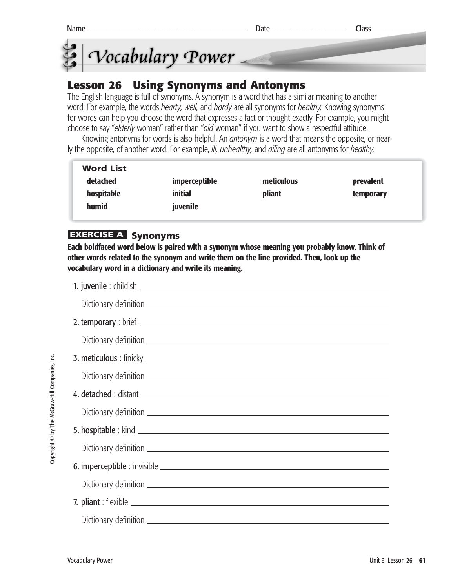

## **Lesson 26 Using Synonyms and Antonyms**

The English language is full of synonyms. A synonym is a word that has a similar meaning to another word. For example, the words *hearty, well,* and *hardy* are all synonyms for *healthy.* Knowing synonyms for words can help you choose the word that expresses a fact or thought exactly. For example, you might choose to say "*elderly* woman" rather than "*old* woman" if you want to show a respectful attitude.

Knowing antonyms for words is also helpful. An *antonym* is a word that means the opposite, or nearly the opposite, of another word. For example, *ill, unhealthy,* and *ailing* are all antonyms for *healthy.*

| <b>Word List</b> |                      |            |           |
|------------------|----------------------|------------|-----------|
| detached         | <i>imperceptible</i> | meticulous | prevalent |
| hospitable       | <i>initial</i>       | pliant     | temporary |
| humid            | juvenile             |            |           |

## **EXERCISE A Synonyms**

**Each boldfaced word below is paired with a synonym whose meaning you probably know. Think of other words related to the synonym and write them on the line provided. Then, look up the vocabulary word in a dictionary and write its meaning.**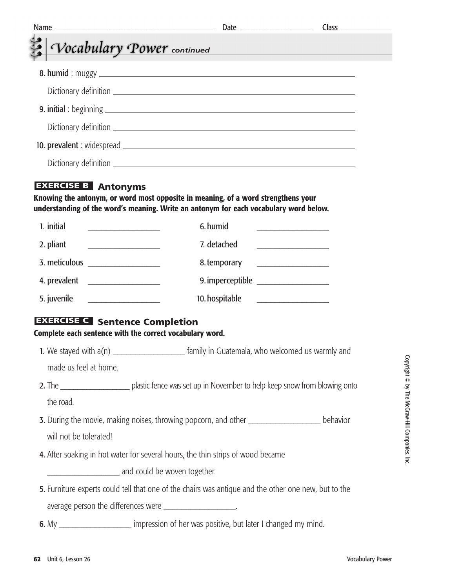| Vocabulary Power continued                                                                        |                                                                                                                                                                            | <u> 1989 - Johann Barnett, mars eta idazlea (h. 1989).</u>      |
|---------------------------------------------------------------------------------------------------|----------------------------------------------------------------------------------------------------------------------------------------------------------------------------|-----------------------------------------------------------------|
|                                                                                                   |                                                                                                                                                                            |                                                                 |
|                                                                                                   |                                                                                                                                                                            |                                                                 |
|                                                                                                   |                                                                                                                                                                            |                                                                 |
|                                                                                                   |                                                                                                                                                                            |                                                                 |
|                                                                                                   |                                                                                                                                                                            |                                                                 |
|                                                                                                   |                                                                                                                                                                            |                                                                 |
| <b>EXERCISE B</b> Antonyms                                                                        | Knowing the antonym, or word most opposite in meaning, of a word strengthens your<br>understanding of the word's meaning. Write an antonym for each vocabulary word below. |                                                                 |
| 1. initial<br><u> 1990 - Johann Barbara, martxa alemani</u>                                       | 6. humid                                                                                                                                                                   |                                                                 |
| 2. pliant<br><u> 1989 - Johann Barn, mars et al.</u>                                              | 7. detached                                                                                                                                                                | <u> 1989 - Johann Barbara, martxa al</u>                        |
|                                                                                                   | 8. temporary                                                                                                                                                               | <u> 1989 - Johann Barn, fransk politik amerikansk politik (</u> |
|                                                                                                   |                                                                                                                                                                            |                                                                 |
| 5. juvenile<br><u> 1989 - Johann Barnett, fransk politiker (</u>                                  | 10. hospitable                                                                                                                                                             | <u> 1989 - Johann Stein, fransk politik (</u>                   |
| <b>EXERCISE C</b> Sentence Completion<br>Complete each sentence with the correct vocabulary word. |                                                                                                                                                                            |                                                                 |
|                                                                                                   | 1. We stayed with a(n) ________________________ family in Guatemala, who welcomed us warmly and                                                                            |                                                                 |
| made us feel at home.                                                                             |                                                                                                                                                                            |                                                                 |
|                                                                                                   |                                                                                                                                                                            |                                                                 |
| the road.                                                                                         |                                                                                                                                                                            |                                                                 |
|                                                                                                   | 3. During the movie, making noises, throwing popcorn, and other _______________________ behavior                                                                           |                                                                 |
| will not be tolerated!                                                                            |                                                                                                                                                                            |                                                                 |
|                                                                                                   | 4. After soaking in hot water for several hours, the thin strips of wood became                                                                                            |                                                                 |
|                                                                                                   |                                                                                                                                                                            |                                                                 |
|                                                                                                   | 5. Furniture experts could tell that one of the chairs was antique and the other one new, but to the                                                                       |                                                                 |
|                                                                                                   | average person the differences were ____________________.                                                                                                                  |                                                                 |
|                                                                                                   | 6. My ______________________ impression of her was positive, but later I changed my mind.                                                                                  |                                                                 |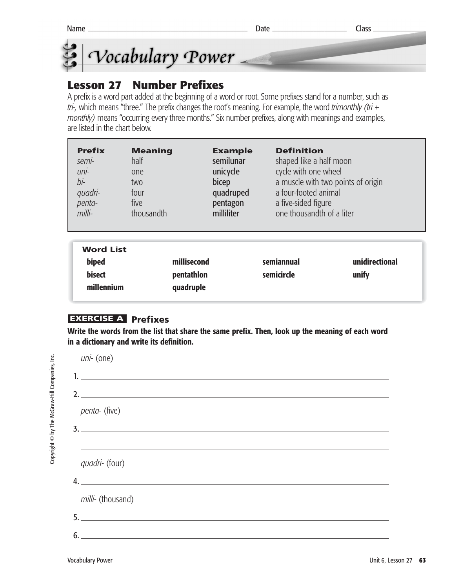

## **Lesson 27 Number Prefixes**

A prefix is a word part added at the beginning of a word or root. Some prefixes stand for a number, such as *tri-,* which means "three." The prefix changes the root's meaning. For example, the word *trimonthly (tri + monthly)* means "occurring every three months." Six number prefixes, along with meanings and examples, are listed in the chart below.

| <b>Prefix</b>                              | <b>Meaning</b> | <b>Example</b>            | <b>Definition</b>                  |                         |
|--------------------------------------------|----------------|---------------------------|------------------------------------|-------------------------|
| semi-                                      | half           | semilunar                 | shaped like a half moon            |                         |
| uni-                                       | one            | unicycle                  | cycle with one wheel               |                         |
| bi-                                        | two            | bicep                     | a muscle with two points of origin |                         |
| quadri-                                    | four           | quadruped                 | a four-footed animal               |                         |
| penta-                                     | five           | pentagon                  | a five-sided figure                |                         |
| $m$ <i>illi-</i>                           | thousandth     | milliliter                | one thousandth of a liter          |                         |
| <b>Word List</b><br>biped<br><b>bisect</b> |                | millisecond<br>pentathlon | semiannual<br>semicircle           | unidirectional<br>unify |

## **Prefixes EXERCISE A**

**millennium quadruple**

**Write the words from the list that share the same prefix. Then, look up the meaning of each word in a dictionary and write its definition.** 

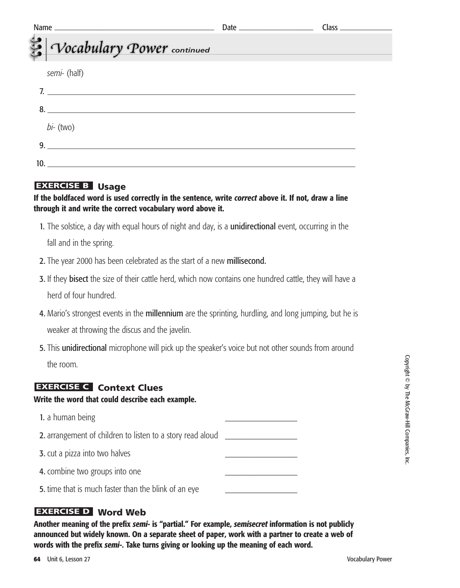| Vocabulary Power continued | <u> 1989 - Johann Stein, mars an deus Amerikaansk kommunister (</u> |  |
|----------------------------|---------------------------------------------------------------------|--|
|                            |                                                                     |  |
| semi- (half)               |                                                                     |  |
| 7.                         |                                                                     |  |
| 8.                         |                                                                     |  |
|                            |                                                                     |  |
| $bi-$ (two)                |                                                                     |  |
| q                          |                                                                     |  |
|                            |                                                                     |  |
|                            |                                                                     |  |

### **EXERCISE B** Usage

#### **If the boldfaced word is used correctly in the sentence, write** *correct* **above it. If not, draw a line through it and write the correct vocabulary word above it.**

1. The solstice, a day with equal hours of night and day, is a **unidirectional** event, occurring in the

fall and in the spring.

- 2. The year 2000 has been celebrated as the start of a new millisecond.
- **3.** If they **bisect** the size of their cattle herd, which now contains one hundred cattle, they will have a herd of four hundred.
- 4. Mario's strongest events in the **millennium** are the sprinting, hurdling, and long jumping, but he is weaker at throwing the discus and the javelin.
- 5. This unidirectional microphone will pick up the speaker's voice but not other sounds from around the room.

## **EXERCISE C** Context Clues

**Write the word that could describe each example.**

1. a human being

2. arrangement of children to listen to a story read aloud \_\_\_\_\_\_\_\_\_\_\_\_\_\_\_\_\_\_\_\_\_

- 3. cut a pizza into two halves
- 4. combine two groups into one
- 5. time that is much faster than the blink of an eye

## **Word Web EXERCISE D**

**Another meaning of the prefix** *semi-* **is "partial." For example,** *semisecret* **information is not publicly announced but widely known. On a separate sheet of paper, work with a partner to create a web of words with the prefix** *semi-***. Take turns giving or looking up the meaning of each word.**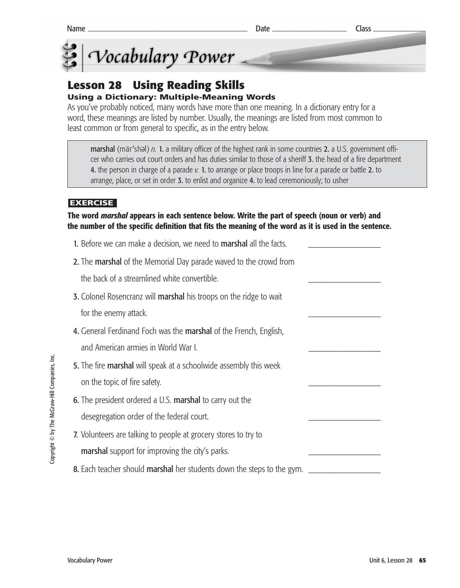

#### **Lesson 28 Using Reading Skills Using a Dictionary: Multiple-Meaning Words**

As you've probably noticed, many words have more than one meaning. In a dictionary entry for a word, these meanings are listed by number. Usually, the meanings are listed from most common to least common or from general to specific, as in the entry below.

marshal (mär'shəl) n. 1. a military officer of the highest rank in some countries 2. a U.S. government officer who carries out court orders and has duties similar to those of a sheriff 3. the head of a fire department 4. the person in charge of a parade *v.* 1. to arrange or place troops in line for a parade or battle 2. to arrange, place, or set in order 3. to enlist and organize 4. to lead ceremoniously; to usher

#### **EXERCISE**

#### **The word** *marshal* **appears in each sentence below. Write the part of speech (noun or verb) and the number of the specific definition that fits the meaning of the word as it is used in the sentence.**

| 1. Before we can make a decision, we need to <b>marshal</b> all the facts. |  |
|----------------------------------------------------------------------------|--|
| 2. The marshal of the Memorial Day parade waved to the crowd from          |  |
| the back of a streamlined white convertible.                               |  |
| 3. Colonel Rosencranz will marshal his troops on the ridge to wait         |  |
| for the enemy attack.                                                      |  |
| 4. General Ferdinand Foch was the marshal of the French, English,          |  |
| and American armies in World War I.                                        |  |
| 5. The fire marshal will speak at a schoolwide assembly this week          |  |
| on the topic of fire safety.                                               |  |
| 6. The president ordered a U.S. marshal to carry out the                   |  |
| desegregation order of the federal court.                                  |  |
| 7. Volunteers are talking to people at grocery stores to try to            |  |
| marshal support for improving the city's parks.                            |  |
| 8. Each teacher should marshal her students down the steps to the gym.     |  |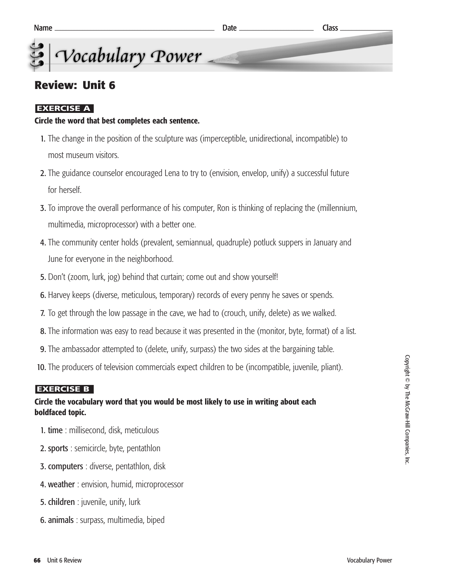### **Review: Unit 6**

#### **EXERCISE A**

#### **Circle the word that best completes each sentence.**

- 1. The change in the position of the sculpture was (imperceptible, unidirectional, incompatible) to most museum visitors.
- 2. The guidance counselor encouraged Lena to try to (envision, envelop, unify) a successful future for herself.
- 3. To improve the overall performance of his computer, Ron is thinking of replacing the (millennium, multimedia, microprocessor) with a better one.
- 4. The community center holds (prevalent, semiannual, quadruple) potluck suppers in January and June for everyone in the neighborhood.
- 5. Don't (zoom, lurk, jog) behind that curtain; come out and show yourself!
- 6. Harvey keeps (diverse, meticulous, temporary) records of every penny he saves or spends.
- 7. To get through the low passage in the cave, we had to (crouch, unify, delete) as we walked.
- 8. The information was easy to read because it was presented in the (monitor, byte, format) of a list.
- 9. The ambassador attempted to (delete, unify, surpass) the two sides at the bargaining table.
- 10. The producers of television commercials expect children to be (incompatible, juvenile, pliant).

#### **EXERCISE B**

#### **Circle the vocabulary word that you would be most likely to use in writing about each boldfaced topic.**

- 1. time : millisecond, disk, meticulous
- 2. sports : semicircle, byte, pentathlon
- 3. computers : diverse, pentathlon, disk
- 4. weather: envision, humid, microprocessor
- 5. children : juvenile, unify, lurk
- 6. animals : surpass, multimedia, biped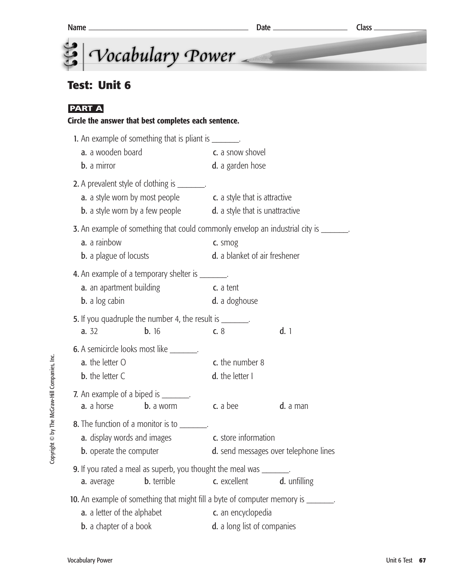### **Test: Unit 6**

#### **PART A**

#### **Circle the answer that best completes each sentence.**

|                                | 1. An example of something that is pliant is ________.                                    |                                       |              |  |  |
|--------------------------------|-------------------------------------------------------------------------------------------|---------------------------------------|--------------|--|--|
|                                | a. a wooden board                                                                         | c. a snow shovel                      |              |  |  |
| b. a mirror                    |                                                                                           | d. a garden hose                      |              |  |  |
|                                | 2. A prevalent style of clothing is ________.                                             |                                       |              |  |  |
|                                | <b>a.</b> a style worn by most people <b>c.</b> a style that is attractive                |                                       |              |  |  |
|                                | <b>b.</b> a style worn by a few people <b>d.</b> a style that is unattractive             |                                       |              |  |  |
|                                | <b>3.</b> An example of something that could commonly envelop an industrial city is _____ |                                       |              |  |  |
| a. a rainbow                   |                                                                                           | c. smog                               |              |  |  |
|                                | <b>b.</b> a plague of locusts                                                             | d. a blanket of air freshener         |              |  |  |
|                                | <b>4.</b> An example of a temporary shelter is ________.                                  |                                       |              |  |  |
|                                | a. an apartment building                                                                  | c. a tent                             |              |  |  |
| <b>b.</b> a log cabin          |                                                                                           | d. a doghouse                         |              |  |  |
|                                | 5. If you quadruple the number 4, the result is _______.                                  |                                       |              |  |  |
| a. 32                          | <b>b.</b> 16                                                                              | c.8                                   | d.1          |  |  |
|                                | <b>6.</b> A semicircle looks most like ________.                                          |                                       |              |  |  |
| a. the letter O                |                                                                                           | c. the number 8                       |              |  |  |
| <b>b.</b> the letter C         |                                                                                           | d. the letter I                       |              |  |  |
|                                | 7. An example of a biped is ________.                                                     |                                       |              |  |  |
| a. a horse                     | <b>b.</b> a worm                                                                          | c. a bee                              | d. a man     |  |  |
|                                | 8. The function of a monitor is to _______.                                               |                                       |              |  |  |
|                                | <b>a.</b> display words and images                                                        | c. store information                  |              |  |  |
| <b>b.</b> operate the computer |                                                                                           | d. send messages over telephone lines |              |  |  |
|                                | 9. If you rated a meal as superb, you thought the meal was _______.                       |                                       |              |  |  |
| a. average                     | <b>b.</b> terrible                                                                        | c. excellent                          | d. unfilling |  |  |
|                                | 10. An example of something that might fill a byte of computer memory is _______.         |                                       |              |  |  |
|                                | a. a letter of the alphabet                                                               | c. an encyclopedia                    |              |  |  |

**b.** a chapter of a book **d.** a long list of companies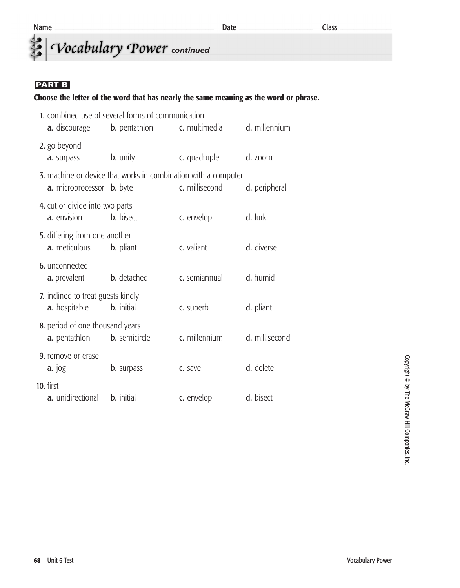## *<u>Cocabulary</u> Power* continued

#### **PART B**

#### **Choose the letter of the word that has nearly the same meaning as the word or phrase.**

|                                                            | 1. combined use of several forms of communication              |                |                |
|------------------------------------------------------------|----------------------------------------------------------------|----------------|----------------|
| a. discourage                                              | <b>b.</b> pentathlon                                           | c. multimedia  | d. millennium  |
| 2. go beyond<br>a. surpass                                 | <b>b.</b> unify                                                | c. quadruple   | $d.$ zoom      |
| <b>a.</b> microprocessor <b>b.</b> byte                    | 3. machine or device that works in combination with a computer | c. millisecond | d. peripheral  |
| 4. cut or divide into two parts<br>a. envision             | <b>b.</b> bisect                                               | c. envelop     | d. lurk        |
| 5. differing from one another<br>a. meticulous             | <b>b.</b> pliant                                               | c. valiant     | d. diverse     |
| 6. unconnected<br>a. prevalent                             | <b>b.</b> detached                                             | c. semiannual  | d. humid       |
| 7. inclined to treat guests kindly<br><b>a.</b> hospitable | <b>b.</b> initial                                              | c. superb      | d. pliant      |
| 8. period of one thousand years<br>a. pentathlon           | <b>b.</b> semicircle                                           | c. millennium  | d. millisecond |
| <b>9.</b> remove or erase<br>$a.$ $10g$                    | <b>b.</b> surpass                                              | c. save        | d. delete      |
| 10. first<br>a. unidirectional                             | <b>b.</b> initial                                              | c. envelop     | d. bisect      |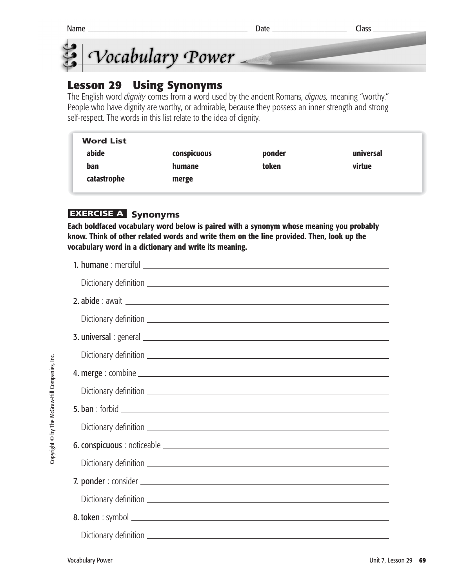



### **Lesson 29 Using Synonyms**

The English word *dignity* comes from a word used by the ancient Romans, *dignus,* meaning "worthy." People who have dignity are worthy, or admirable, because they possess an inner strength and strong self-respect. The words in this list relate to the idea of dignity.

| <b>Word List</b> |             |        |           |
|------------------|-------------|--------|-----------|
| abide            | conspicuous | ponder | universal |
| ban              | humane      | token  | virtue    |
| catastrophe      | merge       |        |           |
|                  |             |        |           |

#### **EXERCISE A** Synonyms

**Each boldfaced vocabulary word below is paired with a synonym whose meaning you probably know. Think of other related words and write them on the line provided. Then, look up the vocabulary word in a dictionary and write its meaning.**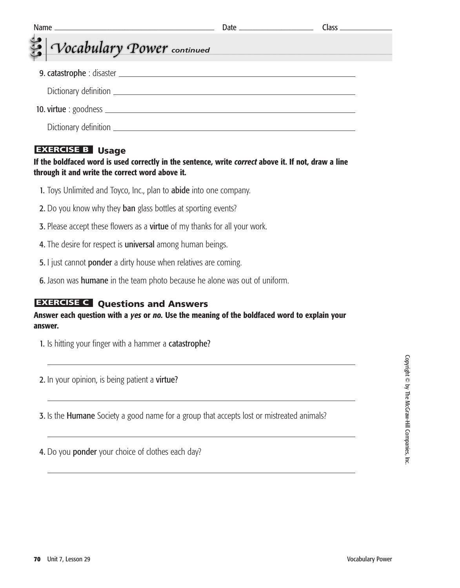| Vocabulary Power continued |  |
|----------------------------|--|
|                            |  |
|                            |  |
|                            |  |
|                            |  |
|                            |  |

#### **EXERCISE B** Usage

#### **If the boldfaced word is used correctly in the sentence, write** *correct* **above it. If not, draw a line through it and write the correct word above it.**

- 1. Toys Unlimited and Toyco, Inc., plan to abide into one company.
- 2. Do you know why they ban glass bottles at sporting events?
- **3.** Please accept these flowers as a **virtue** of my thanks for all your work.
- 4. The desire for respect is universal among human beings.
- 5. I just cannot ponder a dirty house when relatives are coming.
- 6. Jason was humane in the team photo because he alone was out of uniform.

#### **EXERCISE C** Questions and Answers

#### **Answer each question with a** *yes* **or** *no.* **Use the meaning of the boldfaced word to explain your answer.**

1. Is hitting your finger with a hammer a catastrophe?

2. In your opinion, is being patient a virtue?

**3.** Is the **Humane** Society a good name for a group that accepts lost or mistreated animals?

4. Do you ponder your choice of clothes each day?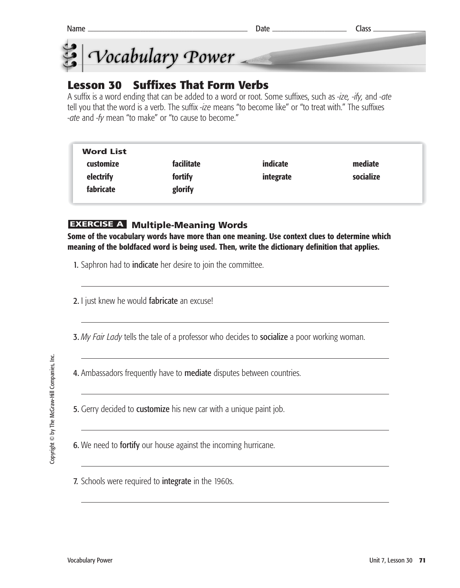



## **Lesson 30 Suffixes That Form Verbs**

A suffix is a word ending that can be added to a word or root. Some suffixes, such as *-ize, -ify,* and *-ate* tell you that the word is a verb. The suffix *-ize* means "to become like" or "to treat with." The suffixes *-ate* and *-fy* mean "to make" or "to cause to become."

| <b>Word List</b> |            |           |           |
|------------------|------------|-----------|-----------|
| customize        | facilitate | indicate  | mediate   |
| electrify        | fortify    | integrate | socialize |
| fabricate        | glorify    |           |           |

### **EXERCISE A Multiple-Meaning Words**

**Some of the vocabulary words have more than one meaning. Use context clues to determine which meaning of the boldfaced word is being used. Then, write the dictionary definition that applies.**

1. Saphron had to **indicate** her desire to join the committee.

2. I just knew he would fabricate an excuse!

3. *My Fair Lady* tells the tale of a professor who decides to socialize a poor working woman.

4. Ambassadors frequently have to **mediate** disputes between countries.

5. Gerry decided to customize his new car with a unique paint job.

6. We need to fortify our house against the incoming hurricane.

7. Schools were required to integrate in the 1960s.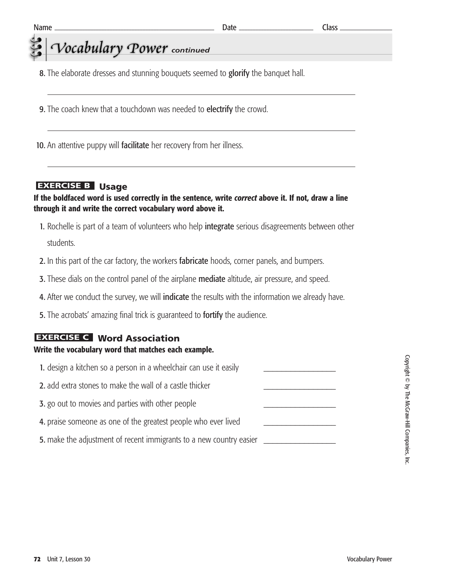## *Vocabulary* Power continued

- 8. The elaborate dresses and stunning bouquets seemed to glorify the banquet hall.
- **9.** The coach knew that a touchdown was needed to **electrify** the crowd.
- 10. An attentive puppy will facilitate her recovery from her illness.

#### **EXERCISE B** Usage

#### **If the boldfaced word is used correctly in the sentence, write** *correct* **above it. If not, draw a line through it and write the correct vocabulary word above it.**

- 1. Rochelle is part of a team of volunteers who help integrate serious disagreements between other students.
- 2. In this part of the car factory, the workers fabricate hoods, corner panels, and bumpers.
- **3.** These dials on the control panel of the airplane mediate altitude, air pressure, and speed.
- 4. After we conduct the survey, we will indicate the results with the information we already have.
- 5. The acrobats' amazing final trick is guaranteed to fortify the audience.

#### **Word Association EXERCISE C**

#### **Write the vocabulary word that matches each example.**

| 1. design a kitchen so a person in a wheelchair can use it easily   |  |
|---------------------------------------------------------------------|--|
| 2. add extra stones to make the wall of a castle thicker            |  |
| 3. go out to movies and parties with other people                   |  |
| 4. praise someone as one of the greatest people who ever lived      |  |
| 5. make the adjustment of recent immigrants to a new country easier |  |
|                                                                     |  |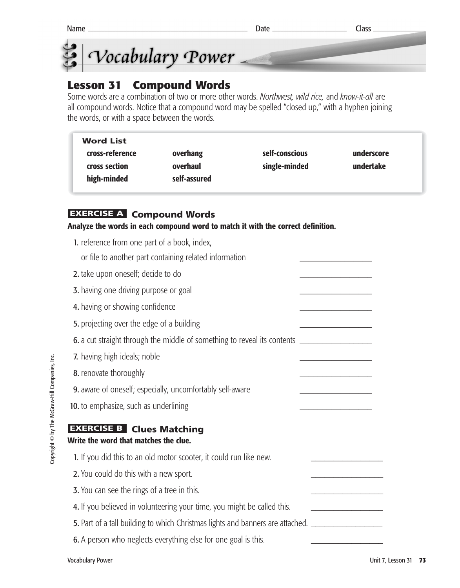



## **Lesson 31 Compound Words**

Some words are a combination of two or more other words. *Northwest, wild rice,* and *know-it-all* are all compound words. Notice that a compound word may be spelled "closed up," with a hyphen joining the words, or with a space between the words.

| <b>Word List</b>                                |                                      |                                 |                         |
|-------------------------------------------------|--------------------------------------|---------------------------------|-------------------------|
| cross-reference<br>cross section<br>high-minded | overhang<br>overhaul<br>self-assured | self-conscious<br>single-minded | underscore<br>undertake |

#### **EXERCISE A** Compound Words

**Analyze the words in each compound word to match it with the correct definition.**

1. reference from one part of a book, index, or file to another part containing related information 2. take upon oneself; decide to do 3. having one driving purpose or goal 4. having or showing confidence 5. projecting over the edge of a building 6. a cut straight through the middle of something to reveal its contents 7. having high ideals; noble 8. renovate thoroughly 9. aware of oneself; especially, uncomfortably self-aware 10. to emphasize, such as underlining **EXERCISE B** Clues Matching **Write the word that matches the clue.** 1. If you did this to an old motor scooter, it could run like new. 2. You could do this with a new sport. **3.** You can see the rings of a tree in this. 4. If you believed in volunteering your time, you might be called this. **5.** Part of a tall building to which Christmas lights and banners are attached. 6. A person who neglects everything else for one goal is this.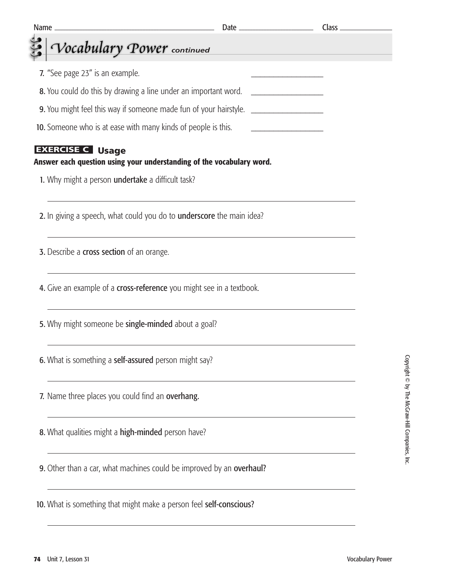| <u> 1989 - Johann Barn, mars ar breithinn ar chwaraeth a bhaile ann an 1992. Bhaile ann an 1992 an t-Alban ann an</u><br>Name $\equiv$ |                                                         |  |
|----------------------------------------------------------------------------------------------------------------------------------------|---------------------------------------------------------|--|
| Vocabulary Power continued                                                                                                             |                                                         |  |
| 7. "See page 23" is an example.                                                                                                        |                                                         |  |
| 8. You could do this by drawing a line under an important word.                                                                        |                                                         |  |
| 9. You might feel this way if someone made fun of your hairstyle. ______________                                                       |                                                         |  |
| 10. Someone who is at ease with many kinds of people is this.                                                                          | <u> 1980 - Johann Barn, mars ann an t-Amhair an t-A</u> |  |
| <b>EXERCISE C</b> Usage<br>Answer each question using your understanding of the vocabulary word.                                       |                                                         |  |
| 1. Why might a person undertake a difficult task?                                                                                      |                                                         |  |
| 2. In giving a speech, what could you do to <b>underscore</b> the main idea?                                                           |                                                         |  |
| 3. Describe a cross section of an orange.                                                                                              |                                                         |  |
| 4. Give an example of a <b>cross-reference</b> you might see in a textbook.                                                            |                                                         |  |
| 5. Why might someone be single-minded about a goal?                                                                                    |                                                         |  |
| 6. What is something a self-assured person might say?                                                                                  |                                                         |  |
| 7. Name three places you could find an overhang.                                                                                       |                                                         |  |
| 8. What qualities might a high-minded person have?                                                                                     |                                                         |  |
| 9. Other than a car, what machines could be improved by an overhaul?                                                                   |                                                         |  |
| 10. What is something that might make a person feel self-conscious?                                                                    |                                                         |  |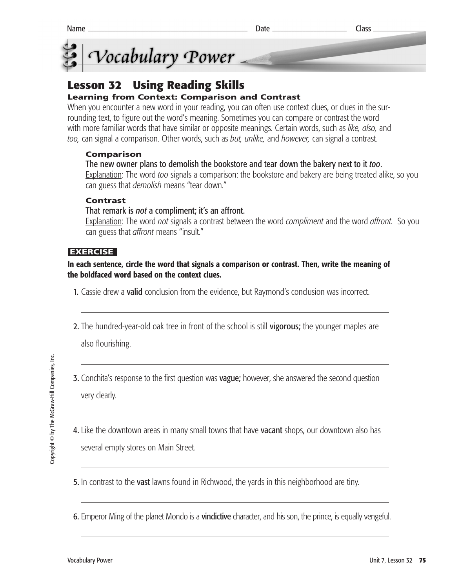



## **Lesson 32 Using Reading Skills**

#### **Learning from Context: Comparison and Contrast**

When you encounter a new word in your reading, you can often use context clues, or clues in the surrounding text, to figure out the word's meaning. Sometimes you can compare or contrast the word with more familiar words that have similar or opposite meanings. Certain words, such as *like, also,* and *too,* can signal a comparison. Other words, such as *but, unlike,* and *however,* can signal a contrast.

#### **Comparison**

#### The new owner plans to demolish the bookstore and tear down the bakery next to it *too*.

Explanation: The word *too* signals a comparison: the bookstore and bakery are being treated alike, so you can guess that *demolish* means "tear down."

#### **Contrast**

#### That remark is *not* a compliment; it's an affront.

Explanation: The word *not* signals a contrast between the word *compliment* and the word *affront.* So you can guess that *affront* means "insult."

#### **EXERCISE**

#### **In each sentence, circle the word that signals a comparison or contrast. Then, write the meaning of the boldfaced word based on the context clues.**

- 1. Cassie drew a valid conclusion from the evidence, but Raymond's conclusion was incorrect.
- 2. The hundred-year-old oak tree in front of the school is still vigorous; the younger maples are

also flourishing.

- **3.** Conchita's response to the first question was **vague**; however, she answered the second question very clearly.
- 4. Like the downtown areas in many small towns that have vacant shops, our downtown also has several empty stores on Main Street.
- 5. In contrast to the vast lawns found in Richwood, the yards in this neighborhood are tiny.
- 6. Emperor Ming of the planet Mondo is a vindictive character, and his son, the prince, is equally vengeful.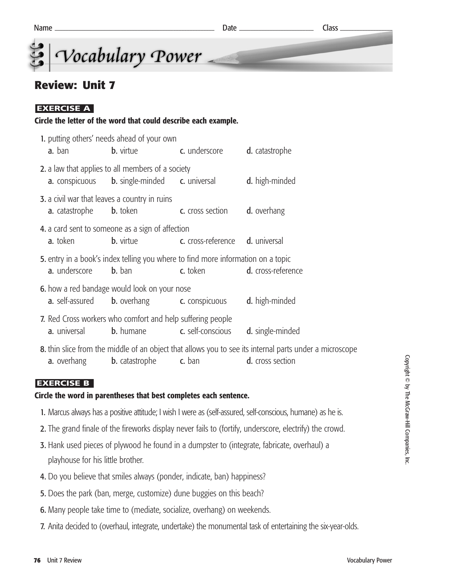microscope



### **Review: Unit 7**

#### **EXERCISE A**

#### **Circle the letter of the word that could describe each example.**

|                       | 1. putting others' needs ahead of your own                                                                             |                                 |                                                                                                                  |
|-----------------------|------------------------------------------------------------------------------------------------------------------------|---------------------------------|------------------------------------------------------------------------------------------------------------------|
| <b>a.</b> ban         | <b>b.</b> virtue                                                                                                       | c. underscore                   | d. catastrophe                                                                                                   |
|                       | 2. a law that applies to all members of a society<br><b>a.</b> conspicuous <b>b.</b> single-minded <b>c.</b> universal |                                 | d. high-minded                                                                                                   |
| <b>a.</b> catastrophe | <b>3.</b> a civil war that leaves a country in ruins<br><b>b.</b> token                                                | <b>c.</b> cross section         | d. overhang                                                                                                      |
| a. token              | 4. a card sent to someone as a sign of affection<br><b>b.</b> virtue                                                   | c. cross-reference d. universal |                                                                                                                  |
| a. underscore         | 5. entry in a book's index telling you where to find more information on a topic<br><b>b.</b> ban                      | c. token                        | <b>d.</b> cross-reference                                                                                        |
|                       | 6. how a red bandage would look on your nose<br><b>a.</b> self-assured <b>b.</b> overhang <b>c.</b> conspicuous        |                                 | d. high-minded                                                                                                   |
| a. universal          | 7. Red Cross workers who comfort and help suffering people<br><b>b.</b> humane                                         | c. self-conscious               | <b>d.</b> single-minded                                                                                          |
|                       | <b>a.</b> overhang <b>b.</b> catastrophe                                                                               | c. ban                          | 8. thin slice from the middle of an object that allows you to see its internal parts under a<br>d. cross section |
|                       |                                                                                                                        |                                 |                                                                                                                  |

#### **EXERCISE B**

#### **Circle the word in parentheses that best completes each sentence.**

- 1. Marcus always has a positive attitude; I wish I were as (self-assured, self-conscious, humane) as he is.
- 2. The grand finale of the fireworks display never fails to (fortify, underscore, electrify) the crowd.
- 3. Hank used pieces of plywood he found in a dumpster to (integrate, fabricate, overhaul) a playhouse for his little brother.
- 4. Do you believe that smiles always (ponder, indicate, ban) happiness?
- 5. Does the park (ban, merge, customize) dune buggies on this beach?
- 6. Many people take time to (mediate, socialize, overhang) on weekends.
- 7. Anita decided to (overhaul, integrate, undertake) the monumental task of entertaining the six-year-olds.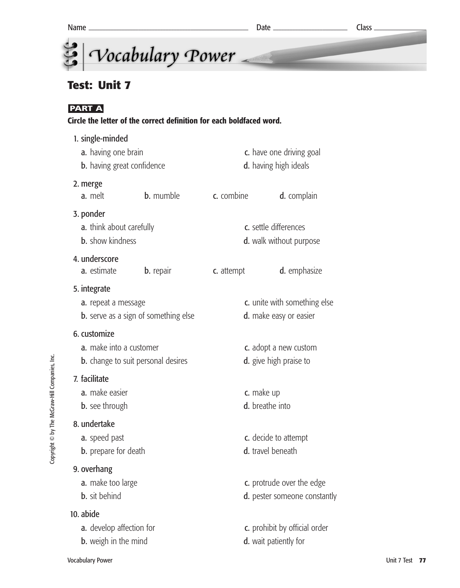

## **Test: Unit 7**

### **PART A**

#### **Circle the letter of the correct definition for each boldfaced word.**

| 1. single-minded<br>c. have one driving goal                                         |                  |                                                        |                                                           |
|--------------------------------------------------------------------------------------|------------------|--------------------------------------------------------|-----------------------------------------------------------|
| a. having one brain<br>b. having great confidence                                    |                  | d. having high ideals                                  |                                                           |
| 2. merge<br>a. melt                                                                  | <b>b.</b> mumble | c. combine                                             | d. complain                                               |
| 3. ponder<br><b>a.</b> think about carefully<br><b>b.</b> show kindness              |                  |                                                        | c. settle differences<br><b>d.</b> walk without purpose   |
| 4. underscore<br>a. estimate                                                         | <b>b.</b> repair | c. attempt                                             | <b>d.</b> emphasize                                       |
| 5. integrate<br>a. repeat a message<br><b>b.</b> serve as a sign of something else   |                  | c. unite with something else<br>d. make easy or easier |                                                           |
| 6. customize<br>a. make into a customer<br><b>b.</b> change to suit personal desires |                  | c. adopt a new custom<br>d. give high praise to        |                                                           |
| 7. facilitate<br>a. make easier<br><b>b.</b> see through                             |                  | c. make up<br>d. breathe into                          |                                                           |
| 8. undertake<br>a. speed past<br><b>b.</b> prepare for death                         |                  |                                                        | c. decide to attempt<br>d. travel beneath                 |
| 9. overhang<br>a. make too large<br><b>b.</b> sit behind                             |                  |                                                        | c. protrude over the edge<br>d. pester someone constantly |
| 10. abide<br>a. develop affection for<br><b>b.</b> weigh in the mind                 |                  |                                                        | c. prohibit by official order<br>d. wait patiently for    |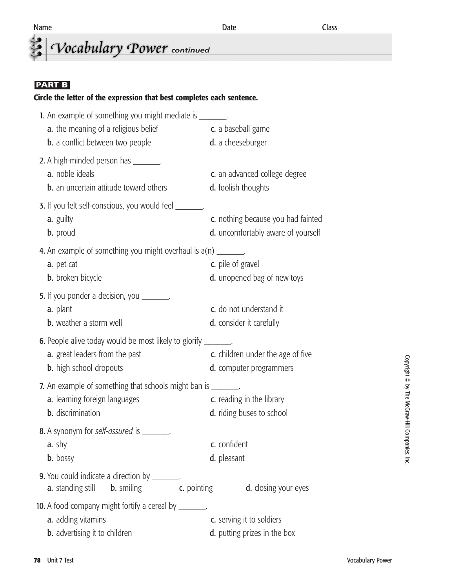## *<u>Cocabulary</u>* Power continued

#### **PART B**

#### **Circle the letter of the expression that best completes each sentence.**

| 1. An example of something you might mediate is ________.               |                                            |
|-------------------------------------------------------------------------|--------------------------------------------|
| a. the meaning of a religious belief                                    | c. a baseball game                         |
| <b>b.</b> a conflict between two people                                 | d. a cheeseburger                          |
| 2. A high-minded person has ________.                                   |                                            |
| a. noble ideals                                                         | c. an advanced college degree              |
| <b>b.</b> an uncertain attitude toward others                           | <b>d.</b> foolish thoughts                 |
| 3. If you felt self-conscious, you would feel _______.                  |                                            |
| a. guilty                                                               | c. nothing because you had fainted         |
| <b>b.</b> proud                                                         | d. uncomfortably aware of yourself         |
| <b>4.</b> An example of something you might overhaul is $a(n)$ _______. |                                            |
| a. pet cat                                                              | c. pile of gravel                          |
| <b>b.</b> broken bicycle                                                | <b>d.</b> unopened bag of new toys         |
| 5. If you ponder a decision, you ________.                              |                                            |
| a. plant                                                                | c. do not understand it                    |
| <b>b.</b> weather a storm well                                          | d. consider it carefully                   |
| 6. People alive today would be most likely to glorify _______.          |                                            |
| a. great leaders from the past                                          | c. children under the age of five          |
| <b>b.</b> high school dropouts                                          | d. computer programmers                    |
| 7. An example of something that schools might ban is ________.          |                                            |
| a. learning foreign languages                                           | c. reading in the library                  |
| <b>b.</b> discrimination                                                | <b>d.</b> riding buses to school           |
| 8. A synonym for self-assured is _______.                               |                                            |
| $a. \text{shy}$                                                         | c. confident                               |
| <b>b.</b> bossy                                                         | d. pleasant                                |
| <b>9.</b> You could indicate a direction by ________.                   |                                            |
| a. standing still<br><b>b.</b> smiling                                  | <b>d.</b> closing your eyes<br>c. pointing |
| <b>10.</b> A food company might fortify a cereal by ________.           |                                            |
| a. adding vitamins                                                      | c. serving it to soldiers                  |
| <b>b.</b> advertising it to children                                    | d. putting prizes in the box               |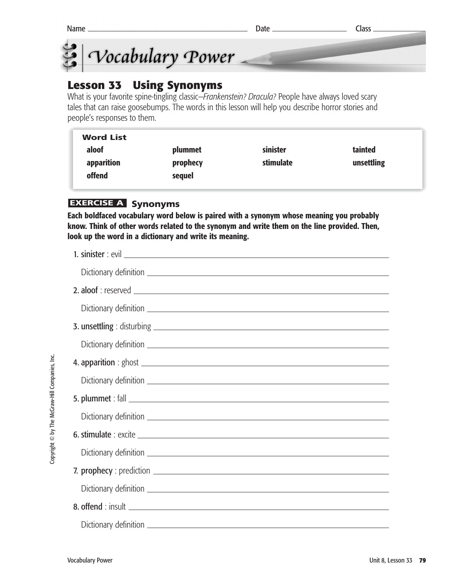

### **Lesson 33 Using Synonyms**

What is your favorite spine-tingling classic—*Frankenstein? Dracula?* People have always loved scary tales that can raise goosebumps. The words in this lesson will help you describe horror stories and people's responses to them.

| <b>Word List</b> |          |           |            |
|------------------|----------|-----------|------------|
| aloof            | plummet  | sinister  | tainted    |
| apparition       | prophecy | stimulate | unsettling |
| offend           | sequel   |           |            |

#### **EXERCISE A Synonyms**

**Each boldfaced vocabulary word below is paired with a synonym whose meaning you probably know. Think of other words related to the synonym and write them on the line provided. Then, look up the word in a dictionary and write its meaning.** 

| 2. aloof: reserved |
|--------------------|
|                    |
|                    |
|                    |
|                    |
|                    |
|                    |
|                    |
|                    |
|                    |
|                    |
|                    |
|                    |
|                    |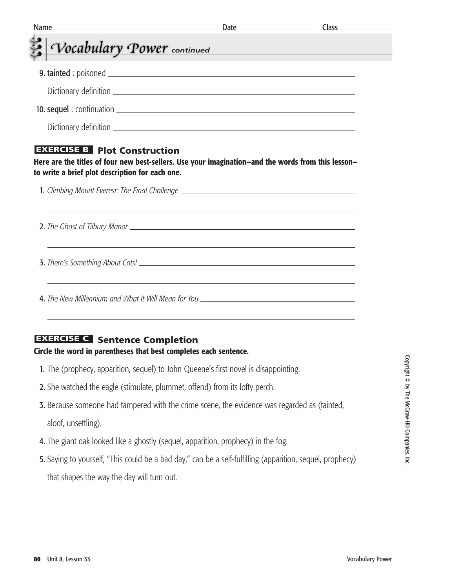|                                                                                  | <u> 1989 - Johann John Stone, meil in der Stone aus der Stone aus der Stone aus der Stone aus der Stone aus der S</u> |                                               |
|----------------------------------------------------------------------------------|-----------------------------------------------------------------------------------------------------------------------|-----------------------------------------------|
| Vocabulary Power continued                                                       |                                                                                                                       | <u> 1990 - Johann Barn, marwolaethau a bh</u> |
|                                                                                  |                                                                                                                       |                                               |
|                                                                                  |                                                                                                                       |                                               |
|                                                                                  |                                                                                                                       |                                               |
|                                                                                  |                                                                                                                       |                                               |
|                                                                                  |                                                                                                                       |                                               |
| 1. Climbing Mount Everest: The Final Challenge _________________________________ |                                                                                                                       |                                               |
| ,我们也不会有什么。""我们的人,我们也不会有什么?""我们的人,我们也不会有什么?""我们的人,我们也不会有什么?""我们的人,我们也不会有什么?""我们的人 |                                                                                                                       |                                               |
| ,我们也不会有什么。""我们的人,我们也不会有什么?""我们的人,我们也不会有什么?""我们的人,我们也不会有什么?""我们的人,我们也不会有什么?""我们的人 |                                                                                                                       |                                               |

#### **EXERCISE C** Sentence Completion

#### **Circle the word in parentheses that best completes each sentence.**

- 1. The (prophecy, apparition, sequel) to John Queene's first novel is disappointing.
- 2. She watched the eagle (stimulate, plummet, offend) from its lofty perch.
- 3. Because someone had tampered with the crime scene, the evidence was regarded as (tainted, aloof, unsettling).
- 4. The giant oak looked like a ghostly (sequel, apparition, prophecy) in the fog.
- 5. Saying to yourself, "This could be a bad day," can be a self-fulfilling (apparition, sequel, prophecy) that shapes the way the day will turn out.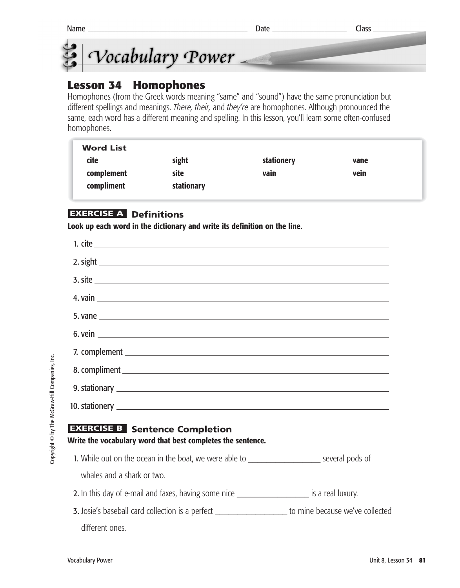



### **Lesson 34 Homophones**

Homophones (from the Greek words meaning "same" and "sound") have the same pronunciation but different spellings and meanings. *There, their,* and *they're* are homophones. Although pronounced the same, each word has a different meaning and spelling. In this lesson, you'll learn some often-confused homophones.

| <b>Word List</b> |            |            |      |  |
|------------------|------------|------------|------|--|
| cite             | sight      | stationery | vane |  |
| complement       | site       | vain       | vein |  |
| compliment       | stationary |            |      |  |
|                  |            |            |      |  |

#### **EXERCISE A Definitions**

**Look up each word in the dictionary and write its definition on the line.**

| <b>EXERCISE B</b> Sentence Completion<br>Write the vocabulary word that best completes the sentence.   |  |
|--------------------------------------------------------------------------------------------------------|--|
| 1. While out on the ocean in the boat, we were able to _______________________ several pods of         |  |
| whales and a shark or two.                                                                             |  |
| 2. In this day of e-mail and faxes, having some nice _______________________ is a real luxury.         |  |
| 3. Josie's baseball card collection is a perfect _____________________ to mine because we've collected |  |
| different ones.                                                                                        |  |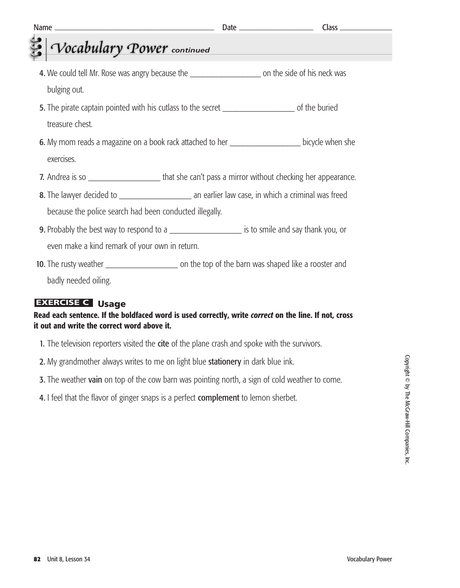| Name                                                                                                      |                                                                                                                      |
|-----------------------------------------------------------------------------------------------------------|----------------------------------------------------------------------------------------------------------------------|
| Vocabulary Power continued                                                                                | <u> 1999 - Johann Barnett, mars eta industrial eta industrial eta industrial eta industrial eta industrial eta i</u> |
|                                                                                                           |                                                                                                                      |
| 4. We could tell Mr. Rose was angry because the ________________________ on the side of his neck was      |                                                                                                                      |
| bulging out.                                                                                              |                                                                                                                      |
| 5. The pirate captain pointed with his cutlass to the secret ________________________ of the buried       |                                                                                                                      |
| treasure chest.                                                                                           |                                                                                                                      |
| 6. My mom reads a magazine on a book rack attached to her _______________________ bicycle when she        |                                                                                                                      |
| exercises.                                                                                                |                                                                                                                      |
| 7. Andrea is so ____________________________that she can't pass a mirror without checking her appearance. |                                                                                                                      |
|                                                                                                           |                                                                                                                      |
| because the police search had been conducted illegally.                                                   |                                                                                                                      |
| 9. Probably the best way to respond to a ________________________ is to smile and say thank you, or       |                                                                                                                      |
| even make a kind remark of your own in return.                                                            |                                                                                                                      |
|                                                                                                           |                                                                                                                      |
| badly needed oiling.                                                                                      |                                                                                                                      |

#### **EXERCISE C** Usage

**Read each sentence. If the boldfaced word is used correctly, write** *correct* **on the line. If not, cross it out and write the correct word above it.**

- 1. The television reporters visited the cite of the plane crash and spoke with the survivors.
- 2. My grandmother always writes to me on light blue stationery in dark blue ink.
- 3. The weather vain on top of the cow barn was pointing north, a sign of cold weather to come.
- 4. I feel that the flavor of ginger snaps is a perfect complement to lemon sherbet.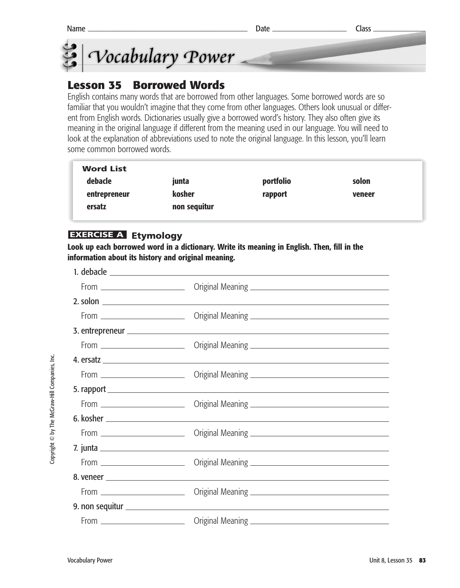

### **Lesson 35 Borrowed Words**

English contains many words that are borrowed from other languages. Some borrowed words are so familiar that you wouldn't imagine that they come from other languages. Others look unusual or different from English words. Dictionaries usually give a borrowed word's history. They also often give its meaning in the original language if different from the meaning used in our language. You will need to look at the explanation of abbreviations used to note the original language. In this lesson, you'll learn some common borrowed words.

| <b>Word List</b> |              |           |        |
|------------------|--------------|-----------|--------|
| debacle          | junta        | portfolio | solon  |
| entrepreneur     | kosher       | rapport   | veneer |
| ersatz           | non sequitur |           |        |

#### **Etymology EXERCISE A**

**Look up each borrowed word in a dictionary. Write its meaning in English. Then, fill in the information about its history and original meaning.** 

Copyright © by The McGraw-Hill Companies, Inc. Copyright © by The McGraw-Hill Companies, Inc.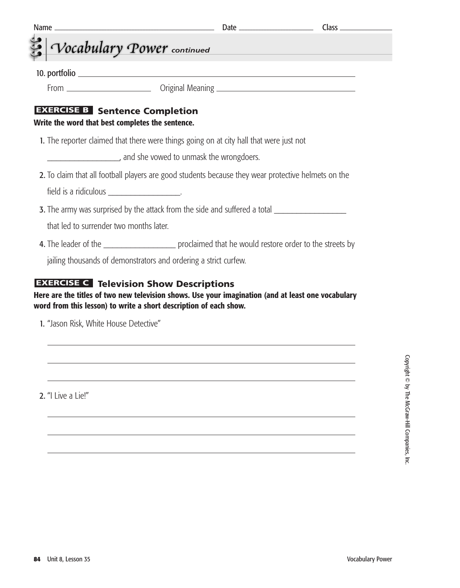|                                         | Vocabulary Power continued                                                                |                                                                                                      |  |
|-----------------------------------------|-------------------------------------------------------------------------------------------|------------------------------------------------------------------------------------------------------|--|
|                                         |                                                                                           |                                                                                                      |  |
|                                         |                                                                                           |                                                                                                      |  |
|                                         | <b>EXERCISE B</b> Sentence Completion<br>Write the word that best completes the sentence. |                                                                                                      |  |
|                                         |                                                                                           | 1. The reporter claimed that there were things going on at city hall that were just not              |  |
|                                         |                                                                                           |                                                                                                      |  |
|                                         |                                                                                           | 2. To claim that all football players are good students because they wear protective helmets on the  |  |
|                                         |                                                                                           |                                                                                                      |  |
|                                         |                                                                                           | 3. The army was surprised by the attack from the side and suffered a total _________________________ |  |
| that led to surrender two months later. |                                                                                           |                                                                                                      |  |
|                                         |                                                                                           |                                                                                                      |  |
|                                         |                                                                                           | jailing thousands of demonstrators and ordering a strict curfew.                                     |  |

2. "I Live a Lie!"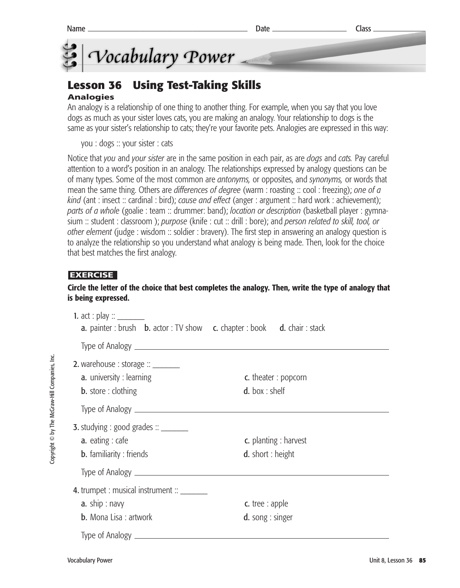

## **Lesson 36 Using Test-Taking Skills**

#### **Analogies**

An analogy is a relationship of one thing to another thing. For example, when you say that you love dogs as much as your sister loves cats, you are making an analogy. Your relationship to dogs is the same as your sister's relationship to cats; they're your favorite pets. Analogies are expressed in this way:

you : dogs :: your sister : cats

Notice that *you* and *your sister* are in the same position in each pair, as are *dogs* and *cats.* Pay careful attention to a word's position in an analogy. The relationships expressed by analogy questions can be of many types. Some of the most common are *antonyms,* or opposites, and *synonyms,* or words that mean the same thing. Others are *differences of degree* (warm : roasting :: cool : freezing); *one of a kind* (ant : insect :: cardinal : bird); *cause and effect* (anger : argument :: hard work : achievement); *parts of a whole* (goalie : team :: drummer: band); *location or description* (basketball player : gymnasium :: student : classroom ); *purpose* (knife : cut :: drill : bore); and *person related to skill, tool, or other element* (judge : wisdom :: soldier : bravery). The first step in answering an analogy question is to analyze the relationship so you understand what analogy is being made. Then, look for the choice that best matches the first analogy.

#### **EXERCISE**

#### **Circle the letter of the choice that best completes the analogy. Then, write the type of analogy that is being expressed.**

| <b>1.</b> act : play :: $\_\_$<br>a. painter : brush b. actor : TV show c. chapter : book d. chair : stack             |                                                          |
|------------------------------------------------------------------------------------------------------------------------|----------------------------------------------------------|
|                                                                                                                        |                                                          |
| <b>2.</b> warehouse : storage $::$ _________<br>a. university : learning<br><b>b.</b> store : clothing                 | c. theater : popcorn<br>d. box: shelf                    |
|                                                                                                                        |                                                          |
| <b>3.</b> studying : good grades $\therefore$ __________<br><b>a.</b> eating : cafe<br><b>b.</b> familiarity : friends | <b>c.</b> planting : harvest<br><b>d.</b> short : height |
|                                                                                                                        |                                                          |
| 4. trumpet : musical instrument ::<br>a. ship: $n$ avy<br><b>b.</b> Mona Lisa : artwork                                | <b>c.</b> tree : apple<br>$d.$ song : singer             |
|                                                                                                                        |                                                          |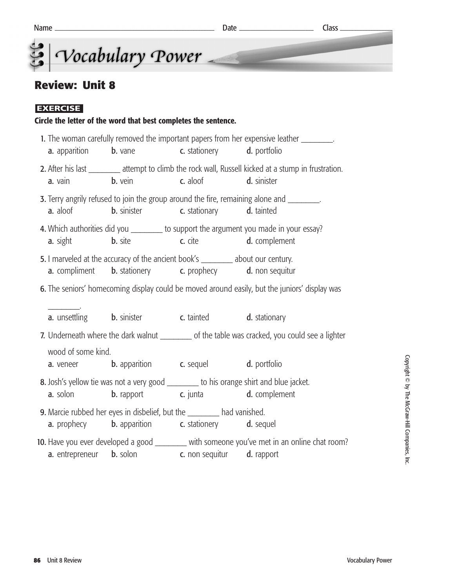## **Review: Unit 8**

#### **EXERCISE**

#### **Circle the letter of the word that best completes the sentence.**

|                    | <b>a.</b> apparition <b>b.</b> vane                                                                                                                                    | <b>c.</b> stationery <b>d.</b> portfolio                  | 1. The woman carefully removed the important papers from her expensive leather ________.               |
|--------------------|------------------------------------------------------------------------------------------------------------------------------------------------------------------------|-----------------------------------------------------------|--------------------------------------------------------------------------------------------------------|
| a. vain            | <b>b</b> vein <b>c</b> aloof <b>d</b> sinister                                                                                                                         |                                                           | 2. After his last __________ attempt to climb the rock wall, Russell kicked at a stump in frustration. |
| <b>a.</b> aloof    |                                                                                                                                                                        | <b>b.</b> sinister <b>c.</b> stationary <b>d.</b> tainted | 3. Terry angrily refused to join the group around the fire, remaining alone and ________.              |
|                    | <b>a.</b> sight <b>b.</b> site <b>c.</b> cite <b>d.</b> complement                                                                                                     |                                                           | 4. Which authorities did you ________ to support the argument you made in your essay?                  |
|                    | 5. I marveled at the accuracy of the ancient book's ________ about our century.<br><b>a.</b> compliment <b>b.</b> stationery <b>c.</b> prophecy <b>d.</b> non sequitur |                                                           |                                                                                                        |
|                    |                                                                                                                                                                        |                                                           | 6. The seniors' homecoming display could be moved around easily, but the juniors' display was          |
|                    | <b>a.</b> unsettling <b>b.</b> sinister <b>c.</b> tainted <b>d.</b> stationary                                                                                         |                                                           |                                                                                                        |
|                    |                                                                                                                                                                        |                                                           | 7. Underneath where the dark walnut __________ of the table was cracked, you could see a lighter       |
| wood of some kind. | <b>a.</b> veneer <b>b.</b> apparition <b>c.</b> sequel <b>d.</b> portfolio                                                                                             |                                                           |                                                                                                        |
|                    | 8. Josh's yellow tie was not a very good _______ to his orange shirt and blue jacket.<br><b>a.</b> solon <b>b.</b> rapport <b>c.</b> junta <b>d.</b> complement        |                                                           |                                                                                                        |
|                    | 9. Marcie rubbed her eyes in disbelief, but the ________ had vanished.<br><b>a.</b> prophecy <b>b.</b> apparition <b>c.</b> stationery <b>d.</b> sequel                |                                                           |                                                                                                        |
|                    | <b>a.</b> entrepreneur <b>b.</b> solon <b>c.</b> non sequitur <b>d.</b> rapport                                                                                        |                                                           | 10. Have you ever developed a good _______ with someone you've met in an online chat room?             |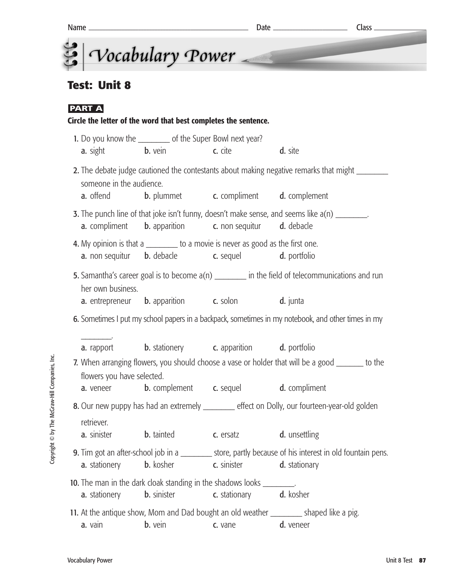|                                         |                                                                                                                                                                  |                                                             | $Class$ <sub>___</sub>                                                                                                     |
|-----------------------------------------|------------------------------------------------------------------------------------------------------------------------------------------------------------------|-------------------------------------------------------------|----------------------------------------------------------------------------------------------------------------------------|
|                                         | Vocabulary Power                                                                                                                                                 |                                                             |                                                                                                                            |
| <b>Test: Unit 8</b>                     |                                                                                                                                                                  |                                                             |                                                                                                                            |
| <b>PART A</b>                           | Circle the letter of the word that best completes the sentence.                                                                                                  |                                                             |                                                                                                                            |
| <b>a.</b> sight                         | 1. Do you know the ___________ of the Super Bowl next year?<br><b>b.</b> vein c. cite                                                                            |                                                             | d. site                                                                                                                    |
| someone in the audience.                |                                                                                                                                                                  |                                                             | 2. The debate judge cautioned the contestants about making negative remarks that might _________                           |
| <b>a.</b> offend                        | <b>a.</b> compliment <b>b.</b> apparition <b>c.</b> non sequitur <b>d.</b> debacle                                                                               | <b>b.</b> plummet <b>c.</b> compliment <b>d.</b> complement | <b>3.</b> The punch line of that joke isn't funny, doesn't make sense, and seems like a(n) ________.                       |
|                                         | 4. My opinion is that a _________ to a movie is never as good as the first one.<br><b>a.</b> non sequitur <b>b.</b> debacle <b>c.</b> sequel <b>d.</b> portfolio |                                                             |                                                                                                                            |
| her own business.                       |                                                                                                                                                                  |                                                             | 5. Samantha's career goal is to become $a(n)$ _________ in the field of telecommunications and run                         |
|                                         | <b>a.</b> entrepreneur <b>b.</b> apparition <b>c.</b> solon <b>d.</b> junta                                                                                      |                                                             | 6. Sometimes I put my school papers in a backpack, sometimes in my notebook, and other times in my                         |
| a. rapport                              | <b>b.</b> stationery <b>c.</b> apparition <b>d.</b> portfolio                                                                                                    |                                                             |                                                                                                                            |
| flowers you have selected.<br>a. veneer |                                                                                                                                                                  | <b>b.</b> complement <b>c.</b> sequel                       | 7. When arranging flowers, you should choose a vase or holder that will be a good _______ to the<br>d. compliment          |
|                                         |                                                                                                                                                                  |                                                             | 8. Our new puppy has had an extremely _______ effect on Dolly, our fourteen-year-old golden                                |
| retriever.<br>a. sinister               | <b>b.</b> tainted                                                                                                                                                | c. ersatz                                                   | d. unsettling                                                                                                              |
| a. stationery                           |                                                                                                                                                                  | <b>b.</b> kosher <b>c.</b> sinister                         | 9. Tim got an after-school job in a _________ store, partly because of his interest in old fountain pens.<br>d. stationary |
| a. stationery                           | 10. The man in the dark cloak standing in the shadows looks ________.<br><b>b.</b> sinister                                                                      | c. stationary                                               | d. kosher                                                                                                                  |
| a. vain                                 | <b>b.</b> vein                                                                                                                                                   | c. vane                                                     | 11. At the antique show, Mom and Dad bought an old weather _________ shaped like a pig.<br>d. veneer                       |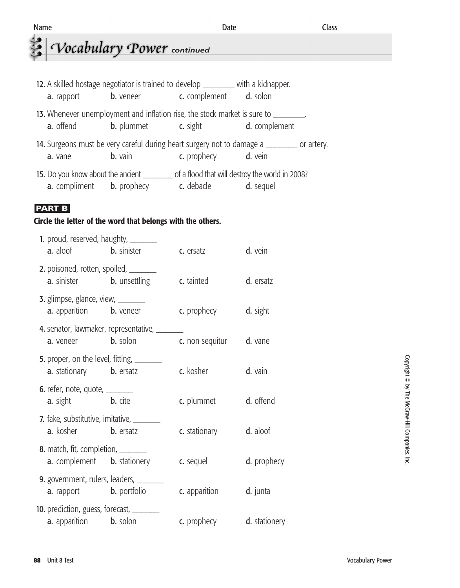## *<u>Continued</u> Cocabulary Power* continued

| 12. A skilled hostage negotiator is trained to develop _________ with a kidnapper.<br><b>a.</b> rapport                                                 | <b>b.</b> veneer <b>c.</b> complement <b>d.</b> solon                      |                                                        |  |  |  |  |
|---------------------------------------------------------------------------------------------------------------------------------------------------------|----------------------------------------------------------------------------|--------------------------------------------------------|--|--|--|--|
| 13. Whenever unemployment and inflation rise, the stock market is sure to _______.<br><b>a.</b> offend                                                  |                                                                            | <b>b.</b> plummet <b>c.</b> sight <b>d.</b> complement |  |  |  |  |
| 14. Surgeons must be very careful during heart surgery not to damage a ________ or artery.<br><b>c.</b> prophecy <b>d.</b> vein<br>$b.$ vain<br>a. vane |                                                                            |                                                        |  |  |  |  |
| 15. Do you know about the ancient ___________ of a flood that will destroy the world in 2008?                                                           | <b>a.</b> compliment <b>b.</b> prophecy <b>c.</b> debacle <b>d.</b> sequel |                                                        |  |  |  |  |

#### **PART B**

#### **Circle the letter of the word that belongs with the others.**

| 1. proud, reserved, haughty, ________<br><b>a.</b> aloof <b>b.</b> sinister              |                                              | c. ersatz          | d. vein       |
|------------------------------------------------------------------------------------------|----------------------------------------------|--------------------|---------------|
| 2. poisoned, rotten, spoiled, _______<br><b>a.</b> sinister <b>b.</b> unsettling         |                                              | c. tainted         | d. ersatz     |
| <b>3.</b> glimpse, glance, view, $\frac{ }{ }$<br><b>a.</b> apparition <b>b.</b> veneer  |                                              | c. prophecy        | d. sight      |
| <b>a.</b> veneer <b>b.</b> solon                                                         | 4. senator, lawmaker, representative, ______ | c. non sequitur    | d. vane       |
| 5. proper, on the level, fitting, _________<br><b>a.</b> stationary <b>b.</b> ersatz     |                                              | c. kosher          | d. vain       |
| 6. refer, note, quote, $\_\_$<br><b>a.</b> sight <b>b.</b> cite                          |                                              | c. plummet         | d. offend     |
| 7. fake, substitutive, imitative, ______<br><b>a.</b> kosher <b>b.</b> ersatz            |                                              | c. stationary      | d. aloof      |
| <b>8.</b> match, fit, completion, _______<br><b>a.</b> complement <b>b.</b> stationery   |                                              | c. sequel          | d. prophecy   |
| <b>9.</b> government, rulers, leaders, ________<br><b>a.</b> rapport <b>b.</b> portfolio |                                              | c. apparition      | d. junta      |
| <b>10.</b> prediction, guess, forecast, ________<br><b>a.</b> apparition <b>b.</b> solon |                                              | <b>c.</b> prophecy | d. stationery |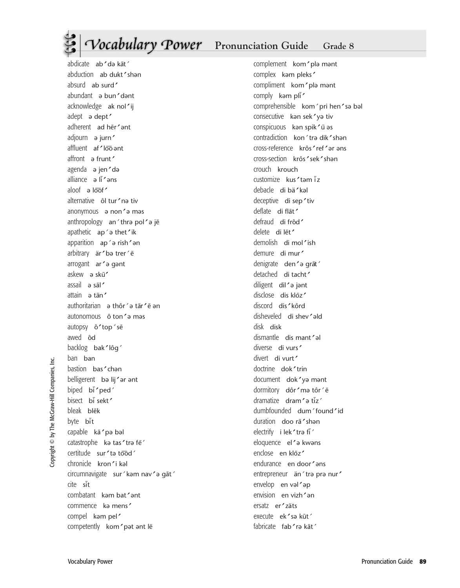## *Vocabulary Power* Pronunciation Guide Grade 8

abdicate ab'də kāt' abduction ab dukt'shan absurd ab surd' abundant ə bun'dənt acknowledge ak nol'ij adept ə dept' adherent ad her'ant adjourn ə jurn' affluent af 'loo ant affront a frunt' agenda ə jen'də alliance ə lī'əns aloof ə loof alternative ôl tur'na tiv anonymous ə non'ə məs anthropology an'thra pol'a je apathetic  $ap \rightarrow$  thet'ik apparition  $ap \rightarrow$ rish $\rightarrow$ n arbitrary är 'ba trer' ē arrogant ar'a gant askew ə skū<sup>'</sup> assail ə sāl<sup>z</sup> attain ə tān' authoritarian ə thôr´ə tār´ē ən autonomous ô ton'a mas autopsy ô'top'se awed ôd backlog bak'lôg ban ban bastion bas' chan belligerent bə lij' ər ənt biped  $b\bar{b}$  ped<sup>'</sup> bisect bi sekt' bleak blēk byte bit capable kā'pə bəl catastrophe kə tas'trə fe' certitude sur 'ta tood chronicle kron'i kəl circumnavigate sur 'kam nav'a gāt' cite sit combatant kəm bat'ənt commence ka mens' compel kəm pel competently kom' pat ant le

complement kom'plə mənt complex kam pleks' compliment kom'plə mənt comply kam pli $\prime$ comprehensible kom'pri hen'sa bal consecutive kan sek'ya tiv conspicuous kan spik'ū as contradiction kon'tra dikshən cross-reference krôs' ref' ər əns cross-section krôs'sek'shan crouch krouch customize kus'tam iz debacle di bä'kəl deceptive di sep'tiv deflate di flāt' defraud di frôd' delete di lēt' demolish di mol'ish demure di mur' denigrate den'a grāt' detached di tacht' diligent dil'a jant disclose dis kloz' discord dis'kôrd disheveled di shey'ald disk disk dismantle dis mant 'al diverse di vurs' divert di vurt' doctrine dok'trin document dok'ya mant dormitory dôr'mə tôr'ē dramatize dram $\epsilon$ ə tiz $\epsilon$ dumbfounded dum 'found'id duration doo rā 'shan electrify i lek'tra fi' eloquence el<sup>o</sup> kwans enclose en kloz' endurance en door'ans entrepreneur än'tra pra nur' envelop en vəl'əp envision en vizh 'an ersatz er'zäts execute ek'sə kūt' fabricate fab'ra kāt'

Copyright © by The McGraw-Hill Companies, Inc. Copyright © by The McGraw-Hill Companies,

ن<br>ڪ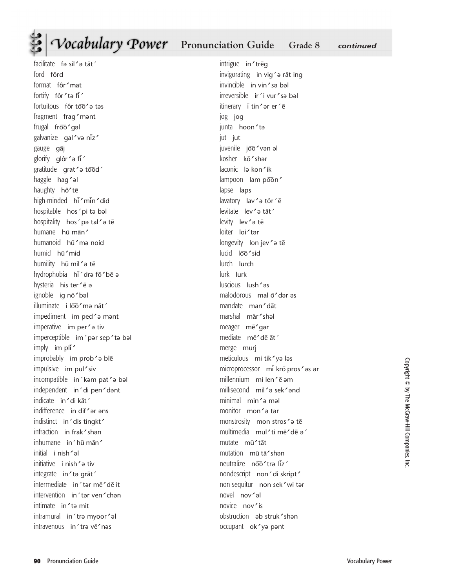## **Pronunciation Guide Grade 8** *continued*

facilitate fə sil' ə tāt' ford fôrd format fôr'mat fortify fôr'ta fi<sup>'</sup> fortuitous fôr too'a tas fragment fraq'mant frugal froo'gal galvanize gal'və niz' gauge gāj glorify glôr'a fi<sup>'</sup> gratitude grat'a tood' haggle hag'al haughty hô'te high-minded hi 'min' did hospitable hos´pi tə bəl hospitality hos' pə tal' ə tē humane hū mān' humanoid hū'mə noid humid hū'mid humility hū mil'a tē hydrophobia hī´dra fō'bē a hysteria his ter ' ē a ignoble ig nō'bəl illuminate i loo'ma nāt' impediment im ped'a mant imperative im per'a tiv  $imperceptible$  im ' pər sep ' tə bəl  $imply$  im pli<sup> $\prime$ </sup> improbably im prob's ble impulsive im pul'siv incompatible in'kəm pat'ə bəl independent in'di pen'dant indicate in'di kāt' indifference in dif'ar ans indistinct in 'dis tingkt' infraction in frak'shan inhumane in 'hū mān' initial i nish'al initiative i nish'a tiv integrate in'ta grāt' intermediate in´tər me¯de¯ it intervention in'tar ven'chan intimate in ' ta mit intramural in'tra myoor'al intravenous in'tra ve'nas

intrigue in'treg invigorating in vig $\epsilon$  rat ing invincible in vin'sa bal irreversible ir'i vur'sə bəl itinerary ī tin'ar er'e jog jo junta hoon'ta jut jut juvenile joo'vən əl kosher kō'shar laconic la kon'ik lampoon lam poon' lapse laps lavatory lav'a tôr'ē levitate lev'a tāt' levity lev'a tē loiter loi'tar longevity lon jev'a te lucid loo'sid lurch lurch lurk lurk  $llsup$  lush $2$ əs malodorous mal ō'dər əs mandate man'dāt marshal mär'shal meager me'qar mediate mē'dē āt' merge murj meticulous mi tik'yə ləs microprocessor mi krō pros'as ar millennium mi len' ē əm millisecond mills sekler minimal min'a mal monitor mon'a tar monstrosity mon stros'a te multimedia mul'ti mē'dē a' mutate mū'tāt mutation mū tā'shan neutralize noo'tra liz' nondescript non'di skript' non sequitur non sek' wi tər novel nov'al novice nov'is obstruction ab struk'shan occupant ok'ya pant

Copyright © by The McGraw-Hill Companies, Inc Copyright © by The McGraw-Hill Companies, Inc.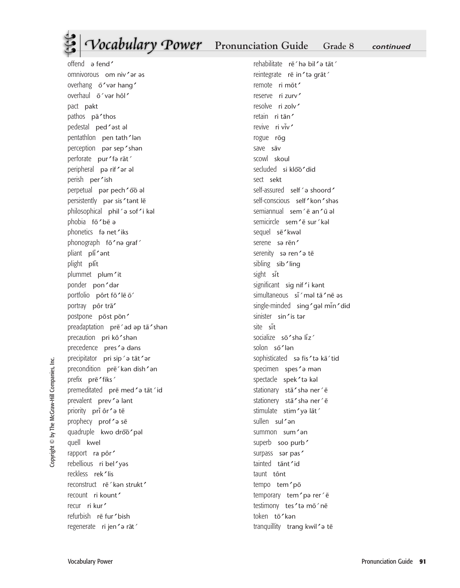## **Pronunciation Guide** Grade 8 *continued*

overhang ō'var hang' overhaul ō'var hôl' pact pakt pathos pā'thos pedestal ped 'ast al pentathlon pen tath'lan perception pər sep'shən perforate pur'fa rāt' peripheral pə rif'ər əl perish per'ish perpetual pər pech 'oo al persistently par sis' tant lē  $philosophical$  phil $\degree$ ə sof $\degree$ i kəl phobia fō'bē ə phonetics fa net'iks phonograph fō'nə qraf' pliant pli'ant plight plit plummet plum'it ponder pon'dar portfolio pôrt fō'le o' portray pôr trā' postpone post pon' preadaptation prẽ ad ap tā 'shan precaution pri kô'shan precedence pres'a dans precipitator pri sip'ə tāt'ər precondition pre<sup>'</sup>kan dish'an prefix prē'fiks' premeditated pre med'a tat'id prevalent prev'a lant priority pri ôr'a tē prophecy prof'a se quadruple kwo droo'pal quell kwel rapport ra pôr' rebellious ri bel'yas reckless rek<sup>1</sup>lis reconstruct re<sup>'</sup>kan strukt' recount ri kount' recur ri kur' refurbish rē fur ' bish regenerate ri jen'a rāt'

offend ə fend

omnivorous om niv'ər əs

rehabilitate rē'hə bil'ə tāt' reintegrate rē in' ta grāt' remote ri mot' reserve ri zurv resolve ri zolv' retain ri tān' revive ri viv' rogue rōq save sāv scowl skoul secluded si kloo'did sect sekt self-assured self'a shoord' self-conscious self 'kon'shas semiannual sem´ē an'ū əl semicircle sem'e sur'kal sequel sē'kwal serene sə rēn' serenity sa ren'a te sibling sib<sup>'</sup>ling sight sit significant sig nif'i kant simultaneous si məl tā 'ne əs single-minded sing 'gal min'did sinister sin'is tar site sit socialize sō'shə liz' solon sō'lən sophisticated sə fis'tə kā'tid specimen spes'a man spectacle spek'ta kal stationary stā'shə ner' ē stationery stā'sha ner'e stimulate stim'ya lāt' sullen sul'an summon sum'an superb soo purb' surpass sər pas' tainted tānt'id taunt tônt tempo tem'pō temporary tem'pa rer'e testimony tes' ta mō'nē token tō'kən tranquillity trang kwil'a te

Copyright © by The McGraw-Hill Companies, Inc. Copyright © by The McGraw-Hill Companies,

ن<br>ڪ